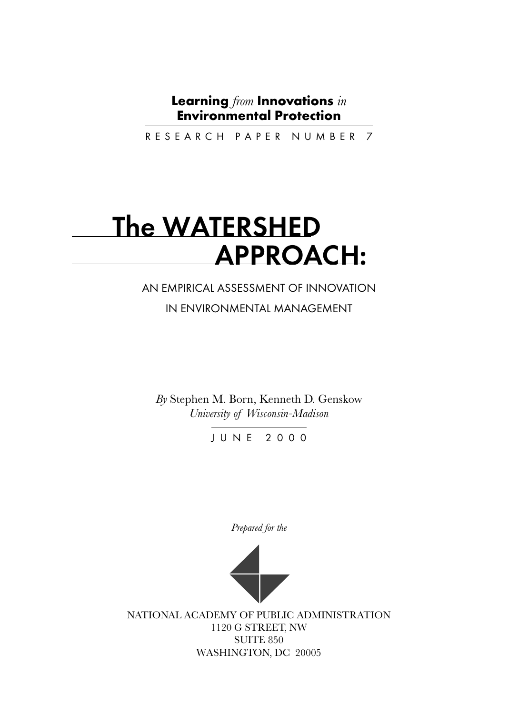# **Learning** *from* **Innovations** *in* **Environmental Protection**

RESEARCH PAPER NUMBER 7

# The WATERSHED APPROACH:

# AN EMPIRICAL ASSESSMENT OF INNOVATION IN ENVIRONMENTAL MANAGEMENT

*By* Stephen M. Born, Kenneth D. Genskow *University of Wisconsin-Madison*

JUNE 2000

*Prepared for the*



NATIONAL ACADEMY OF PUBLIC ADMINISTRATION 1120 G STREET, NW SUITE 850 WASHINGTON, DC 20005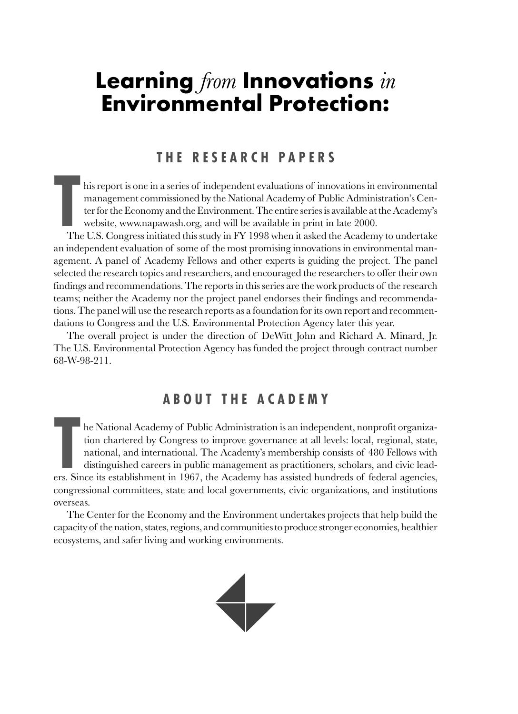# **Learning** *from* **Innovations** *in* **Environmental Protection:**

# **THE RESEARCH PAPERS**

his report is one in a series of independent evaluations of innovations in environmental management commissioned by the National Academy of Public Administration's Center for the Economy and the Environment. The entire series is available at the Academy's website, www.napawash.org, and will be available in print in late 2000.

The The The The Top The The Top The The Top The The Top The Top The Top The Top The Top The Top The Top The Top The Top The Top The Top The Top The Top The Top The Top The Top The Top The Top The Top The Top The Top The To The U.S. Congress initiated this study in FY 1998 when it asked the Academy to undertake an independent evaluation of some of the most promising innovations in environmental management. A panel of Academy Fellows and other experts is guiding the project. The panel selected the research topics and researchers, and encouraged the researchers to offer their own findings and recommendations. The reports in this series are the work products of the research teams; neither the Academy nor the project panel endorses their findings and recommendations. The panel will use the research reports as a foundation for its own report and recommendations to Congress and the U.S. Environmental Protection Agency later this year.

The overall project is under the direction of DeWitt John and Richard A. Minard, Jr. The U.S. Environmental Protection Agency has funded the project through contract number 68-W-98-211.

# **ABOUT THE ACADEMY**

International Academy of Public Administration is an independent, nonprofit organization chartered by Congress to improve governance at all levels: local, regional, state, national, and international. The Academy's members he National Academy of Public Administration is an independent, nonprofit organization chartered by Congress to improve governance at all levels: local, regional, state, national, and international. The Academy's membership consists of 480 Fellows with distinguished careers in public management as practitioners, scholars, and civic leadcongressional committees, state and local governments, civic organizations, and institutions overseas.

The Center for the Economy and the Environment undertakes projects that help build the capacity of the nation, states, regions, and communities to produce stronger economies, healthier ecosystems, and safer living and working environments.

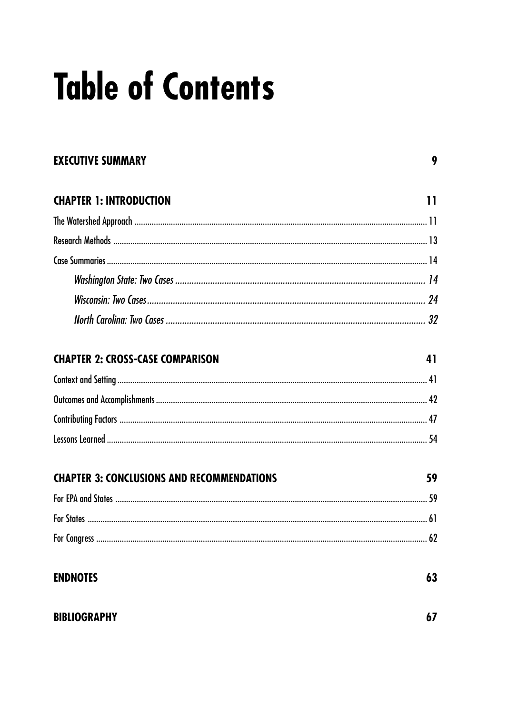# **Table of Contents**

# **EXECUTIVE SUMMARY**

9

| <b>CHAPTER 1: INTRODUCTION</b> |  |
|--------------------------------|--|
|                                |  |
|                                |  |
|                                |  |
|                                |  |
|                                |  |
|                                |  |

# **CHAPTER 2: CROSS-CASE COMPARISON**

41

| <b>CHAPTER 3: CONCLUSIONS AND RECOMMENDATIONS</b> |  |
|---------------------------------------------------|--|
|                                                   |  |
|                                                   |  |
|                                                   |  |

| <b>ENDNOTES</b> | 63 |
|-----------------|----|
|                 |    |

# **BIBLIOGRAPHY**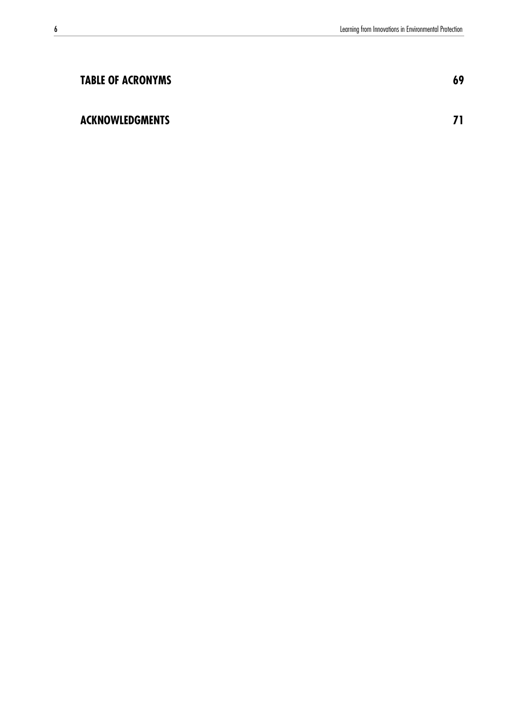| <b>TABLE OF ACRONYMS</b> | 69 |
|--------------------------|----|
| <b>ACKNOWLEDGMENTS</b>   |    |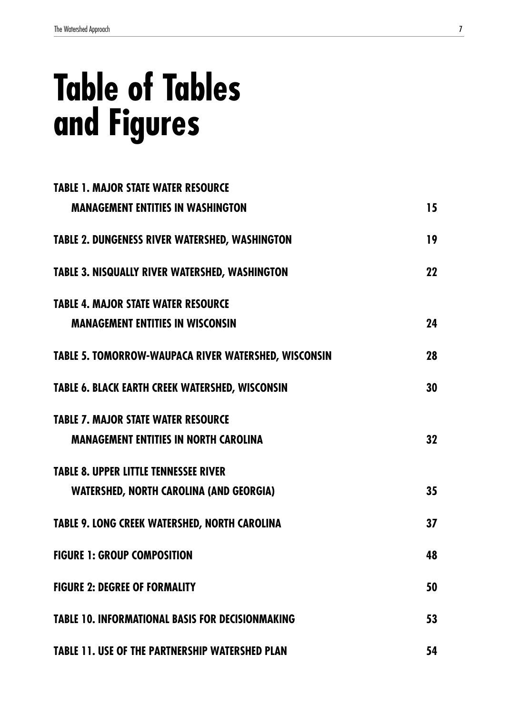# **Table of Tables and Figures**

| <b>TABLE 1. MAJOR STATE WATER RESOURCE</b>                  |    |
|-------------------------------------------------------------|----|
| <b>MANAGEMENT ENTITIES IN WASHINGTON</b>                    | 15 |
| <b>TABLE 2. DUNGENESS RIVER WATERSHED, WASHINGTON</b>       | 19 |
| <b>TABLE 3. NISQUALLY RIVER WATERSHED, WASHINGTON</b>       | 22 |
| <b>TABLE 4. MAJOR STATE WATER RESOURCE</b>                  |    |
| <b>MANAGEMENT ENTITIES IN WISCONSIN</b>                     | 24 |
| <b>TABLE 5. TOMORROW-WAUPACA RIVER WATERSHED, WISCONSIN</b> | 28 |
| <b>TABLE 6. BLACK EARTH CREEK WATERSHED, WISCONSIN</b>      | 30 |
| <b>TABLE 7. MAJOR STATE WATER RESOURCE</b>                  |    |
| <b>MANAGEMENT ENTITIES IN NORTH CAROLINA</b>                | 32 |
| <b>TABLE 8. UPPER LITTLE TENNESSEE RIVER</b>                |    |
| <b>WATERSHED, NORTH CAROLINA (AND GEORGIA)</b>              | 35 |
| <b>TABLE 9. LONG CREEK WATERSHED, NORTH CAROLINA</b>        | 37 |
| <b>FIGURE 1: GROUP COMPOSITION</b>                          | 48 |
| <b>FIGURE 2: DEGREE OF FORMALITY</b>                        | 50 |
| <b>TABLE 10. INFORMATIONAL BASIS FOR DECISIONMAKING</b>     | 53 |
| <b>TABLE 11. USE OF THE PARTNERSHIP WATERSHED PLAN</b>      | 54 |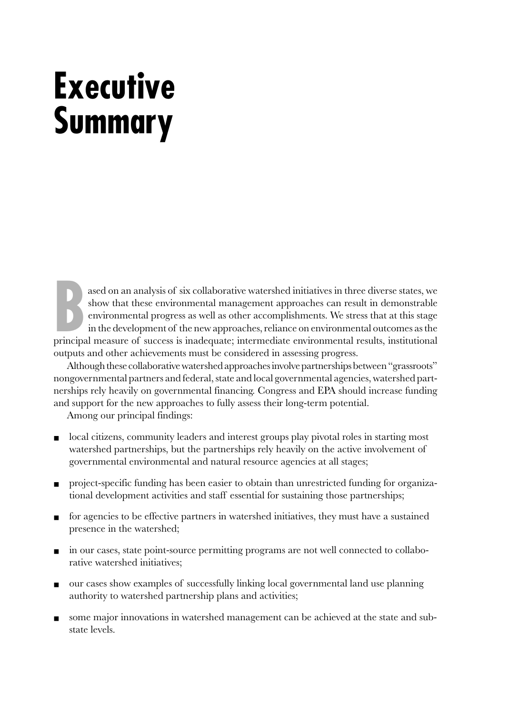# <span id="page-8-0"></span>**Executive Summary**

ased on an analysis of six collaborative watershed initiatives in three diverse states, we show that these environmental management approaches can result in demonstrable environmental progress as well as other accomplishme ased on an analysis of six collaborative watershed initiatives in three diverse states, we show that these environmental management approaches can result in demonstrable environmental progress as well as other accomplishments. We stress that at this stage in the development of the new approaches, reliance on environmental outcomes as the outputs and other achievements must be considered in assessing progress.

Although these collaborative watershed approaches involve partnerships between "grassroots" nongovernmental partners and federal, state and local governmental agencies, watershed partnerships rely heavily on governmental financing. Congress and EPA should increase funding and support for the new approaches to fully assess their long-term potential.

Among our principal findings:

- local citizens, community leaders and interest groups play pivotal roles in starting most watershed partnerships, but the partnerships rely heavily on the active involvement of governmental environmental and natural resource agencies at all stages;
- project-specific funding has been easier to obtain than unrestricted funding for organizational development activities and staff essential for sustaining those partnerships;
- for agencies to be effective partners in watershed initiatives, they must have a sustained presence in the watershed;
- in our cases, state point-source permitting programs are not well connected to collaborative watershed initiatives;
- our cases show examples of successfully linking local governmental land use planning authority to watershed partnership plans and activities;
- some major innovations in watershed management can be achieved at the state and substate levels.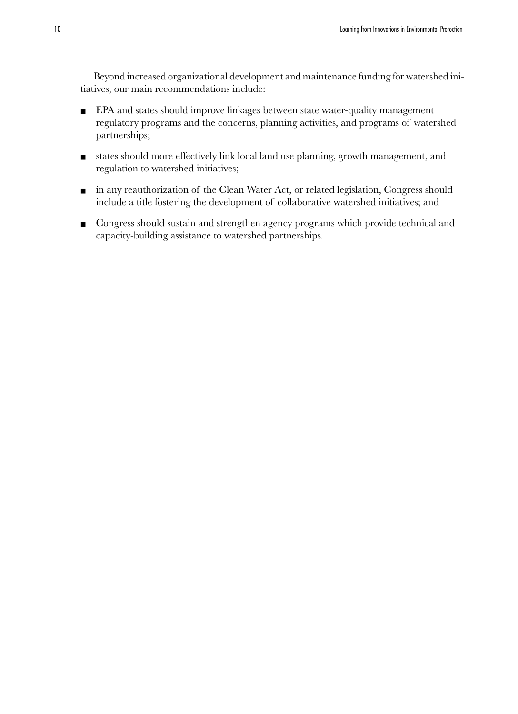Beyond increased organizational development and maintenance funding for watershed initiatives, our main recommendations include:

- EPA and states should improve linkages between state water-quality management regulatory programs and the concerns, planning activities, and programs of watershed partnerships;
- states should more effectively link local land use planning, growth management, and regulation to watershed initiatives;
- in any reauthorization of the Clean Water Act, or related legislation, Congress should include a title fostering the development of collaborative watershed initiatives; and
- Congress should sustain and strengthen agency programs which provide technical and capacity-building assistance to watershed partnerships.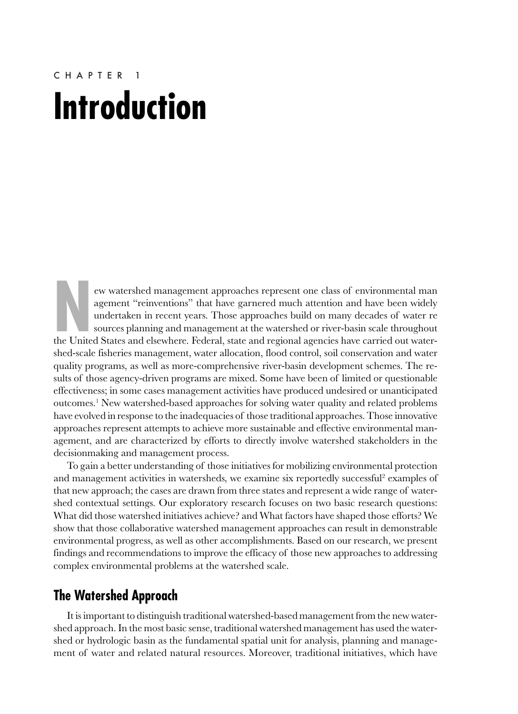# <span id="page-10-0"></span>CHAPTER 1 **Introduction**

ew watershed management approaches represent one class of environmental man agement "reinventions" that have garnered much attention and have been widely undertaken in recent years. Those approaches build on many decades of water re sources planning and management at the watershed or river-basin scale throughout the United States and elsewhere. Federal, state and regional agencies have carried out watershed-scale fisheries management, water allocation, flood control, soil conservation and water quality programs, as well as more-comprehensive river-basin development schemes. The results of those agency-driven programs are mixed. Some have been of limited or questionable effectiveness; in some cases management activities have produced undesired or unanticipated outcomes.<sup>1</sup> New watershed-based approaches for solving water quality and related problems have evolved in response to the inadequacies of those traditional approaches. Those innovative approaches represent attempts to achieve more sustainable and effective environmental management, and are characterized by efforts to directly involve watershed stakeholders in the decisionmaking and management process.

To gain a better understanding of those initiatives for mobilizing environmental protection and management activities in watersheds, we examine six reportedly successful<sup>2</sup> examples of that new approach; the cases are drawn from three states and represent a wide range of watershed contextual settings. Our exploratory research focuses on two basic research questions: What did those watershed initiatives achieve? and What factors have shaped those efforts? We show that those collaborative watershed management approaches can result in demonstrable environmental progress, as well as other accomplishments. Based on our research, we present findings and recommendations to improve the efficacy of those new approaches to addressing complex environmental problems at the watershed scale.

# **The Watershed Approach**

It is important to distinguish traditional watershed-based management from the new watershed approach. In the most basic sense, traditional watershed management has used the watershed or hydrologic basin as the fundamental spatial unit for analysis, planning and management of water and related natural resources. Moreover, traditional initiatives, which have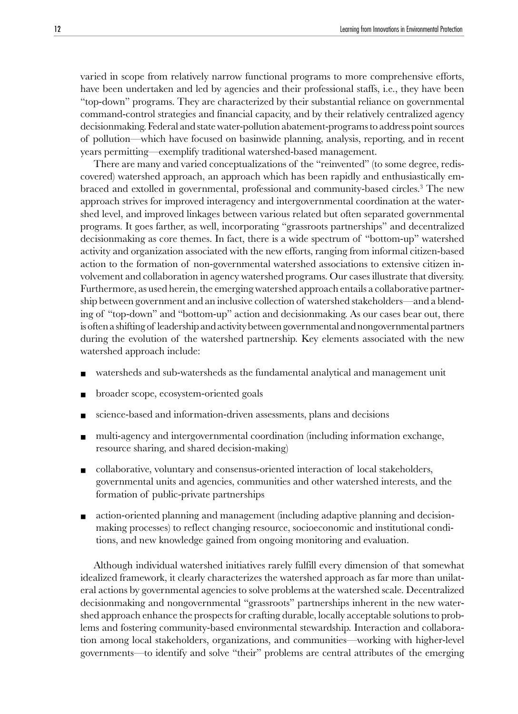varied in scope from relatively narrow functional programs to more comprehensive efforts, have been undertaken and led by agencies and their professional staffs, i.e., they have been "top-down" programs. They are characterized by their substantial reliance on governmental command-control strategies and financial capacity, and by their relatively centralized agency decisionmaking. Federal and state water-pollution abatement-programs to address point sources of pollution—which have focused on basinwide planning, analysis, reporting, and in recent years permitting—exemplify traditional watershed-based management.

There are many and varied conceptualizations of the "reinvented" (to some degree, rediscovered) watershed approach, an approach which has been rapidly and enthusiastically embraced and extolled in governmental, professional and community-based circles.3 The new approach strives for improved interagency and intergovernmental coordination at the watershed level, and improved linkages between various related but often separated governmental programs. It goes farther, as well, incorporating "grassroots partnerships" and decentralized decisionmaking as core themes. In fact, there is a wide spectrum of "bottom-up" watershed activity and organization associated with the new efforts, ranging from informal citizen-based action to the formation of non-governmental watershed associations to extensive citizen involvement and collaboration in agency watershed programs. Our cases illustrate that diversity. Furthermore, as used herein, the emerging watershed approach entails a collaborative partnership between government and an inclusive collection of watershed stakeholders—and a blending of "top-down" and "bottom-up" action and decisionmaking. As our cases bear out, there is often a shifting of leadership and activity between governmental and nongovernmental partners during the evolution of the watershed partnership. Key elements associated with the new watershed approach include:

- watersheds and sub-watersheds as the fundamental analytical and management unit
- broader scope, ecosystem-oriented goals
- science-based and information-driven assessments, plans and decisions
- multi-agency and intergovernmental coordination (including information exchange, resource sharing, and shared decision-making)
- collaborative, voluntary and consensus-oriented interaction of local stakeholders, governmental units and agencies, communities and other watershed interests, and the formation of public-private partnerships
- action-oriented planning and management (including adaptive planning and decisionmaking processes) to reflect changing resource, socioeconomic and institutional conditions, and new knowledge gained from ongoing monitoring and evaluation.

Although individual watershed initiatives rarely fulfill every dimension of that somewhat idealized framework, it clearly characterizes the watershed approach as far more than unilateral actions by governmental agencies to solve problems at the watershed scale. Decentralized decisionmaking and nongovernmental "grassroots" partnerships inherent in the new watershed approach enhance the prospects for crafting durable, locally acceptable solutions to problems and fostering community-based environmental stewardship. Interaction and collaboration among local stakeholders, organizations, and communities—working with higher-level governments—to identify and solve "their" problems are central attributes of the emerging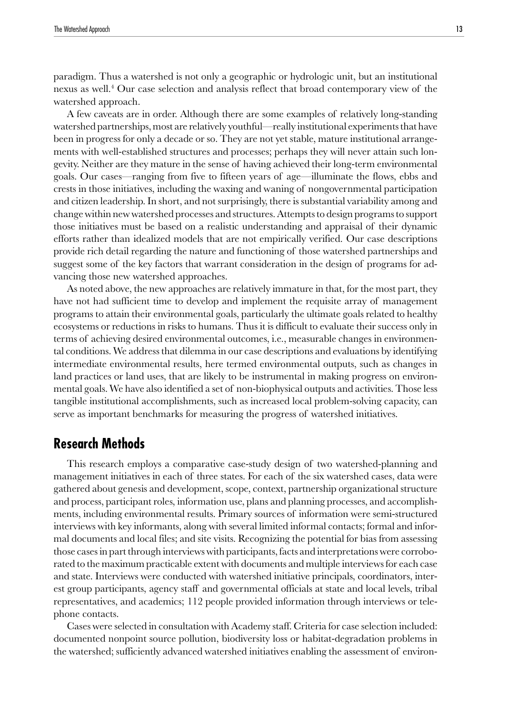<span id="page-12-0"></span>paradigm. Thus a watershed is not only a geographic or hydrologic unit, but an institutional nexus as well.4 Our case selection and analysis reflect that broad contemporary view of the watershed approach.

A few caveats are in order. Although there are some examples of relatively long-standing watershed partnerships, most are relatively youthful—really institutional experiments that have been in progress for only a decade or so. They are not yet stable, mature institutional arrangements with well-established structures and processes; perhaps they will never attain such longevity. Neither are they mature in the sense of having achieved their long-term environmental goals. Our cases—ranging from five to fifteen years of age—illuminate the flows, ebbs and crests in those initiatives, including the waxing and waning of nongovernmental participation and citizen leadership. In short, and not surprisingly, there is substantial variability among and change within new watershed processes and structures. Attempts to design programs to support those initiatives must be based on a realistic understanding and appraisal of their dynamic efforts rather than idealized models that are not empirically verified. Our case descriptions provide rich detail regarding the nature and functioning of those watershed partnerships and suggest some of the key factors that warrant consideration in the design of programs for advancing those new watershed approaches.

As noted above, the new approaches are relatively immature in that, for the most part, they have not had sufficient time to develop and implement the requisite array of management programs to attain their environmental goals, particularly the ultimate goals related to healthy ecosystems or reductions in risks to humans. Thus it is difficult to evaluate their success only in terms of achieving desired environmental outcomes, i.e., measurable changes in environmental conditions. We address that dilemma in our case descriptions and evaluations by identifying intermediate environmental results, here termed environmental outputs, such as changes in land practices or land uses, that are likely to be instrumental in making progress on environmental goals. We have also identified a set of non-biophysical outputs and activities. Those less tangible institutional accomplishments, such as increased local problem-solving capacity, can serve as important benchmarks for measuring the progress of watershed initiatives.

# **Research Methods**

This research employs a comparative case-study design of two watershed-planning and management initiatives in each of three states. For each of the six watershed cases, data were gathered about genesis and development, scope, context, partnership organizational structure and process, participant roles, information use, plans and planning processes, and accomplishments, including environmental results. Primary sources of information were semi-structured interviews with key informants, along with several limited informal contacts; formal and informal documents and local files; and site visits. Recognizing the potential for bias from assessing those cases in part through interviews with participants, facts and interpretations were corroborated to the maximum practicable extent with documents and multiple interviews for each case and state. Interviews were conducted with watershed initiative principals, coordinators, interest group participants, agency staff and governmental officials at state and local levels, tribal representatives, and academics; 112 people provided information through interviews or telephone contacts.

Cases were selected in consultation with Academy staff. Criteria for case selection included: documented nonpoint source pollution, biodiversity loss or habitat-degradation problems in the watershed; sufficiently advanced watershed initiatives enabling the assessment of environ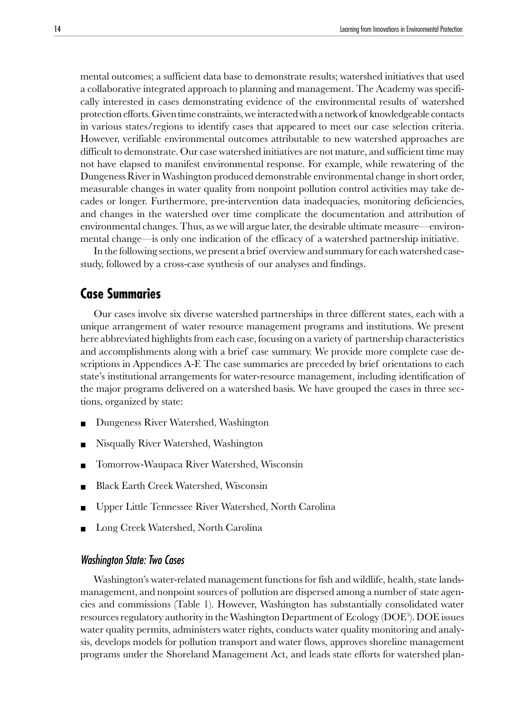<span id="page-13-0"></span>mental outcomes; a sufficient data base to demonstrate results; watershed initiatives that used a collaborative integrated approach to planning and management. The Academy was specifically interested in cases demonstrating evidence of the environmental results of watershed protection efforts. Given time constraints, we interacted with a network of knowledgeable contacts in various states/regions to identify cases that appeared to meet our case selection criteria. However, verifiable environmental outcomes attributable to new watershed approaches are difficult to demonstrate. Our case watershed initiatives are not mature, and sufficient time may not have elapsed to manifest environmental response. For example, while rewatering of the Dungeness River in Washington produced demonstrable environmental change in short order, measurable changes in water quality from nonpoint pollution control activities may take decades or longer. Furthermore, pre-intervention data inadequacies, monitoring deficiencies, and changes in the watershed over time complicate the documentation and attribution of environmental changes. Thus, as we will argue later, the desirable ultimate measure—environmental change—is only one indication of the efficacy of a watershed partnership initiative.

In the following sections, we present a brief overview and summary for each watershed casestudy, followed by a cross-case synthesis of our analyses and findings.

# **Case Summaries**

Our cases involve six diverse watershed partnerships in three different states, each with a unique arrangement of water resource management programs and institutions. We present here abbreviated highlights from each case, focusing on a variety of partnership characteristics and accomplishments along with a brief case summary. We provide more complete case descriptions in Appendices A-F. The case summaries are preceded by brief orientations to each state's institutional arrangements for water-resource management, including identification of the major programs delivered on a watershed basis. We have grouped the cases in three sections, organized by state:

- Dungeness River Watershed, Washington
- Nisqually River Watershed, Washington
- Tomorrow-Waupaca River Watershed, Wisconsin
- Black Earth Creek Watershed, Wisconsin
- Upper Little Tennessee River Watershed, North Carolina
- Long Creek Watershed, North Carolina

### Washington State: Two Cases

Washington's water-related management functions for fish and wildlife, health, state landsmanagement, and nonpoint sources of pollution are dispersed among a number of state agencies and commissions (Table 1). However, Washington has substantially consolidated water resources regulatory authority in the Washington Department of Ecology (DOE<sup>5</sup>). DOE issues water quality permits, administers water rights, conducts water quality monitoring and analysis, develops models for pollution transport and water flows, approves shoreline management programs under the Shoreland Management Act, and leads state efforts for watershed plan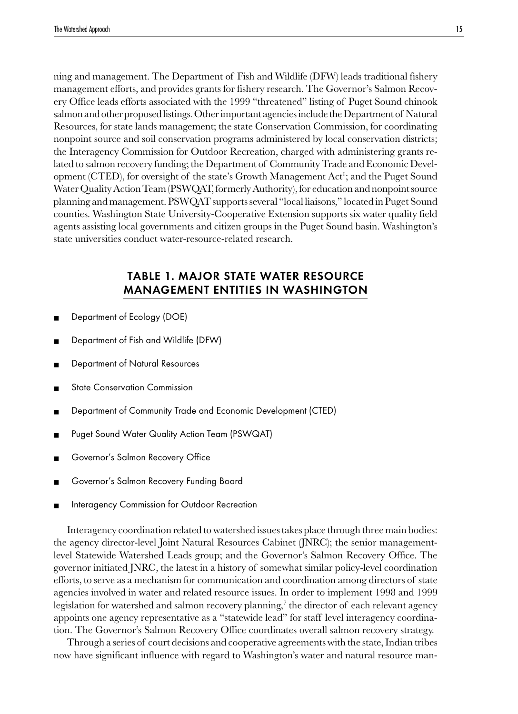ning and management. The Department of Fish and Wildlife (DFW) leads traditional fishery management efforts, and provides grants for fishery research. The Governor's Salmon Recovery Office leads efforts associated with the 1999 "threatened" listing of Puget Sound chinook salmon and other proposed listings. Other important agencies include the Department of Natural Resources, for state lands management; the state Conservation Commission, for coordinating nonpoint source and soil conservation programs administered by local conservation districts; the Interagency Commission for Outdoor Recreation, charged with administering grants related to salmon recovery funding; the Department of Community Trade and Economic Development (CTED), for oversight of the state's Growth Management  $\operatorname{Act}^6_7$  and the Puget Sound Water Quality Action Team (PSWQAT, formerly Authority), for education and nonpoint source planning and management. PSWQAT supports several "local liaisons," located in Puget Sound counties. Washington State University-Cooperative Extension supports six water quality field agents assisting local governments and citizen groups in the Puget Sound basin. Washington's state universities conduct water-resource-related research.

# TABLE 1. MAJOR STATE WATER RESOURCE MANAGEMENT ENTITIES IN WASHINGTON

- Department of Ecology (DOE)
- Department of Fish and Wildlife (DFW)
- Department of Natural Resources
- **State Conservation Commission**
- Department of Community Trade and Economic Development (CTED)
- Puget Sound Water Quality Action Team (PSWQAT)
- Governor's Salmon Recovery Office
- Governor's Salmon Recovery Funding Board
- Interagency Commission for Outdoor Recreation

Interagency coordination related to watershed issues takes place through three main bodies: the agency director-level Joint Natural Resources Cabinet (JNRC); the senior managementlevel Statewide Watershed Leads group; and the Governor's Salmon Recovery Office. The governor initiated JNRC, the latest in a history of somewhat similar policy-level coordination efforts, to serve as a mechanism for communication and coordination among directors of state agencies involved in water and related resource issues. In order to implement 1998 and 1999 legislation for watershed and salmon recovery planning, $^7$  the director of each relevant agency appoints one agency representative as a "statewide lead" for staff level interagency coordination. The Governor's Salmon Recovery Office coordinates overall salmon recovery strategy.

Through a series of court decisions and cooperative agreements with the state, Indian tribes now have significant influence with regard to Washington's water and natural resource man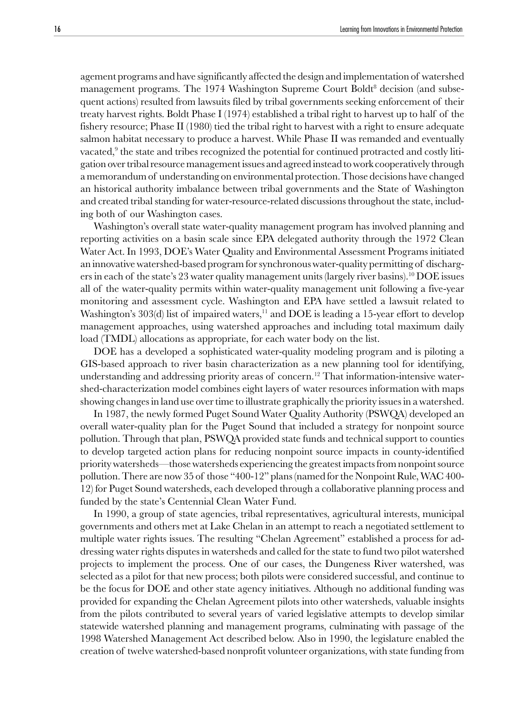agement programs and have significantly affected the design and implementation of watershed management programs. The 1974 Washington Supreme Court Boldt<sup>8</sup> decision (and subsequent actions) resulted from lawsuits filed by tribal governments seeking enforcement of their treaty harvest rights. Boldt Phase I (1974) established a tribal right to harvest up to half of the fishery resource; Phase II (1980) tied the tribal right to harvest with a right to ensure adequate salmon habitat necessary to produce a harvest. While Phase II was remanded and eventually vacated, $9$  the state and tribes recognized the potential for continued protracted and costly litigation over tribal resource management issues and agreed instead to work cooperatively through a memorandum of understanding on environmental protection. Those decisions have changed an historical authority imbalance between tribal governments and the State of Washington and created tribal standing for water-resource-related discussions throughout the state, including both of our Washington cases.

Washington's overall state water-quality management program has involved planning and reporting activities on a basin scale since EPA delegated authority through the 1972 Clean Water Act. In 1993, DOE's Water Quality and Environmental Assessment Programs initiated an innovative watershed-based program for synchronous water-quality permitting of dischargers in each of the state's 23 water quality management units (largely river basins).10 DOE issues all of the water-quality permits within water-quality management unit following a five-year monitoring and assessment cycle. Washington and EPA have settled a lawsuit related to Washington's  $303(d)$  list of impaired waters,<sup>11</sup> and DOE is leading a 15-year effort to develop management approaches, using watershed approaches and including total maximum daily load (TMDL) allocations as appropriate, for each water body on the list.

DOE has a developed a sophisticated water-quality modeling program and is piloting a GIS-based approach to river basin characterization as a new planning tool for identifying, understanding and addressing priority areas of concern.<sup>12</sup> That information-intensive watershed-characterization model combines eight layers of water resources information with maps showing changes in land use over time to illustrate graphically the priority issues in a watershed.

In 1987, the newly formed Puget Sound Water Quality Authority (PSWQA) developed an overall water-quality plan for the Puget Sound that included a strategy for nonpoint source pollution. Through that plan, PSWQA provided state funds and technical support to counties to develop targeted action plans for reducing nonpoint source impacts in county-identified priority watersheds—those watersheds experiencing the greatest impacts from nonpoint source pollution. There are now 35 of those "400-12" plans (named for the Nonpoint Rule, WAC 400- 12) for Puget Sound watersheds, each developed through a collaborative planning process and funded by the state's Centennial Clean Water Fund.

In 1990, a group of state agencies, tribal representatives, agricultural interests, municipal governments and others met at Lake Chelan in an attempt to reach a negotiated settlement to multiple water rights issues. The resulting "Chelan Agreement" established a process for addressing water rights disputes in watersheds and called for the state to fund two pilot watershed projects to implement the process. One of our cases, the Dungeness River watershed, was selected as a pilot for that new process; both pilots were considered successful, and continue to be the focus for DOE and other state agency initiatives. Although no additional funding was provided for expanding the Chelan Agreement pilots into other watersheds, valuable insights from the pilots contributed to several years of varied legislative attempts to develop similar statewide watershed planning and management programs, culminating with passage of the 1998 Watershed Management Act described below. Also in 1990, the legislature enabled the creation of twelve watershed-based nonprofit volunteer organizations, with state funding from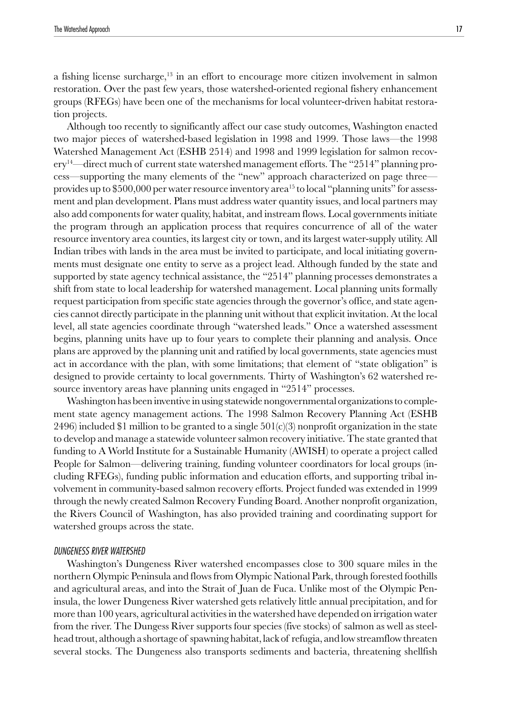a fishing license surcharge,<sup>13</sup> in an effort to encourage more citizen involvement in salmon restoration. Over the past few years, those watershed-oriented regional fishery enhancement groups (RFEGs) have been one of the mechanisms for local volunteer-driven habitat restoration projects.

Although too recently to significantly affect our case study outcomes, Washington enacted two major pieces of watershed-based legislation in 1998 and 1999. Those laws—the 1998 Watershed Management Act (ESHB 2514) and 1998 and 1999 legislation for salmon recov- $\text{e}^{\text{y}^14}$ —direct much of current state watershed management efforts. The "2514" planning process—supporting the many elements of the "new" approach characterized on page three provides up to \$500,000 per water resource inventory area<sup>15</sup> to local "planning units" for assessment and plan development. Plans must address water quantity issues, and local partners may also add components for water quality, habitat, and instream flows. Local governments initiate the program through an application process that requires concurrence of all of the water resource inventory area counties, its largest city or town, and its largest water-supply utility. All Indian tribes with lands in the area must be invited to participate, and local initiating governments must designate one entity to serve as a project lead. Although funded by the state and supported by state agency technical assistance, the "2514" planning processes demonstrates a shift from state to local leadership for watershed management. Local planning units formally request participation from specific state agencies through the governor's office, and state agencies cannot directly participate in the planning unit without that explicit invitation. At the local level, all state agencies coordinate through "watershed leads." Once a watershed assessment begins, planning units have up to four years to complete their planning and analysis. Once plans are approved by the planning unit and ratified by local governments, state agencies must act in accordance with the plan, with some limitations; that element of "state obligation" is designed to provide certainty to local governments. Thirty of Washington's 62 watershed resource inventory areas have planning units engaged in "2514" processes.

Washington has been inventive in using statewide nongovernmental organizations to complement state agency management actions. The 1998 Salmon Recovery Planning Act (ESHB 2496) included \$1 million to be granted to a single  $501(c)(3)$  nonprofit organization in the state to develop and manage a statewide volunteer salmon recovery initiative. The state granted that funding to A World Institute for a Sustainable Humanity (AWISH) to operate a project called People for Salmon—delivering training, funding volunteer coordinators for local groups (including RFEGs), funding public information and education efforts, and supporting tribal involvement in community-based salmon recovery efforts. Project funded was extended in 1999 through the newly created Salmon Recovery Funding Board. Another nonprofit organization, the Rivers Council of Washington, has also provided training and coordinating support for watershed groups across the state.

#### DUNGENESS RIVER WATERSHED

Washington's Dungeness River watershed encompasses close to 300 square miles in the northern Olympic Peninsula and flows from Olympic National Park, through forested foothills and agricultural areas, and into the Strait of Juan de Fuca. Unlike most of the Olympic Peninsula, the lower Dungeness River watershed gets relatively little annual precipitation, and for more than 100 years, agricultural activities in the watershed have depended on irrigation water from the river. The Dungess River supports four species (five stocks) of salmon as well as steelhead trout, although a shortage of spawning habitat, lack of refugia, and low streamflow threaten several stocks. The Dungeness also transports sediments and bacteria, threatening shellfish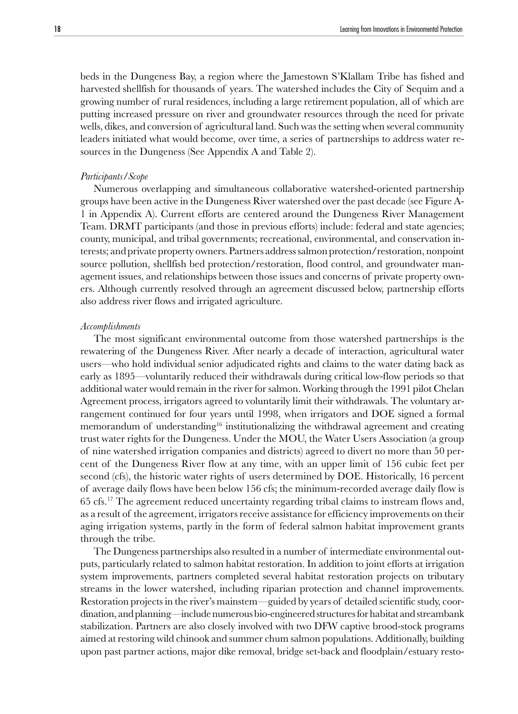beds in the Dungeness Bay, a region where the Jamestown S'Klallam Tribe has fished and harvested shellfish for thousands of years. The watershed includes the City of Sequim and a growing number of rural residences, including a large retirement population, all of which are putting increased pressure on river and groundwater resources through the need for private wells, dikes, and conversion of agricultural land. Such was the setting when several community leaders initiated what would become, over time, a series of partnerships to address water resources in the Dungeness (See Appendix A and Table 2).

#### *Participants/Scope*

Numerous overlapping and simultaneous collaborative watershed-oriented partnership groups have been active in the Dungeness River watershed over the past decade (see Figure A-1 in Appendix A). Current efforts are centered around the Dungeness River Management Team. DRMT participants (and those in previous efforts) include: federal and state agencies; county, municipal, and tribal governments; recreational, environmental, and conservation interests; and private property owners. Partners address salmon protection/restoration, nonpoint source pollution, shellfish bed protection/restoration, flood control, and groundwater management issues, and relationships between those issues and concerns of private property owners. Although currently resolved through an agreement discussed below, partnership efforts also address river flows and irrigated agriculture.

#### *Accomplishments*

The most significant environmental outcome from those watershed partnerships is the rewatering of the Dungeness River. After nearly a decade of interaction, agricultural water users—who hold individual senior adjudicated rights and claims to the water dating back as early as 1895—voluntarily reduced their withdrawals during critical low-flow periods so that additional water would remain in the river for salmon. Working through the 1991 pilot Chelan Agreement process, irrigators agreed to voluntarily limit their withdrawals. The voluntary arrangement continued for four years until 1998, when irrigators and DOE signed a formal memorandum of understanding<sup>16</sup> institutionalizing the withdrawal agreement and creating trust water rights for the Dungeness. Under the MOU, the Water Users Association (a group of nine watershed irrigation companies and districts) agreed to divert no more than 50 percent of the Dungeness River flow at any time, with an upper limit of 156 cubic feet per second (cfs), the historic water rights of users determined by DOE. Historically, 16 percent of average daily flows have been below 156 cfs; the minimum-recorded average daily flow is 65 cfs.17 The agreement reduced uncertainty regarding tribal claims to instream flows and, as a result of the agreement, irrigators receive assistance for efficiency improvements on their aging irrigation systems, partly in the form of federal salmon habitat improvement grants through the tribe.

The Dungeness partnerships also resulted in a number of intermediate environmental outputs, particularly related to salmon habitat restoration. In addition to joint efforts at irrigation system improvements, partners completed several habitat restoration projects on tributary streams in the lower watershed, including riparian protection and channel improvements. Restoration projects in the river's mainstem—guided by years of detailed scientific study, coordination, and planning—include numerous bio-engineered structures for habitat and streambank stabilization. Partners are also closely involved with two DFW captive brood-stock programs aimed at restoring wild chinook and summer chum salmon populations. Additionally, building upon past partner actions, major dike removal, bridge set-back and floodplain/estuary resto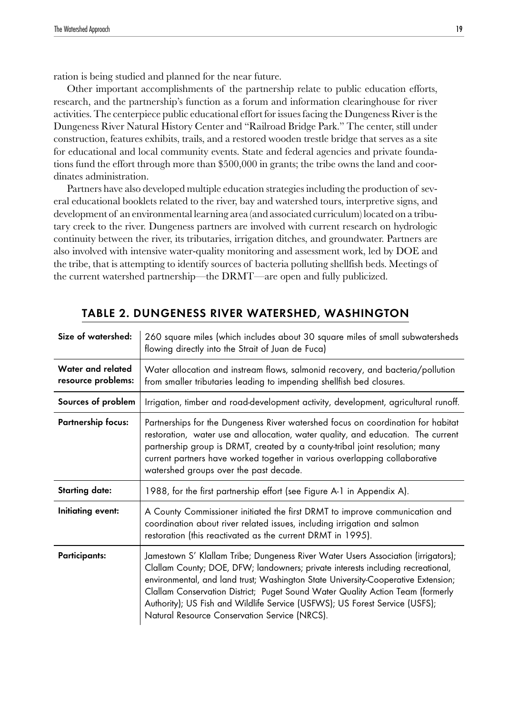ration is being studied and planned for the near future.

Other important accomplishments of the partnership relate to public education efforts, research, and the partnership's function as a forum and information clearinghouse for river activities. The centerpiece public educational effort for issues facing the Dungeness River is the Dungeness River Natural History Center and "Railroad Bridge Park." The center, still under construction, features exhibits, trails, and a restored wooden trestle bridge that serves as a site for educational and local community events. State and federal agencies and private foundations fund the effort through more than \$500,000 in grants; the tribe owns the land and coordinates administration.

Partners have also developed multiple education strategies including the production of several educational booklets related to the river, bay and watershed tours, interpretive signs, and development of an environmental learning area (and associated curriculum) located on a tributary creek to the river. Dungeness partners are involved with current research on hydrologic continuity between the river, its tributaries, irrigation ditches, and groundwater. Partners are also involved with intensive water-quality monitoring and assessment work, led by DOE and the tribe, that is attempting to identify sources of bacteria polluting shellfish beds. Meetings of the current watershed partnership—the DRMT—are open and fully publicized.

| Size of watershed:                      | 260 square miles (which includes about 30 square miles of small subwatersheds<br>flowing directly into the Strait of Juan de Fuca)                                                                                                                                                                                                                                                                                                                                          |
|-----------------------------------------|-----------------------------------------------------------------------------------------------------------------------------------------------------------------------------------------------------------------------------------------------------------------------------------------------------------------------------------------------------------------------------------------------------------------------------------------------------------------------------|
| Water and related<br>resource problems: | Water allocation and instream flows, salmonid recovery, and bacteria/pollution<br>from smaller tributaries leading to impending shellfish bed closures.                                                                                                                                                                                                                                                                                                                     |
| Sources of problem                      | Irrigation, timber and road-development activity, development, agricultural runoff.                                                                                                                                                                                                                                                                                                                                                                                         |
| <b>Partnership focus:</b>               | Partnerships for the Dungeness River watershed focus on coordination for habitat<br>restoration, water use and allocation, water quality, and education. The current<br>partnership group is DRMT, created by a county-tribal joint resolution; many<br>current partners have worked together in various overlapping collaborative<br>watershed groups over the past decade.                                                                                                |
| <b>Starting date:</b>                   | 1988, for the first partnership effort (see Figure A-1 in Appendix A).                                                                                                                                                                                                                                                                                                                                                                                                      |
| Initiating event:                       | A County Commissioner initiated the first DRMT to improve communication and<br>coordination about river related issues, including irrigation and salmon<br>restoration (this reactivated as the current DRMT in 1995).                                                                                                                                                                                                                                                      |
| <b>Participants:</b>                    | Jamestown S' Klallam Tribe; Dungeness River Water Users Association (irrigators);<br>Clallam County; DOE, DFW; landowners; private interests including recreational,<br>environmental, and land trust; Washington State University-Cooperative Extension;<br>Clallam Conservation District; Puget Sound Water Quality Action Team (formerly<br>Authority); US Fish and Wildlife Service (USFWS); US Forest Service (USFS);<br>Natural Resource Conservation Service (NRCS). |

# TABLE 2. DUNGENESS RIVER WATERSHED, WASHINGTON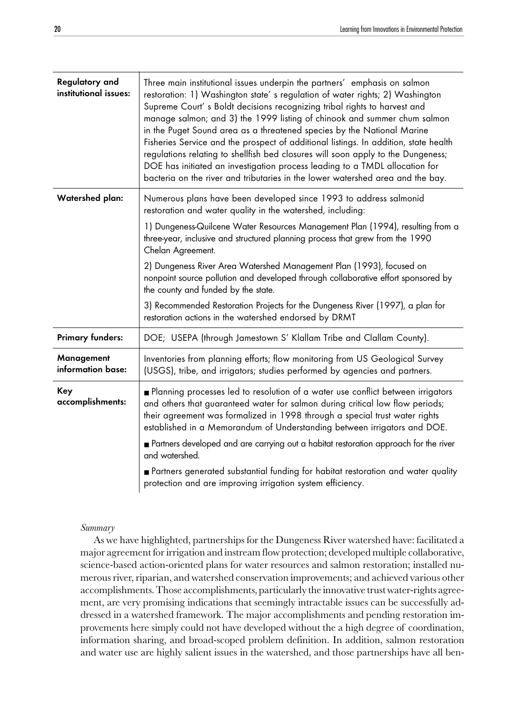| Regulatory and<br>institutional issues: | Three main institutional issues underpin the partners' emphasis on salmon<br>restoration: 1) Washington state's regulation of water rights; 2) Washington<br>Supreme Court's Boldt decisions recognizing tribal rights to harvest and<br>manage salmon; and 3) the 1999 listing of chinook and summer chum salmon<br>in the Puget Sound area as a threatened species by the National Marine<br>Fisheries Service and the prospect of additional listings. In addition, state health<br>regulations relating to shellfish bed closures will soon apply to the Dungeness;<br>DOE has initiated an investigation process leading to a TMDL allocation for<br>bacteria on the river and tributaries in the lower watershed area and the bay. |
|-----------------------------------------|------------------------------------------------------------------------------------------------------------------------------------------------------------------------------------------------------------------------------------------------------------------------------------------------------------------------------------------------------------------------------------------------------------------------------------------------------------------------------------------------------------------------------------------------------------------------------------------------------------------------------------------------------------------------------------------------------------------------------------------|
| Watershed plan:                         | Numerous plans have been developed since 1993 to address salmonid<br>restoration and water quality in the watershed, including:                                                                                                                                                                                                                                                                                                                                                                                                                                                                                                                                                                                                          |
|                                         | 1) Dungeness-Quilcene Water Resources Management Plan (1994), resulting from a<br>three-year, inclusive and structured planning process that grew from the 1990<br>Chelan Agreement.                                                                                                                                                                                                                                                                                                                                                                                                                                                                                                                                                     |
|                                         | 2) Dungeness River Area Watershed Management Plan (1993), focused on<br>nonpoint source pollution and developed through collaborative effort sponsored by<br>the county and funded by the state.                                                                                                                                                                                                                                                                                                                                                                                                                                                                                                                                         |
|                                         | 3) Recommended Restoration Projects for the Dungeness River (1997), a plan for<br>restoration actions in the watershed endorsed by DRMT                                                                                                                                                                                                                                                                                                                                                                                                                                                                                                                                                                                                  |
| <b>Primary funders:</b>                 | DOE; USEPA (through Jamestown S' Klallam Tribe and Clallam County).                                                                                                                                                                                                                                                                                                                                                                                                                                                                                                                                                                                                                                                                      |
| Management<br>information base:         | Inventories from planning efforts; flow monitoring from US Geological Survey<br>(USGS), tribe, and irrigators; studies performed by agencies and partners.                                                                                                                                                                                                                                                                                                                                                                                                                                                                                                                                                                               |
| Key<br>accomplishments:                 | Planning processes led to resolution of a water use conflict between irrigators<br>and others that guaranteed water for salmon during critical low flow periods;<br>their agreement was formalized in 1998 through a special trust water rights<br>established in a Memorandum of Understanding between irrigators and DOE.                                                                                                                                                                                                                                                                                                                                                                                                              |
|                                         | Partners developed and are carrying out a habitat restoration approach for the river<br>and watershed.                                                                                                                                                                                                                                                                                                                                                                                                                                                                                                                                                                                                                                   |
|                                         | Partners generated substantial funding for habitat restoration and water quality<br>protection and are improving irrigation system efficiency.                                                                                                                                                                                                                                                                                                                                                                                                                                                                                                                                                                                           |

#### *Summary*

As we have highlighted, partnerships for the Dungeness River watershed have: facilitated a major agreement for irrigation and instream flow protection; developed multiple collaborative, science-based action-oriented plans for water resources and salmon restoration; installed numerous river, riparian, and watershed conservation improvements; and achieved various other accomplishments. Those accomplishments, particularly the innovative trust water-rights agreement, are very promising indications that seemingly intractable issues can be successfully addressed in a watershed framework. The major accomplishments and pending restoration improvements here simply could not have developed without the a high degree of coordination, information sharing, and broad-scoped problem definition. In addition, salmon restoration and water use are highly salient issues in the watershed, and those partnerships have all ben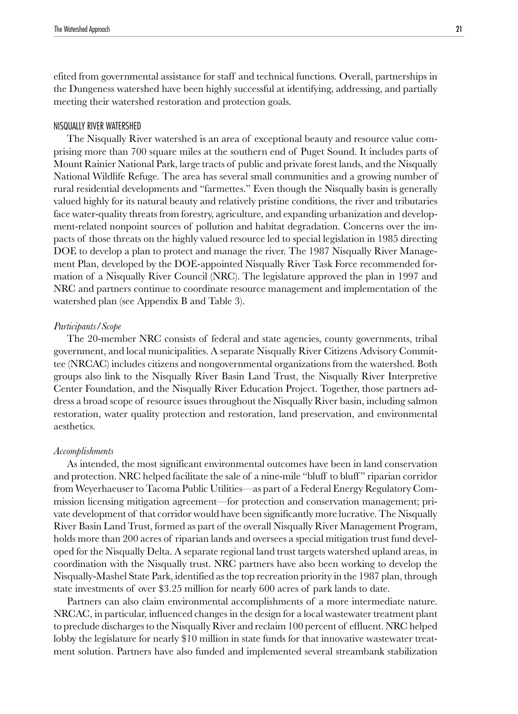efited from governmental assistance for staff and technical functions. Overall, partnerships in the Dungeness watershed have been highly successful at identifying, addressing, and partially meeting their watershed restoration and protection goals.

#### NISQUALLY RIVER WATERSHED

The Nisqually River watershed is an area of exceptional beauty and resource value comprising more than 700 square miles at the southern end of Puget Sound. It includes parts of Mount Rainier National Park, large tracts of public and private forest lands, and the Nisqually National Wildlife Refuge. The area has several small communities and a growing number of rural residential developments and "farmettes." Even though the Nisqually basin is generally valued highly for its natural beauty and relatively pristine conditions, the river and tributaries face water-quality threats from forestry, agriculture, and expanding urbanization and development-related nonpoint sources of pollution and habitat degradation. Concerns over the impacts of those threats on the highly valued resource led to special legislation in 1985 directing DOE to develop a plan to protect and manage the river. The 1987 Nisqually River Management Plan, developed by the DOE-appointed Nisqually River Task Force recommended formation of a Nisqually River Council (NRC). The legislature approved the plan in 1997 and NRC and partners continue to coordinate resource management and implementation of the watershed plan (see Appendix B and Table 3).

## *Participants/Scope*

The 20-member NRC consists of federal and state agencies, county governments, tribal government, and local municipalities. A separate Nisqually River Citizens Advisory Committee (NRCAC) includes citizens and nongovernmental organizations from the watershed. Both groups also link to the Nisqually River Basin Land Trust, the Nisqually River Interpretive Center Foundation, and the Nisqually River Education Project. Together, those partners address a broad scope of resource issues throughout the Nisqually River basin, including salmon restoration, water quality protection and restoration, land preservation, and environmental aesthetics.

#### *Accomplishments*

As intended, the most significant environmental outcomes have been in land conservation and protection. NRC helped facilitate the sale of a nine-mile "bluff to bluff " riparian corridor from Weyerhaeuser to Tacoma Public Utilities—as part of a Federal Energy Regulatory Commission licensing mitigation agreement—for protection and conservation management; private development of that corridor would have been significantly more lucrative. The Nisqually River Basin Land Trust, formed as part of the overall Nisqually River Management Program, holds more than 200 acres of riparian lands and oversees a special mitigation trust fund developed for the Nisqually Delta. A separate regional land trust targets watershed upland areas, in coordination with the Nisqually trust. NRC partners have also been working to develop the Nisqually-Mashel State Park, identified as the top recreation priority in the 1987 plan, through state investments of over \$3.25 million for nearly 600 acres of park lands to date.

Partners can also claim environmental accomplishments of a more intermediate nature. NRCAC, in particular, influenced changes in the design for a local wastewater treatment plant to preclude discharges to the Nisqually River and reclaim 100 percent of effluent. NRC helped lobby the legislature for nearly \$10 million in state funds for that innovative wastewater treatment solution. Partners have also funded and implemented several streambank stabilization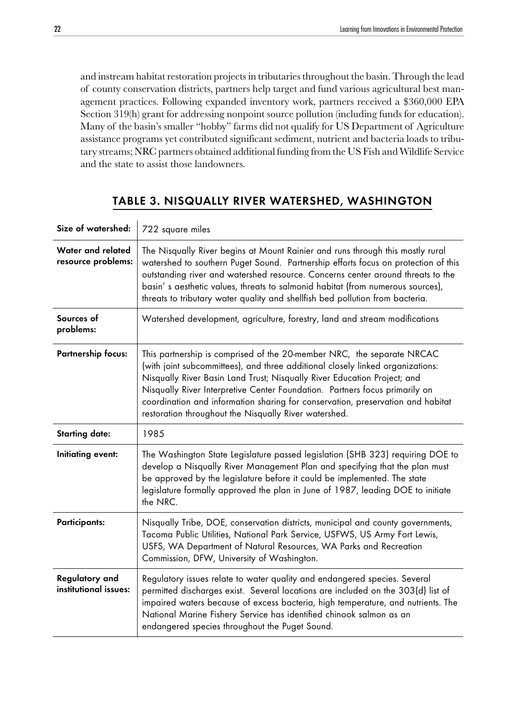and instream habitat restoration projects in tributaries throughout the basin. Through the lead of county conservation districts, partners help target and fund various agricultural best management practices. Following expanded inventory work, partners received a \$360,000 EPA Section 319(h) grant for addressing nonpoint source pollution (including funds for education). Many of the basin's smaller "hobby" farms did not qualify for US Department of Agriculture assistance programs yet contributed significant sediment, nutrient and bacteria loads to tributary streams; NRC partners obtained additional funding from the US Fish and Wildlife Service and the state to assist those landowners.

# Size of watershed: 722 square miles Water and related resource problems: The Nisqually River begins at Mount Rainier and runs through this mostly rural watershed to southern Puget Sound. Partnership efforts focus on protection of this outstanding river and watershed resource. Concerns center around threats to the basin' s aesthetic values, threats to salmonid habitat (from numerous sources), threats to tributary water quality and shellfish bed pollution from bacteria. Sources of problems: Watershed development, agriculture, forestry, land and stream modifications Partnership focus: This partnership is comprised of the 20-member NRC, the separate NRCAC (with joint subcommittees), and three additional closely linked organizations: Nisqually River Basin Land Trust; Nisqually River Education Project; and Nisqually River Interpretive Center Foundation. Partners focus primarily on coordination and information sharing for conservation, preservation and habitat restoration throughout the Nisqually River watershed. Starting date: | 1985 Initiating event: | The Washington State Legislature passed legislation (SHB 323) requiring DOE to develop a Nisqually River Management Plan and specifying that the plan must be approved by the legislature before it could be implemented. The state legislature formally approved the plan in June of 1987, leading DOE to initiate the NRC. Participants: Nisqually Tribe, DOE, conservation districts, municipal and county governments, Tacoma Public Utilities, National Park Service, USFWS, US Army Fort Lewis, USFS, WA Department of Natural Resources, WA Parks and Recreation Commission, DFW, University of Washington. Regulatory and institutional issues: Regulatory issues relate to water quality and endangered species. Several permitted discharges exist. Several locations are included on the 303(d) list of impaired waters because of excess bacteria, high temperature, and nutrients. The National Marine Fishery Service has identified chinook salmon as an endangered species throughout the Puget Sound.

# TABLE 3. NISQUALLY RIVER WATERSHED, WASHINGTON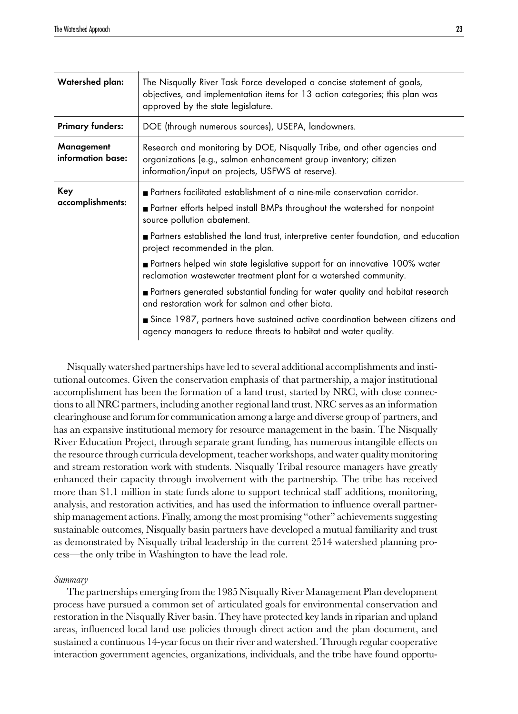| Watershed plan:                 | The Nisqually River Task Force developed a concise statement of goals,<br>objectives, and implementation items for 13 action categories; this plan was<br>approved by the state legislature.                                                                                                                          |
|---------------------------------|-----------------------------------------------------------------------------------------------------------------------------------------------------------------------------------------------------------------------------------------------------------------------------------------------------------------------|
| <b>Primary funders:</b>         | DOE (through numerous sources), USEPA, landowners.                                                                                                                                                                                                                                                                    |
| Management<br>information base: | Research and monitoring by DOE, Nisqually Tribe, and other agencies and<br>organizations (e.g., salmon enhancement group inventory; citizen<br>information/input on projects, USFWS at reserve).                                                                                                                      |
| Key<br>accomplishments:         | <b>Partners facilitated establishment of a nine-mile conservation corridor.</b><br>Partner efforts helped install BMPs throughout the watershed for nonpoint<br>source pollution abatement.<br>Partners established the land trust, interpretive center foundation, and education<br>project recommended in the plan. |
|                                 | Partners helped win state legislative support for an innovative 100% water<br>reclamation wastewater treatment plant for a watershed community.                                                                                                                                                                       |
|                                 | Partners generated substantial funding for water quality and habitat research<br>and restoration work for salmon and other biota.                                                                                                                                                                                     |
|                                 | Since 1987, partners have sustained active coordination between citizens and<br>agency managers to reduce threats to habitat and water quality.                                                                                                                                                                       |

Nisqually watershed partnerships have led to several additional accomplishments and institutional outcomes. Given the conservation emphasis of that partnership, a major institutional accomplishment has been the formation of a land trust, started by NRC, with close connections to all NRC partners, including another regional land trust. NRC serves as an information clearinghouse and forum for communication among a large and diverse group of partners, and has an expansive institutional memory for resource management in the basin. The Nisqually River Education Project, through separate grant funding, has numerous intangible effects on the resource through curricula development, teacher workshops, and water quality monitoring and stream restoration work with students. Nisqually Tribal resource managers have greatly enhanced their capacity through involvement with the partnership. The tribe has received more than \$1.1 million in state funds alone to support technical staff additions, monitoring, analysis, and restoration activities, and has used the information to influence overall partnership management actions. Finally, among the most promising "other" achievements suggesting sustainable outcomes, Nisqually basin partners have developed a mutual familiarity and trust as demonstrated by Nisqually tribal leadership in the current 2514 watershed planning process—the only tribe in Washington to have the lead role.

#### *Summary*

The partnerships emerging from the 1985 Nisqually River Management Plan development process have pursued a common set of articulated goals for environmental conservation and restoration in the Nisqually River basin. They have protected key lands in riparian and upland areas, influenced local land use policies through direct action and the plan document, and sustained a continuous 14-year focus on their river and watershed. Through regular cooperative interaction government agencies, organizations, individuals, and the tribe have found opportu-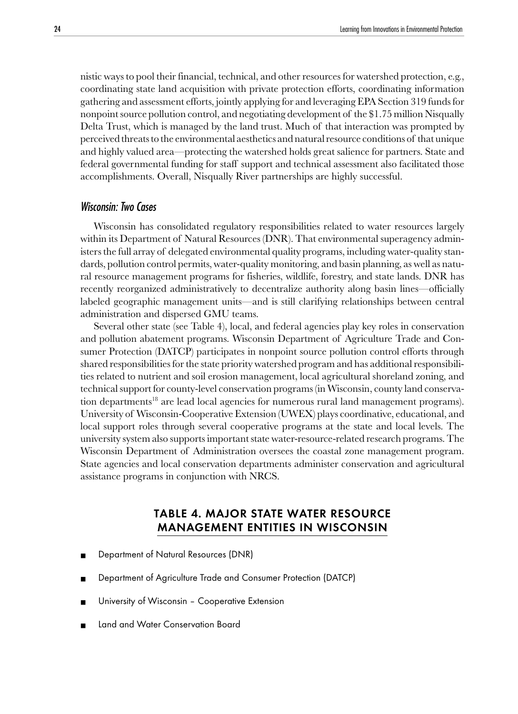<span id="page-23-0"></span>nistic ways to pool their financial, technical, and other resources for watershed protection, e.g., coordinating state land acquisition with private protection efforts, coordinating information gathering and assessment efforts, jointly applying for and leveraging EPA Section 319 funds for nonpoint source pollution control, and negotiating development of the \$1.75 million Nisqually Delta Trust, which is managed by the land trust. Much of that interaction was prompted by perceived threats to the environmental aesthetics and natural resource conditions of that unique and highly valued area—protecting the watershed holds great salience for partners. State and federal governmental funding for staff support and technical assessment also facilitated those accomplishments. Overall, Nisqually River partnerships are highly successful.

## Wisconsin: Two Cases

Wisconsin has consolidated regulatory responsibilities related to water resources largely within its Department of Natural Resources (DNR). That environmental superagency administers the full array of delegated environmental quality programs, including water-quality standards, pollution control permits, water-quality monitoring, and basin planning, as well as natural resource management programs for fisheries, wildlife, forestry, and state lands. DNR has recently reorganized administratively to decentralize authority along basin lines—officially labeled geographic management units—and is still clarifying relationships between central administration and dispersed GMU teams.

Several other state (see Table 4), local, and federal agencies play key roles in conservation and pollution abatement programs. Wisconsin Department of Agriculture Trade and Consumer Protection (DATCP) participates in nonpoint source pollution control efforts through shared responsibilities for the state priority watershed program and has additional responsibilities related to nutrient and soil erosion management, local agricultural shoreland zoning, and technical support for county-level conservation programs (in Wisconsin, county land conservation departments<sup>18</sup> are lead local agencies for numerous rural land management programs). University of Wisconsin-Cooperative Extension (UWEX) plays coordinative, educational, and local support roles through several cooperative programs at the state and local levels. The university system also supports important state water-resource-related research programs. The Wisconsin Department of Administration oversees the coastal zone management program. State agencies and local conservation departments administer conservation and agricultural assistance programs in conjunction with NRCS.

# TABLE 4. MAJOR STATE WATER RESOURCE MANAGEMENT ENTITIES IN WISCONSIN

- Department of Natural Resources (DNR)
- Department of Agriculture Trade and Consumer Protection (DATCP)
- University of Wisconsin Cooperative Extension
- **Land and Water Conservation Board**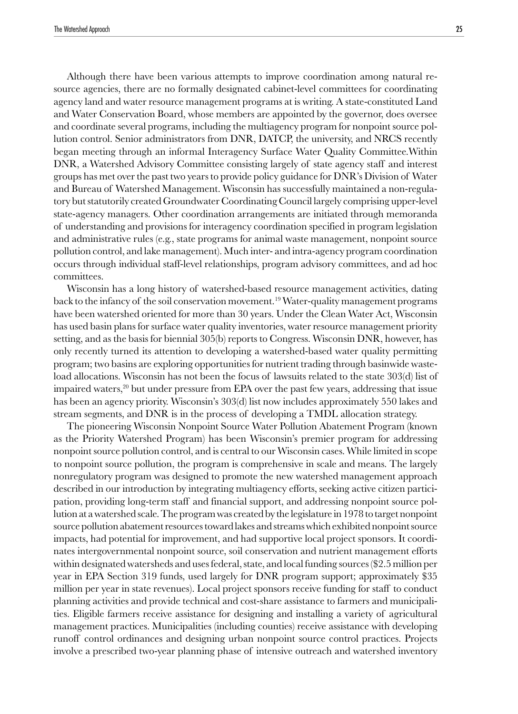Although there have been various attempts to improve coordination among natural resource agencies, there are no formally designated cabinet-level committees for coordinating agency land and water resource management programs at is writing. A state-constituted Land and Water Conservation Board, whose members are appointed by the governor, does oversee and coordinate several programs, including the multiagency program for nonpoint source pollution control. Senior administrators from DNR, DATCP, the university, and NRCS recently began meeting through an informal Interagency Surface Water Quality Committee.Within DNR, a Watershed Advisory Committee consisting largely of state agency staff and interest groups has met over the past two years to provide policy guidance for DNR's Division of Water and Bureau of Watershed Management. Wisconsin has successfully maintained a non-regulatory but statutorily created Groundwater Coordinating Council largely comprising upper-level state-agency managers. Other coordination arrangements are initiated through memoranda of understanding and provisions for interagency coordination specified in program legislation and administrative rules (e.g., state programs for animal waste management, nonpoint source pollution control, and lake management). Much inter- and intra-agency program coordination occurs through individual staff-level relationships, program advisory committees, and ad hoc committees.

Wisconsin has a long history of watershed-based resource management activities, dating back to the infancy of the soil conservation movement.19 Water-quality management programs have been watershed oriented for more than 30 years. Under the Clean Water Act, Wisconsin has used basin plans for surface water quality inventories, water resource management priority setting, and as the basis for biennial 305(b) reports to Congress. Wisconsin DNR, however, has only recently turned its attention to developing a watershed-based water quality permitting program; two basins are exploring opportunities for nutrient trading through basinwide wasteload allocations. Wisconsin has not been the focus of lawsuits related to the state 303(d) list of impaired waters,<sup>20</sup> but under pressure from EPA over the past few years, addressing that issue has been an agency priority. Wisconsin's 303(d) list now includes approximately 550 lakes and stream segments, and DNR is in the process of developing a TMDL allocation strategy.

The pioneering Wisconsin Nonpoint Source Water Pollution Abatement Program (known as the Priority Watershed Program) has been Wisconsin's premier program for addressing nonpoint source pollution control, and is central to our Wisconsin cases. While limited in scope to nonpoint source pollution, the program is comprehensive in scale and means. The largely nonregulatory program was designed to promote the new watershed management approach described in our introduction by integrating multiagency efforts, seeking active citizen participation, providing long-term staff and financial support, and addressing nonpoint source pollution at a watershed scale. The program was created by the legislature in 1978 to target nonpoint source pollution abatement resources toward lakes and streams which exhibited nonpoint source impacts, had potential for improvement, and had supportive local project sponsors. It coordinates intergovernmental nonpoint source, soil conservation and nutrient management efforts within designated watersheds and uses federal, state, and local funding sources (\$2.5 million per year in EPA Section 319 funds, used largely for DNR program support; approximately \$35 million per year in state revenues). Local project sponsors receive funding for staff to conduct planning activities and provide technical and cost-share assistance to farmers and municipalities. Eligible farmers receive assistance for designing and installing a variety of agricultural management practices. Municipalities (including counties) receive assistance with developing runoff control ordinances and designing urban nonpoint source control practices. Projects involve a prescribed two-year planning phase of intensive outreach and watershed inventory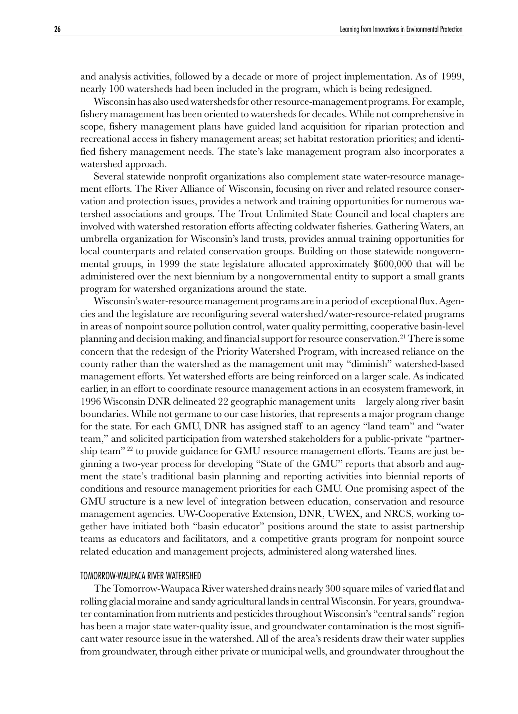and analysis activities, followed by a decade or more of project implementation. As of 1999, nearly 100 watersheds had been included in the program, which is being redesigned.

Wisconsin has also used watersheds for other resource-management programs. For example, fishery management has been oriented to watersheds for decades. While not comprehensive in scope, fishery management plans have guided land acquisition for riparian protection and recreational access in fishery management areas; set habitat restoration priorities; and identified fishery management needs. The state's lake management program also incorporates a watershed approach.

Several statewide nonprofit organizations also complement state water-resource management efforts. The River Alliance of Wisconsin, focusing on river and related resource conservation and protection issues, provides a network and training opportunities for numerous watershed associations and groups. The Trout Unlimited State Council and local chapters are involved with watershed restoration efforts affecting coldwater fisheries. Gathering Waters, an umbrella organization for Wisconsin's land trusts, provides annual training opportunities for local counterparts and related conservation groups. Building on those statewide nongovernmental groups, in 1999 the state legislature allocated approximately \$600,000 that will be administered over the next biennium by a nongovernmental entity to support a small grants program for watershed organizations around the state.

Wisconsin's water-resource management programs are in a period of exceptional flux. Agencies and the legislature are reconfiguring several watershed/water-resource-related programs in areas of nonpoint source pollution control, water quality permitting, cooperative basin-level planning and decision making, and financial support for resource conservation.21 There is some concern that the redesign of the Priority Watershed Program, with increased reliance on the county rather than the watershed as the management unit may "diminish" watershed-based management efforts. Yet watershed efforts are being reinforced on a larger scale. As indicated earlier, in an effort to coordinate resource management actions in an ecosystem framework, in 1996 Wisconsin DNR delineated 22 geographic management units—largely along river basin boundaries. While not germane to our case histories, that represents a major program change for the state. For each GMU, DNR has assigned staff to an agency "land team" and "water team," and solicited participation from watershed stakeholders for a public-private "partnership team" 22 to provide guidance for GMU resource management efforts. Teams are just beginning a two-year process for developing "State of the GMU" reports that absorb and augment the state's traditional basin planning and reporting activities into biennial reports of conditions and resource management priorities for each GMU. One promising aspect of the GMU structure is a new level of integration between education, conservation and resource management agencies. UW-Cooperative Extension, DNR, UWEX, and NRCS, working together have initiated both "basin educator" positions around the state to assist partnership teams as educators and facilitators, and a competitive grants program for nonpoint source related education and management projects, administered along watershed lines.

#### TOMORROW-WAUPACA RIVER WATERSHED

The Tomorrow-Waupaca River watershed drains nearly 300 square miles of varied flat and rolling glacial moraine and sandy agricultural lands in central Wisconsin. For years, groundwater contamination from nutrients and pesticides throughout Wisconsin's "central sands" region has been a major state water-quality issue, and groundwater contamination is the most significant water resource issue in the watershed. All of the area's residents draw their water supplies from groundwater, through either private or municipal wells, and groundwater throughout the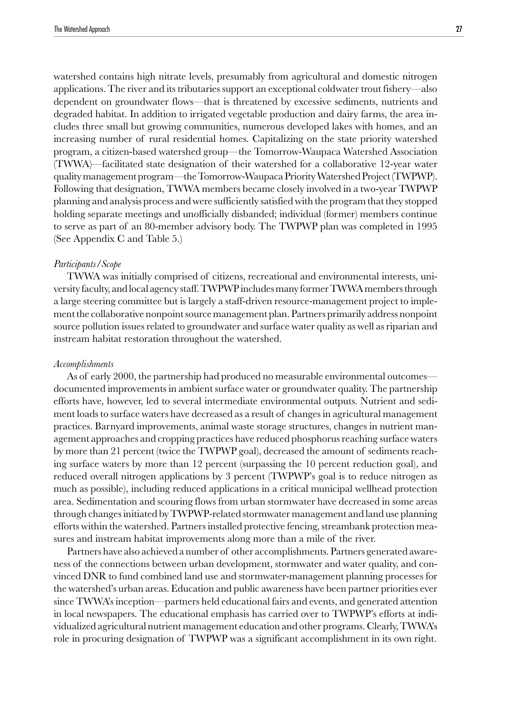watershed contains high nitrate levels, presumably from agricultural and domestic nitrogen applications. The river and its tributaries support an exceptional coldwater trout fishery—also dependent on groundwater flows—that is threatened by excessive sediments, nutrients and degraded habitat. In addition to irrigated vegetable production and dairy farms, the area includes three small but growing communities, numerous developed lakes with homes, and an increasing number of rural residential homes. Capitalizing on the state priority watershed program, a citizen-based watershed group—the Tomorrow-Waupaca Watershed Association (TWWA)—facilitated state designation of their watershed for a collaborative 12-year water quality management program—the Tomorrow-Waupaca Priority Watershed Project (TWPWP). Following that designation, TWWA members became closely involved in a two-year TWPWP planning and analysis process and were sufficiently satisfied with the program that they stopped holding separate meetings and unofficially disbanded; individual (former) members continue to serve as part of an 80-member advisory body. The TWPWP plan was completed in 1995 (See Appendix C and Table 5.)

#### *Participants/Scope*

TWWA was initially comprised of citizens, recreational and environmental interests, university faculty, and local agency staff. TWPWP includes many former TWWA members through a large steering committee but is largely a staff-driven resource-management project to implement the collaborative nonpoint source management plan. Partners primarily address nonpoint source pollution issues related to groundwater and surface water quality as well as riparian and instream habitat restoration throughout the watershed.

#### *Accomplishments*

As of early 2000, the partnership had produced no measurable environmental outcomes documented improvements in ambient surface water or groundwater quality. The partnership efforts have, however, led to several intermediate environmental outputs. Nutrient and sediment loads to surface waters have decreased as a result of changes in agricultural management practices. Barnyard improvements, animal waste storage structures, changes in nutrient management approaches and cropping practices have reduced phosphorus reaching surface waters by more than 21 percent (twice the TWPWP goal), decreased the amount of sediments reaching surface waters by more than 12 percent (surpassing the 10 percent reduction goal), and reduced overall nitrogen applications by 3 percent (TWPWP's goal is to reduce nitrogen as much as possible), including reduced applications in a critical municipal wellhead protection area. Sedimentation and scouring flows from urban stormwater have decreased in some areas through changes initiated by TWPWP-related stormwater management and land use planning efforts within the watershed. Partners installed protective fencing, streambank protection measures and instream habitat improvements along more than a mile of the river.

Partners have also achieved a number of other accomplishments. Partners generated awareness of the connections between urban development, stormwater and water quality, and convinced DNR to fund combined land use and stormwater-management planning processes for the watershed's urban areas. Education and public awareness have been partner priorities ever since TWWA's inception—partners held educational fairs and events, and generated attention in local newspapers. The educational emphasis has carried over to TWPWP's efforts at individualized agricultural nutrient management education and other programs. Clearly, TWWA's role in procuring designation of TWPWP was a significant accomplishment in its own right.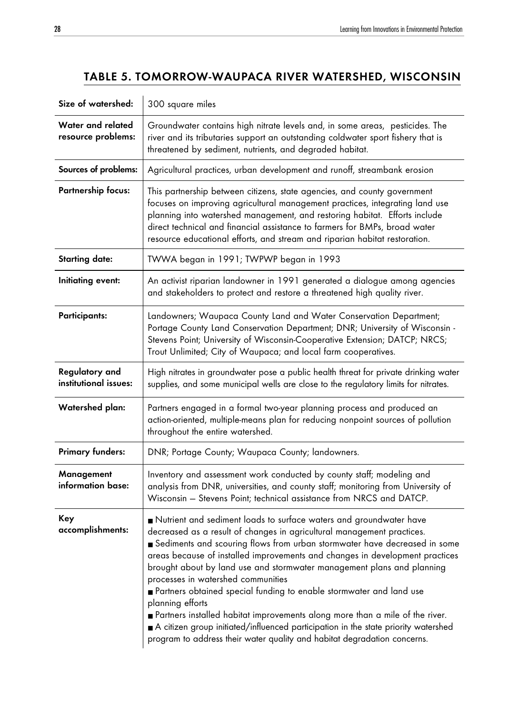# TABLE 5. TOMORROW-WAUPACA RIVER WATERSHED, WISCONSIN

| Size of watershed:                      | 300 square miles                                                                                                                                                                                                                                                                                                                                                                                                                                                                                                                                                                                                                                                                                                                                                       |
|-----------------------------------------|------------------------------------------------------------------------------------------------------------------------------------------------------------------------------------------------------------------------------------------------------------------------------------------------------------------------------------------------------------------------------------------------------------------------------------------------------------------------------------------------------------------------------------------------------------------------------------------------------------------------------------------------------------------------------------------------------------------------------------------------------------------------|
| Water and related<br>resource problems: | Groundwater contains high nitrate levels and, in some areas, pesticides. The<br>river and its tributaries support an outstanding coldwater sport fishery that is<br>threatened by sediment, nutrients, and degraded habitat.                                                                                                                                                                                                                                                                                                                                                                                                                                                                                                                                           |
| Sources of problems:                    | Agricultural practices, urban development and runoff, streambank erosion                                                                                                                                                                                                                                                                                                                                                                                                                                                                                                                                                                                                                                                                                               |
| <b>Partnership focus:</b>               | This partnership between citizens, state agencies, and county government<br>focuses on improving agricultural management practices, integrating land use<br>planning into watershed management, and restoring habitat. Efforts include<br>direct technical and financial assistance to farmers for BMPs, broad water<br>resource educational efforts, and stream and riparian habitat restoration.                                                                                                                                                                                                                                                                                                                                                                     |
| <b>Starting date:</b>                   | TWWA began in 1991; TWPWP began in 1993                                                                                                                                                                                                                                                                                                                                                                                                                                                                                                                                                                                                                                                                                                                                |
| Initiating event:                       | An activist riparian landowner in 1991 generated a dialogue among agencies<br>and stakeholders to protect and restore a threatened high quality river.                                                                                                                                                                                                                                                                                                                                                                                                                                                                                                                                                                                                                 |
| <b>Participants:</b>                    | Landowners; Waupaca County Land and Water Conservation Department;<br>Portage County Land Conservation Department; DNR; University of Wisconsin -<br>Stevens Point; University of Wisconsin-Cooperative Extension; DATCP; NRCS;<br>Trout Unlimited; City of Waupaca; and local farm cooperatives.                                                                                                                                                                                                                                                                                                                                                                                                                                                                      |
| Regulatory and<br>institutional issues: | High nitrates in groundwater pose a public health threat for private drinking water<br>supplies, and some municipal wells are close to the regulatory limits for nitrates.                                                                                                                                                                                                                                                                                                                                                                                                                                                                                                                                                                                             |
| Watershed plan:                         | Partners engaged in a formal two-year planning process and produced an<br>action-oriented, multiple-means plan for reducing nonpoint sources of pollution<br>throughout the entire watershed.                                                                                                                                                                                                                                                                                                                                                                                                                                                                                                                                                                          |
| <b>Primary funders:</b>                 | DNR; Portage County; Waupaca County; landowners.                                                                                                                                                                                                                                                                                                                                                                                                                                                                                                                                                                                                                                                                                                                       |
| Management<br>information base:         | Inventory and assessment work conducted by county staff; modeling and<br>analysis from DNR, universities, and county staff; monitoring from University of<br>Wisconsin - Stevens Point; technical assistance from NRCS and DATCP.                                                                                                                                                                                                                                                                                                                                                                                                                                                                                                                                      |
| Key<br>accomplishments:                 | Nutrient and sediment loads to surface waters and groundwater have<br>decreased as a result of changes in agricultural management practices.<br>Sediments and scouring flows from urban stormwater have decreased in some<br>areas because of installed improvements and changes in development practices<br>brought about by land use and stormwater management plans and planning<br>processes in watershed communities<br>Partners obtained special funding to enable stormwater and land use<br>planning efforts<br>Partners installed habitat improvements along more than a mile of the river.<br>A citizen group initiated/influenced participation in the state priority watershed<br>program to address their water quality and habitat degradation concerns. |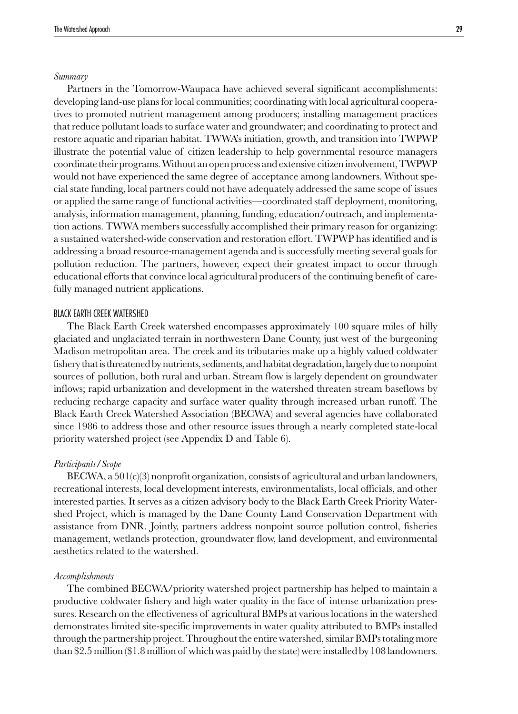#### *Summary*

Partners in the Tomorrow-Waupaca have achieved several significant accomplishments: developing land-use plans for local communities; coordinating with local agricultural cooperatives to promoted nutrient management among producers; installing management practices that reduce pollutant loads to surface water and groundwater; and coordinating to protect and restore aquatic and riparian habitat. TWWA's initiation, growth, and transition into TWPWP illustrate the potential value of citizen leadership to help governmental resource managers coordinate their programs. Without an open process and extensive citizen involvement, TWPWP would not have experienced the same degree of acceptance among landowners. Without special state funding, local partners could not have adequately addressed the same scope of issues or applied the same range of functional activities—coordinated staff deployment, monitoring, analysis, information management, planning, funding, education/outreach, and implementation actions. TWWA members successfully accomplished their primary reason for organizing: a sustained watershed-wide conservation and restoration effort. TWPWP has identified and is addressing a broad resource-management agenda and is successfully meeting several goals for pollution reduction. The partners, however, expect their greatest impact to occur through educational efforts that convince local agricultural producers of the continuing benefit of carefully managed nutrient applications.

#### BLACK EARTH CREEK WATERSHED

The Black Earth Creek watershed encompasses approximately 100 square miles of hilly glaciated and unglaciated terrain in northwestern Dane County, just west of the burgeoning Madison metropolitan area. The creek and its tributaries make up a highly valued coldwater fishery that is threatened by nutrients, sediments, and habitat degradation, largely due to nonpoint sources of pollution, both rural and urban. Stream flow is largely dependent on groundwater inflows; rapid urbanization and development in the watershed threaten stream baseflows by reducing recharge capacity and surface water quality through increased urban runoff. The Black Earth Creek Watershed Association (BECWA) and several agencies have collaborated since 1986 to address those and other resource issues through a nearly completed state-local priority watershed project (see Appendix D and Table 6).

#### *Participants/Scope*

 $BECWA$ , a  $501(c)(3)$  nonprofit organization, consists of agricultural and urban landowners, recreational interests, local development interests, environmentalists, local officials, and other interested parties. It serves as a citizen advisory body to the Black Earth Creek Priority Watershed Project, which is managed by the Dane County Land Conservation Department with assistance from DNR. Jointly, partners address nonpoint source pollution control, fisheries management, wetlands protection, groundwater flow, land development, and environmental aesthetics related to the watershed.

#### *Accomplishments*

The combined BECWA/priority watershed project partnership has helped to maintain a productive coldwater fishery and high water quality in the face of intense urbanization pressures. Research on the effectiveness of agricultural BMPs at various locations in the watershed demonstrates limited site-specific improvements in water quality attributed to BMPs installed through the partnership project. Throughout the entire watershed, similar BMPs totaling more than \$2.5 million (\$1.8 million of which was paid by the state) were installed by 108 landowners.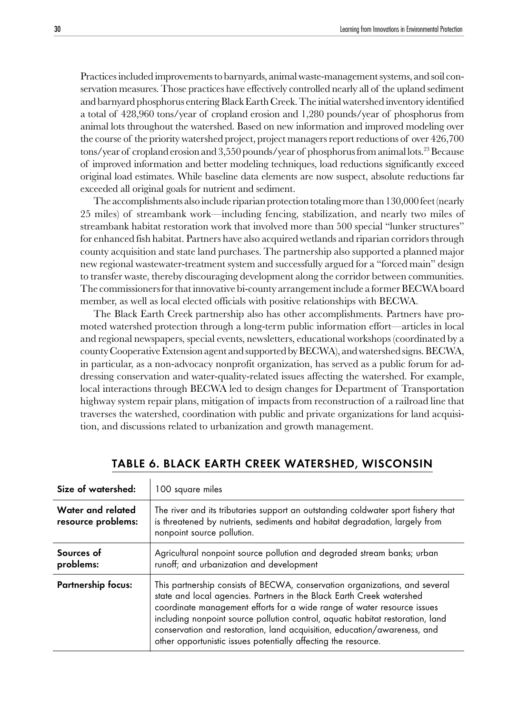Practices included improvements to barnyards, animal waste-management systems, and soil conservation measures. Those practices have effectively controlled nearly all of the upland sediment and barnyard phosphorus entering Black Earth Creek. The initial watershed inventory identified a total of 428,960 tons/year of cropland erosion and 1,280 pounds/year of phosphorus from animal lots throughout the watershed. Based on new information and improved modeling over the course of the priority watershed project, project managers report reductions of over 426,700 tons/year of cropland erosion and 3,550 pounds/year of phosphorus from animal lots.23 Because of improved information and better modeling techniques, load reductions significantly exceed original load estimates. While baseline data elements are now suspect, absolute reductions far exceeded all original goals for nutrient and sediment.

The accomplishments also include riparian protection totaling more than 130,000 feet (nearly 25 miles) of streambank work—including fencing, stabilization, and nearly two miles of streambank habitat restoration work that involved more than 500 special "lunker structures" for enhanced fish habitat. Partners have also acquired wetlands and riparian corridors through county acquisition and state land purchases. The partnership also supported a planned major new regional wastewater-treatment system and successfully argued for a "forced main" design to transfer waste, thereby discouraging development along the corridor between communities. The commissioners for that innovative bi-county arrangement include a former BECWA board member, as well as local elected officials with positive relationships with BECWA.

The Black Earth Creek partnership also has other accomplishments. Partners have promoted watershed protection through a long-term public information effort—articles in local and regional newspapers, special events, newsletters, educational workshops (coordinated by a county Cooperative Extension agent and supported by BECWA), and watershed signs. BECWA, in particular, as a non-advocacy nonprofit organization, has served as a public forum for addressing conservation and water-quality-related issues affecting the watershed. For example, local interactions through BECWA led to design changes for Department of Transportation highway system repair plans, mitigation of impacts from reconstruction of a railroad line that traverses the watershed, coordination with public and private organizations for land acquisition, and discussions related to urbanization and growth management.

| Size of watershed:                      | 100 square miles                                                                                                                                                                                                                                                                                                                                                                                                                                                |
|-----------------------------------------|-----------------------------------------------------------------------------------------------------------------------------------------------------------------------------------------------------------------------------------------------------------------------------------------------------------------------------------------------------------------------------------------------------------------------------------------------------------------|
| Water and related<br>resource problems: | The river and its tributaries support an outstanding coldwater sport fishery that<br>is threatened by nutrients, sediments and habitat degradation, largely from<br>nonpoint source pollution.                                                                                                                                                                                                                                                                  |
| Sources of<br>problems:                 | Agricultural nonpoint source pollution and degraded stream banks; urban<br>runoff; and urbanization and development                                                                                                                                                                                                                                                                                                                                             |
| <b>Partnership focus:</b>               | This partnership consists of BECWA, conservation organizations, and several<br>state and local agencies. Partners in the Black Earth Creek watershed<br>coordinate management efforts for a wide range of water resource issues<br>including nonpoint source pollution control, aquatic habitat restoration, land<br>conservation and restoration, land acquisition, education/awareness, and<br>other opportunistic issues potentially affecting the resource. |

# TABLE 6. BLACK EARTH CREEK WATERSHED, WISCONSIN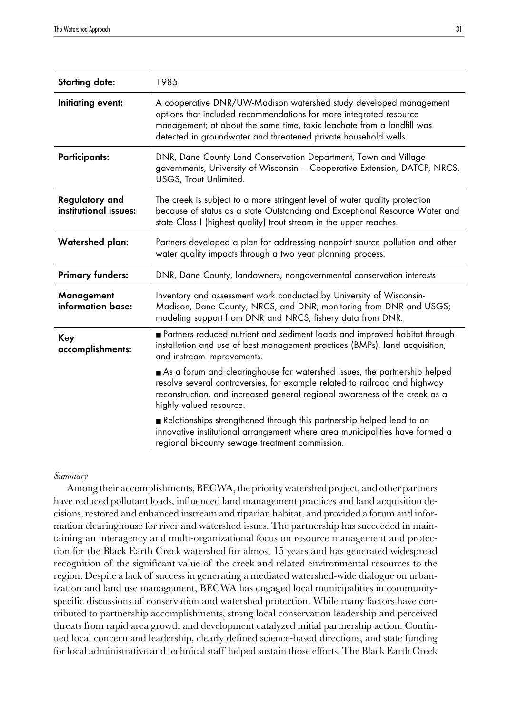| <b>Starting date:</b>                   | 1985                                                                                                                                                                                                                                                                                 |
|-----------------------------------------|--------------------------------------------------------------------------------------------------------------------------------------------------------------------------------------------------------------------------------------------------------------------------------------|
| Initiating event:                       | A cooperative DNR/UW-Madison watershed study developed management<br>options that included recommendations for more integrated resource<br>management; at about the same time, toxic leachate from a landfill was<br>detected in groundwater and threatened private household wells. |
| <b>Participants:</b>                    | DNR, Dane County Land Conservation Department, Town and Village<br>governments, University of Wisconsin - Cooperative Extension, DATCP, NRCS,<br>USGS, Trout Unlimited.                                                                                                              |
| Regulatory and<br>institutional issues: | The creek is subject to a more stringent level of water quality protection<br>because of status as a state Outstanding and Exceptional Resource Water and<br>state Class I (highest quality) trout stream in the upper reaches.                                                      |
| <b>Watershed plan:</b>                  | Partners developed a plan for addressing nonpoint source pollution and other<br>water quality impacts through a two year planning process.                                                                                                                                           |
| <b>Primary funders:</b>                 | DNR, Dane County, landowners, nongovernmental conservation interests                                                                                                                                                                                                                 |
| Management<br>information base:         | Inventory and assessment work conducted by University of Wisconsin-<br>Madison, Dane County, NRCS, and DNR; monitoring from DNR and USGS;<br>modeling support from DNR and NRCS; fishery data from DNR.                                                                              |
| Key<br>accomplishments:                 | Partners reduced nutrient and sediment loads and improved habitat through<br>installation and use of best management practices (BMPs), land acquisition,<br>and instream improvements.                                                                                               |
|                                         | As a forum and clearinghouse for watershed issues, the partnership helped<br>resolve several controversies, for example related to railroad and highway<br>reconstruction, and increased general regional awareness of the creek as a<br>highly valued resource.                     |
|                                         | Relationships strengthened through this partnership helped lead to an<br>innovative institutional arrangement where area municipalities have formed a<br>regional bi-county sewage treatment commission.                                                                             |

### *Summary*

Among their accomplishments, BECWA, the priority watershed project, and other partners have reduced pollutant loads, influenced land management practices and land acquisition decisions, restored and enhanced instream and riparian habitat, and provided a forum and information clearinghouse for river and watershed issues. The partnership has succeeded in maintaining an interagency and multi-organizational focus on resource management and protection for the Black Earth Creek watershed for almost 15 years and has generated widespread recognition of the significant value of the creek and related environmental resources to the region. Despite a lack of success in generating a mediated watershed-wide dialogue on urbanization and land use management, BECWA has engaged local municipalities in communityspecific discussions of conservation and watershed protection. While many factors have contributed to partnership accomplishments, strong local conservation leadership and perceived threats from rapid area growth and development catalyzed initial partnership action. Continued local concern and leadership, clearly defined science-based directions, and state funding for local administrative and technical staff helped sustain those efforts. The Black Earth Creek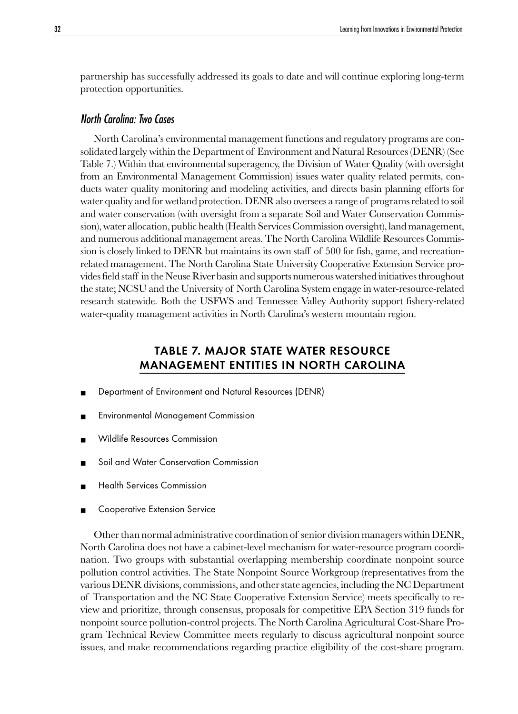<span id="page-31-0"></span>partnership has successfully addressed its goals to date and will continue exploring long-term protection opportunities.

## North Carolina: Two Cases

North Carolina's environmental management functions and regulatory programs are consolidated largely within the Department of Environment and Natural Resources (DENR) (See Table 7.) Within that environmental superagency, the Division of Water Quality (with oversight from an Environmental Management Commission) issues water quality related permits, conducts water quality monitoring and modeling activities, and directs basin planning efforts for water quality and for wetland protection. DENR also oversees a range of programs related to soil and water conservation (with oversight from a separate Soil and Water Conservation Commission), water allocation, public health (Health Services Commission oversight), land management, and numerous additional management areas. The North Carolina Wildlife Resources Commission is closely linked to DENR but maintains its own staff of 500 for fish, game, and recreationrelated management. The North Carolina State University Cooperative Extension Service provides field staff in the Neuse River basin and supports numerous watershed initiatives throughout the state; NCSU and the University of North Carolina System engage in water-resource-related research statewide. Both the USFWS and Tennessee Valley Authority support fishery-related water-quality management activities in North Carolina's western mountain region.

# TABLE 7. MAJOR STATE WATER RESOURCE MANAGEMENT ENTITIES IN NORTH CAROLINA

- Department of Environment and Natural Resources (DENR)
- **Environmental Management Commission**
- Wildlife Resources Commission
- Soil and Water Conservation Commission
- **Health Services Commission**
- Cooperative Extension Service

Other than normal administrative coordination of senior division managers within DENR, North Carolina does not have a cabinet-level mechanism for water-resource program coordination. Two groups with substantial overlapping membership coordinate nonpoint source pollution control activities. The State Nonpoint Source Workgroup (representatives from the various DENR divisions, commissions, and other state agencies, including the NC Department of Transportation and the NC State Cooperative Extension Service) meets specifically to review and prioritize, through consensus, proposals for competitive EPA Section 319 funds for nonpoint source pollution-control projects. The North Carolina Agricultural Cost-Share Program Technical Review Committee meets regularly to discuss agricultural nonpoint source issues, and make recommendations regarding practice eligibility of the cost-share program.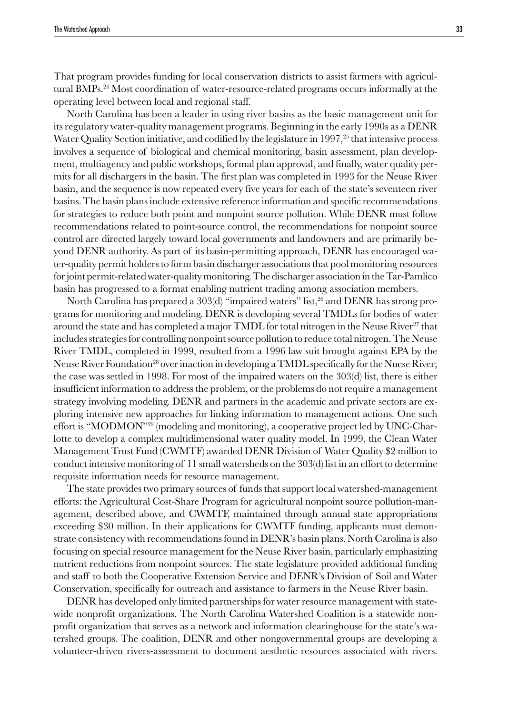That program provides funding for local conservation districts to assist farmers with agricultural BMPs.<sup>24</sup> Most coordination of water-resource-related programs occurs informally at the operating level between local and regional staff.

North Carolina has been a leader in using river basins as the basic management unit for its regulatory water-quality management programs. Beginning in the early 1990s as a DENR Water Quality Section initiative, and codified by the legislature in  $1997<sup>25</sup>$  that intensive process involves a sequence of biological and chemical monitoring, basin assessment, plan development, multiagency and public workshops, formal plan approval, and finally, water quality permits for all dischargers in the basin. The first plan was completed in 1993 for the Neuse River basin, and the sequence is now repeated every five years for each of the state's seventeen river basins. The basin plans include extensive reference information and specific recommendations for strategies to reduce both point and nonpoint source pollution. While DENR must follow recommendations related to point-source control, the recommendations for nonpoint source control are directed largely toward local governments and landowners and are primarily beyond DENR authority. As part of its basin-permitting approach, DENR has encouraged water-quality permit holders to form basin discharger associations that pool monitoring resources for joint permit-related water-quality monitoring. The discharger association in the Tar-Pamlico basin has progressed to a format enabling nutrient trading among association members.

North Carolina has prepared a 303(d) "impaired waters" list,<sup>26</sup> and DENR has strong programs for monitoring and modeling. DENR is developing several TMDLs for bodies of water around the state and has completed a major TMDL for total nitrogen in the Neuse River<sup>27</sup> that includes strategies for controlling nonpoint source pollution to reduce total nitrogen. The Neuse River TMDL, completed in 1999, resulted from a 1996 law suit brought against EPA by the Neuse River Foundation<sup>28</sup> over inaction in developing a TMDL specifically for the Nuese River; the case was settled in 1998. For most of the impaired waters on the 303(d) list, there is either insufficient information to address the problem, or the problems do not require a management strategy involving modeling. DENR and partners in the academic and private sectors are exploring intensive new approaches for linking information to management actions. One such effort is "MODMON"<sup>29</sup> (modeling and monitoring), a cooperative project led by UNC-Charlotte to develop a complex multidimensional water quality model. In 1999, the Clean Water Management Trust Fund (CWMTF) awarded DENR Division of Water Quality \$2 million to conduct intensive monitoring of 11 small watersheds on the 303(d) list in an effort to determine requisite information needs for resource management.

The state provides two primary sources of funds that support local watershed-management efforts: the Agricultural Cost-Share Program for agricultural nonpoint source pollution-management, described above, and CWMTF, maintained through annual state appropriations exceeding \$30 million. In their applications for CWMTF funding, applicants must demonstrate consistency with recommendations found in DENR's basin plans. North Carolina is also focusing on special resource management for the Neuse River basin, particularly emphasizing nutrient reductions from nonpoint sources. The state legislature provided additional funding and staff to both the Cooperative Extension Service and DENR's Division of Soil and Water Conservation, specifically for outreach and assistance to farmers in the Neuse River basin.

DENR has developed only limited partnerships for water resource management with statewide nonprofit organizations. The North Carolina Watershed Coalition is a statewide nonprofit organization that serves as a network and information clearinghouse for the state's watershed groups. The coalition, DENR and other nongovernmental groups are developing a volunteer-driven rivers-assessment to document aesthetic resources associated with rivers.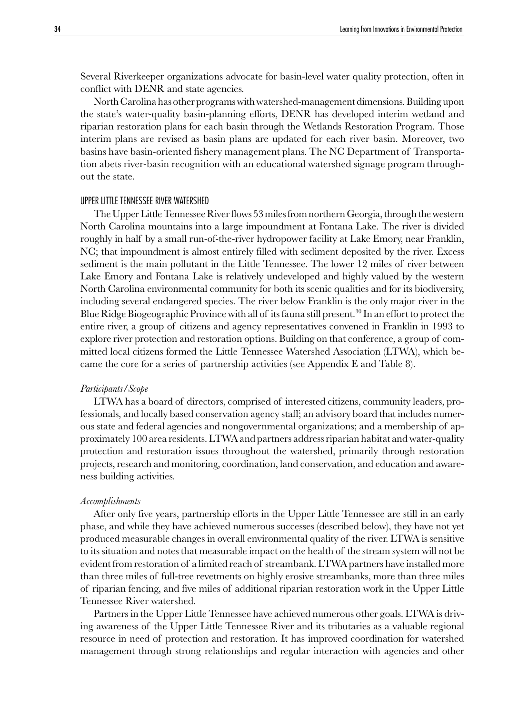Several Riverkeeper organizations advocate for basin-level water quality protection, often in conflict with DENR and state agencies.

North Carolina has other programs with watershed-management dimensions. Building upon the state's water-quality basin-planning efforts, DENR has developed interim wetland and riparian restoration plans for each basin through the Wetlands Restoration Program. Those interim plans are revised as basin plans are updated for each river basin. Moreover, two basins have basin-oriented fishery management plans. The NC Department of Transportation abets river-basin recognition with an educational watershed signage program throughout the state.

#### UPPER LITTLE TENNESSEE RIVER WATERSHED

The Upper Little Tennessee River flows 53 miles from northern Georgia, through the western North Carolina mountains into a large impoundment at Fontana Lake. The river is divided roughly in half by a small run-of-the-river hydropower facility at Lake Emory, near Franklin, NC; that impoundment is almost entirely filled with sediment deposited by the river. Excess sediment is the main pollutant in the Little Tennessee. The lower 12 miles of river between Lake Emory and Fontana Lake is relatively undeveloped and highly valued by the western North Carolina environmental community for both its scenic qualities and for its biodiversity, including several endangered species. The river below Franklin is the only major river in the Blue Ridge Biogeographic Province with all of its fauna still present.<sup>30</sup> In an effort to protect the entire river, a group of citizens and agency representatives convened in Franklin in 1993 to explore river protection and restoration options. Building on that conference, a group of committed local citizens formed the Little Tennessee Watershed Association (LTWA), which became the core for a series of partnership activities (see Appendix E and Table 8).

#### *Participants/Scope*

LTWA has a board of directors, comprised of interested citizens, community leaders, professionals, and locally based conservation agency staff; an advisory board that includes numerous state and federal agencies and nongovernmental organizations; and a membership of approximately 100 area residents. LTWA and partners address riparian habitat and water-quality protection and restoration issues throughout the watershed, primarily through restoration projects, research and monitoring, coordination, land conservation, and education and awareness building activities.

#### *Accomplishments*

After only five years, partnership efforts in the Upper Little Tennessee are still in an early phase, and while they have achieved numerous successes (described below), they have not yet produced measurable changes in overall environmental quality of the river. LTWA is sensitive to its situation and notes that measurable impact on the health of the stream system will not be evident from restoration of a limited reach of streambank. LTWA partners have installed more than three miles of full-tree revetments on highly erosive streambanks, more than three miles of riparian fencing, and five miles of additional riparian restoration work in the Upper Little Tennessee River watershed.

Partners in the Upper Little Tennessee have achieved numerous other goals. LTWA is driving awareness of the Upper Little Tennessee River and its tributaries as a valuable regional resource in need of protection and restoration. It has improved coordination for watershed management through strong relationships and regular interaction with agencies and other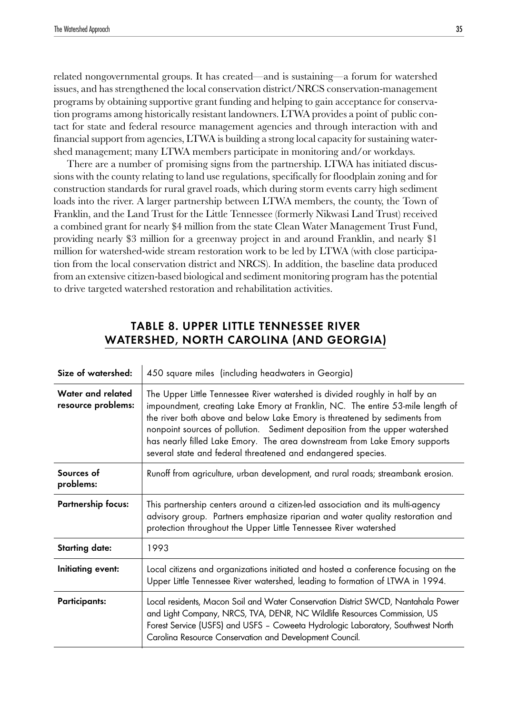related nongovernmental groups. It has created—and is sustaining—a forum for watershed issues, and has strengthened the local conservation district/NRCS conservation-management programs by obtaining supportive grant funding and helping to gain acceptance for conservation programs among historically resistant landowners. LTWA provides a point of public contact for state and federal resource management agencies and through interaction with and financial support from agencies, LTWA is building a strong local capacity for sustaining watershed management; many LTWA members participate in monitoring and/or workdays.

There are a number of promising signs from the partnership. LTWA has initiated discussions with the county relating to land use regulations, specifically for floodplain zoning and for construction standards for rural gravel roads, which during storm events carry high sediment loads into the river. A larger partnership between LTWA members, the county, the Town of Franklin, and the Land Trust for the Little Tennessee (formerly Nikwasi Land Trust) received a combined grant for nearly \$4 million from the state Clean Water Management Trust Fund, providing nearly \$3 million for a greenway project in and around Franklin, and nearly \$1 million for watershed-wide stream restoration work to be led by LTWA (with close participation from the local conservation district and NRCS). In addition, the baseline data produced from an extensive citizen-based biological and sediment monitoring program has the potential to drive targeted watershed restoration and rehabilitation activities.

# TABLE 8. UPPER LITTLE TENNESSEE RIVER WATERSHED, NORTH CAROLINA (AND GEORGIA)

| Size of watershed:                      | 450 square miles (including headwaters in Georgia)                                                                                                                                                                                                                                                                                                                                                                                                                      |
|-----------------------------------------|-------------------------------------------------------------------------------------------------------------------------------------------------------------------------------------------------------------------------------------------------------------------------------------------------------------------------------------------------------------------------------------------------------------------------------------------------------------------------|
| Water and related<br>resource problems: | The Upper Little Tennessee River watershed is divided roughly in half by an<br>impoundment, creating Lake Emory at Franklin, NC. The entire 53-mile length of<br>the river both above and below Lake Emory is threatened by sediments from<br>nonpoint sources of pollution. Sediment deposition from the upper watershed<br>has nearly filled Lake Emory. The area downstream from Lake Emory supports<br>several state and federal threatened and endangered species. |
| Sources of<br>problems:                 | Runoff from agriculture, urban development, and rural roads; streambank erosion.                                                                                                                                                                                                                                                                                                                                                                                        |
| <b>Partnership focus:</b>               | This partnership centers around a citizen-led association and its multi-agency<br>advisory group. Partners emphasize riparian and water quality restoration and<br>protection throughout the Upper Little Tennessee River watershed                                                                                                                                                                                                                                     |
| <b>Starting date:</b>                   | 1993                                                                                                                                                                                                                                                                                                                                                                                                                                                                    |
| Initiating event:                       | Local citizens and organizations initiated and hosted a conference focusing on the<br>Upper Little Tennessee River watershed, leading to formation of LTWA in 1994.                                                                                                                                                                                                                                                                                                     |
| <b>Participants:</b>                    | Local residents, Macon Soil and Water Conservation District SWCD, Nantahala Power<br>and Light Company, NRCS, TVA, DENR, NC Wildlife Resources Commission, US<br>Forest Service (USFS) and USFS - Coweeta Hydrologic Laboratory, Southwest North<br>Carolina Resource Conservation and Development Council.                                                                                                                                                             |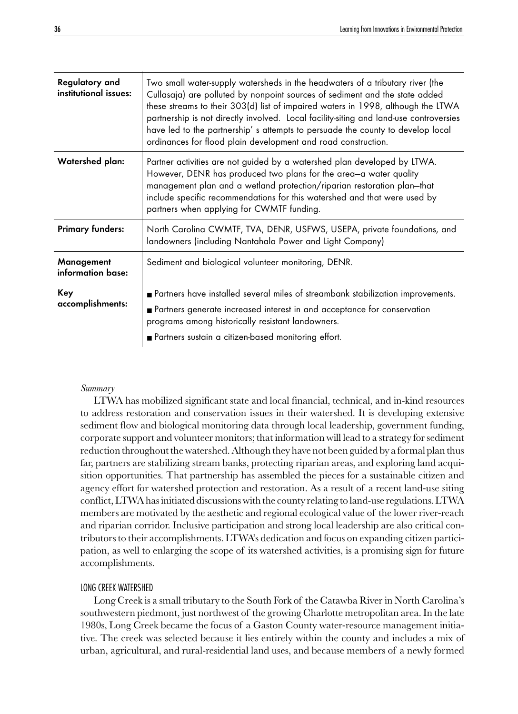| Regulatory and<br>institutional issues: | Two small water-supply watersheds in the headwaters of a tributary river (the<br>Cullasaja) are polluted by nonpoint sources of sediment and the state added<br>these streams to their 303(d) list of impaired waters in 1998, although the LTWA<br>partnership is not directly involved. Local facility-siting and land-use controversies<br>have led to the partnership's attempts to persuade the county to develop local<br>ordinances for flood plain development and road construction. |
|-----------------------------------------|-----------------------------------------------------------------------------------------------------------------------------------------------------------------------------------------------------------------------------------------------------------------------------------------------------------------------------------------------------------------------------------------------------------------------------------------------------------------------------------------------|
| Watershed plan:                         | Partner activities are not guided by a watershed plan developed by LTWA.<br>However, DENR has produced two plans for the area-a water quality<br>management plan and a wetland protection/riparian restoration plan-that<br>include specific recommendations for this watershed and that were used by<br>partners when applying for CWMTF funding.                                                                                                                                            |
| <b>Primary funders:</b>                 | North Carolina CWMTF, TVA, DENR, USFWS, USEPA, private foundations, and<br>landowners (including Nantahala Power and Light Company)                                                                                                                                                                                                                                                                                                                                                           |
| Management<br>information base:         | Sediment and biological volunteer monitoring, DENR.                                                                                                                                                                                                                                                                                                                                                                                                                                           |
| Key<br>accomplishments:                 | Partners have installed several miles of streambank stabilization improvements.<br>Partners generate increased interest in and acceptance for conservation<br>programs among historically resistant landowners.<br>Partners sustain a citizen-based monitoring effort.                                                                                                                                                                                                                        |

#### *Summary*

LTWA has mobilized significant state and local financial, technical, and in-kind resources to address restoration and conservation issues in their watershed. It is developing extensive sediment flow and biological monitoring data through local leadership, government funding, corporate support and volunteer monitors; that information will lead to a strategy for sediment reduction throughout the watershed. Although they have not been guided by a formal plan thus far, partners are stabilizing stream banks, protecting riparian areas, and exploring land acquisition opportunities. That partnership has assembled the pieces for a sustainable citizen and agency effort for watershed protection and restoration. As a result of a recent land-use siting conflict, LTWA has initiated discussions with the county relating to land-use regulations. LTWA members are motivated by the aesthetic and regional ecological value of the lower river-reach and riparian corridor. Inclusive participation and strong local leadership are also critical contributors to their accomplishments. LTWA's dedication and focus on expanding citizen participation, as well to enlarging the scope of its watershed activities, is a promising sign for future accomplishments.

## LONG CREEK WATERSHED

Long Creek is a small tributary to the South Fork of the Catawba River in North Carolina's southwestern piedmont, just northwest of the growing Charlotte metropolitan area. In the late 1980s, Long Creek became the focus of a Gaston County water-resource management initiative. The creek was selected because it lies entirely within the county and includes a mix of urban, agricultural, and rural-residential land uses, and because members of a newly formed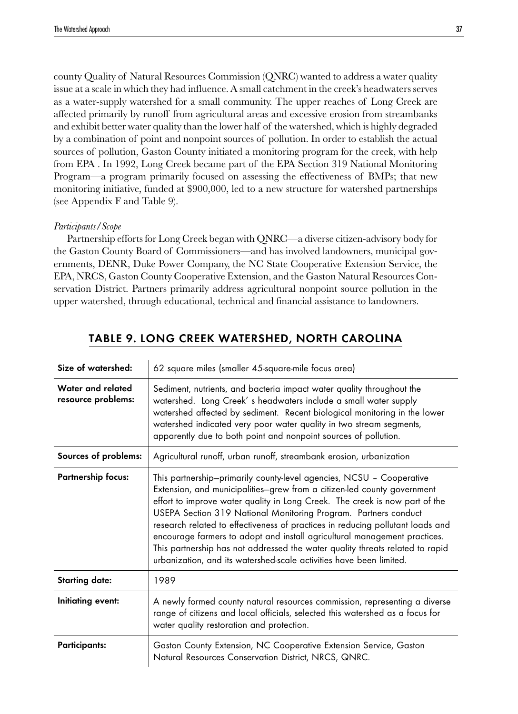county Quality of Natural Resources Commission (QNRC) wanted to address a water quality issue at a scale in which they had influence. A small catchment in the creek's headwaters serves as a water-supply watershed for a small community. The upper reaches of Long Creek are affected primarily by runoff from agricultural areas and excessive erosion from streambanks and exhibit better water quality than the lower half of the watershed, which is highly degraded by a combination of point and nonpoint sources of pollution. In order to establish the actual sources of pollution, Gaston County initiated a monitoring program for the creek, with help from EPA . In 1992, Long Creek became part of the EPA Section 319 National Monitoring Program—a program primarily focused on assessing the effectiveness of BMPs; that new monitoring initiative, funded at \$900,000, led to a new structure for watershed partnerships (see Appendix F and Table 9).

#### *Participants/Scope*

Partnership efforts for Long Creek began with QNRC—a diverse citizen-advisory body for the Gaston County Board of Commissioners—and has involved landowners, municipal governments, DENR, Duke Power Company, the NC State Cooperative Extension Service, the EPA, NRCS, Gaston County Cooperative Extension, and the Gaston Natural Resources Conservation District. Partners primarily address agricultural nonpoint source pollution in the upper watershed, through educational, technical and financial assistance to landowners.

| Size of watershed:                      | 62 square miles (smaller 45-square-mile focus area)                                                                                                                                                                                                                                                                                                                                                                                                                                                                                                                                                                      |
|-----------------------------------------|--------------------------------------------------------------------------------------------------------------------------------------------------------------------------------------------------------------------------------------------------------------------------------------------------------------------------------------------------------------------------------------------------------------------------------------------------------------------------------------------------------------------------------------------------------------------------------------------------------------------------|
| Water and related<br>resource problems: | Sediment, nutrients, and bacteria impact water quality throughout the<br>watershed. Long Creek's headwaters include a small water supply<br>watershed affected by sediment. Recent biological monitoring in the lower<br>watershed indicated very poor water quality in two stream segments,<br>apparently due to both point and nonpoint sources of pollution.                                                                                                                                                                                                                                                          |
| Sources of problems:                    | Agricultural runoff, urban runoff, streambank erosion, urbanization                                                                                                                                                                                                                                                                                                                                                                                                                                                                                                                                                      |
| <b>Partnership focus:</b>               | This partnership-primarily county-level agencies, NCSU - Cooperative<br>Extension, and municipalities-grew from a citizen-led county government<br>effort to improve water quality in Long Creek. The creek is now part of the<br>USEPA Section 319 National Monitoring Program. Partners conduct<br>research related to effectiveness of practices in reducing pollutant loads and<br>encourage farmers to adopt and install agricultural management practices.<br>This partnership has not addressed the water quality threats related to rapid<br>urbanization, and its watershed-scale activities have been limited. |
| <b>Starting date:</b>                   | 1989                                                                                                                                                                                                                                                                                                                                                                                                                                                                                                                                                                                                                     |
| Initiating event:                       | A newly formed county natural resources commission, representing a diverse<br>range of citizens and local officials, selected this watershed as a focus for<br>water quality restoration and protection.                                                                                                                                                                                                                                                                                                                                                                                                                 |
| <b>Participants:</b>                    | Gaston County Extension, NC Cooperative Extension Service, Gaston<br>Natural Resources Conservation District, NRCS, QNRC.                                                                                                                                                                                                                                                                                                                                                                                                                                                                                                |

#### TABLE 9. LONG CREEK WATERSHED, NORTH CAROLINA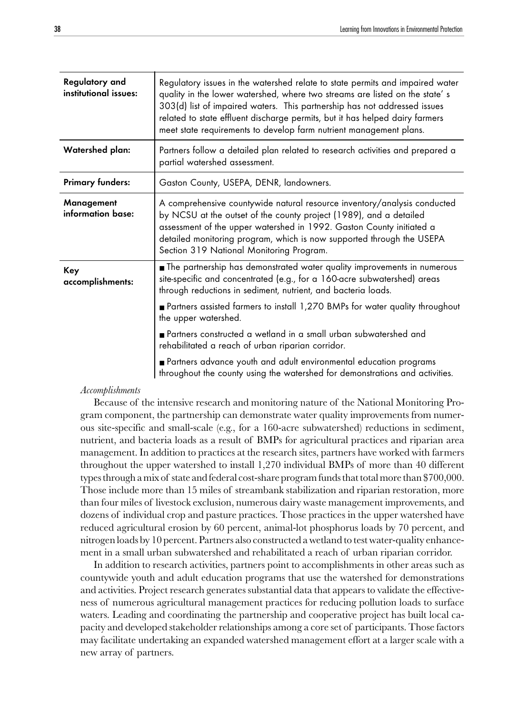| Regulatory and<br>institutional issues: | Regulatory issues in the watershed relate to state permits and impaired water<br>quality in the lower watershed, where two streams are listed on the state's<br>303(d) list of impaired waters. This partnership has not addressed issues<br>related to state effluent discharge permits, but it has helped dairy farmers<br>meet state requirements to develop farm nutrient management plans. |
|-----------------------------------------|-------------------------------------------------------------------------------------------------------------------------------------------------------------------------------------------------------------------------------------------------------------------------------------------------------------------------------------------------------------------------------------------------|
| Watershed plan:                         | Partners follow a detailed plan related to research activities and prepared a<br>partial watershed assessment.                                                                                                                                                                                                                                                                                  |
| <b>Primary funders:</b>                 | Gaston County, USEPA, DENR, landowners.                                                                                                                                                                                                                                                                                                                                                         |
| Management<br>information base:         | A comprehensive countywide natural resource inventory/analysis conducted<br>by NCSU at the outset of the county project (1989), and a detailed<br>assessment of the upper watershed in 1992. Gaston County initiated a<br>detailed monitoring program, which is now supported through the USEPA<br>Section 319 National Monitoring Program.                                                     |
| Key<br>accomplishments:                 | The partnership has demonstrated water quality improvements in numerous<br>site-specific and concentrated (e.g., for a 160-acre subwatershed) areas<br>through reductions in sediment, nutrient, and bacteria loads.<br>Partners assisted farmers to install 1,270 BMPs for water quality throughout                                                                                            |
|                                         | the upper watershed.                                                                                                                                                                                                                                                                                                                                                                            |
|                                         | Partners constructed a wetland in a small urban subwatershed and<br>rehabilitated a reach of urban riparian corridor.                                                                                                                                                                                                                                                                           |
|                                         | Partners advance youth and adult environmental education programs<br>throughout the county using the watershed for demonstrations and activities.                                                                                                                                                                                                                                               |

#### *Accomplishments*

Because of the intensive research and monitoring nature of the National Monitoring Program component, the partnership can demonstrate water quality improvements from numerous site-specific and small-scale (e.g., for a 160-acre subwatershed) reductions in sediment, nutrient, and bacteria loads as a result of BMPs for agricultural practices and riparian area management. In addition to practices at the research sites, partners have worked with farmers throughout the upper watershed to install 1,270 individual BMPs of more than 40 different types through a mix of state and federal cost-share program funds that total more than \$700,000. Those include more than 15 miles of streambank stabilization and riparian restoration, more than four miles of livestock exclusion, numerous dairy waste management improvements, and dozens of individual crop and pasture practices. Those practices in the upper watershed have reduced agricultural erosion by 60 percent, animal-lot phosphorus loads by 70 percent, and nitrogen loads by 10 percent. Partners also constructed a wetland to test water-quality enhancement in a small urban subwatershed and rehabilitated a reach of urban riparian corridor.

In addition to research activities, partners point to accomplishments in other areas such as countywide youth and adult education programs that use the watershed for demonstrations and activities. Project research generates substantial data that appears to validate the effectiveness of numerous agricultural management practices for reducing pollution loads to surface waters. Leading and coordinating the partnership and cooperative project has built local capacity and developed stakeholder relationships among a core set of participants. Those factors may facilitate undertaking an expanded watershed management effort at a larger scale with a new array of partners.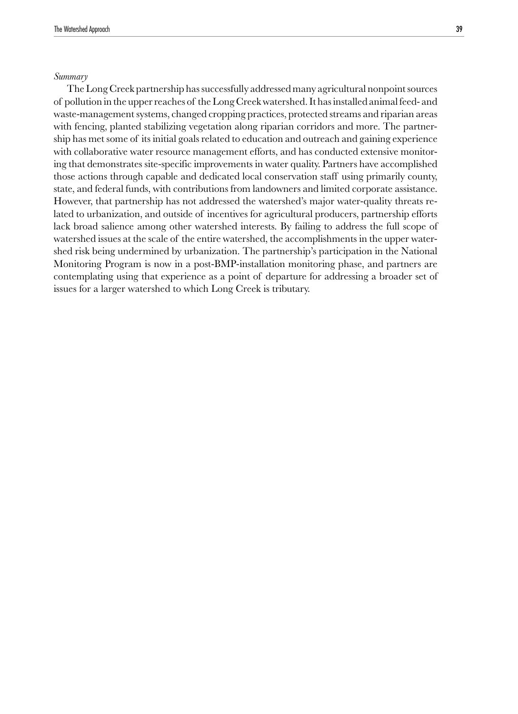#### *Summary*

The Long Creek partnership has successfully addressed many agricultural nonpoint sources of pollution in the upper reaches of the Long Creek watershed. It has installed animal feed- and waste-management systems, changed cropping practices, protected streams and riparian areas with fencing, planted stabilizing vegetation along riparian corridors and more. The partnership has met some of its initial goals related to education and outreach and gaining experience with collaborative water resource management efforts, and has conducted extensive monitoring that demonstrates site-specific improvements in water quality. Partners have accomplished those actions through capable and dedicated local conservation staff using primarily county, state, and federal funds, with contributions from landowners and limited corporate assistance. However, that partnership has not addressed the watershed's major water-quality threats related to urbanization, and outside of incentives for agricultural producers, partnership efforts lack broad salience among other watershed interests. By failing to address the full scope of watershed issues at the scale of the entire watershed, the accomplishments in the upper watershed risk being undermined by urbanization. The partnership's participation in the National Monitoring Program is now in a post-BMP-installation monitoring phase, and partners are contemplating using that experience as a point of departure for addressing a broader set of issues for a larger watershed to which Long Creek is tributary.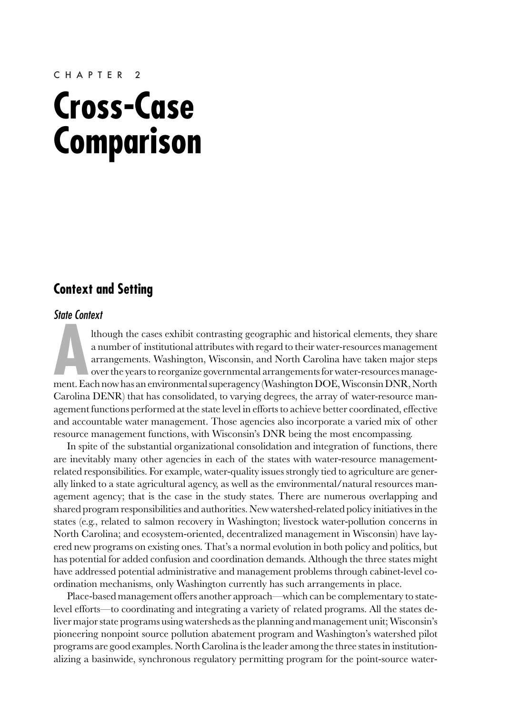#### CHAPTER 2

# **Cross-Case Comparison**

# **Context and Setting**

#### State Context

Ithough the cases exhibit contrasting geographic and historical elements, they share<br>a number of institutional attributes with regard to their water-resources management<br>arrangements. Washington, Wisconsin, and North Carol lthough the cases exhibit contrasting geographic and historical elements, they share a number of institutional attributes with regard to their water-resources management arrangements. Washington, Wisconsin, and North Carolina have taken major steps over the years to reorganize governmental arrangements for water-resources manage-Carolina DENR) that has consolidated, to varying degrees, the array of water-resource management functions performed at the state level in efforts to achieve better coordinated, effective and accountable water management. Those agencies also incorporate a varied mix of other resource management functions, with Wisconsin's DNR being the most encompassing.

In spite of the substantial organizational consolidation and integration of functions, there are inevitably many other agencies in each of the states with water-resource managementrelated responsibilities. For example, water-quality issues strongly tied to agriculture are generally linked to a state agricultural agency, as well as the environmental/natural resources management agency; that is the case in the study states. There are numerous overlapping and shared program responsibilities and authorities. New watershed-related policy initiatives in the states (e.g., related to salmon recovery in Washington; livestock water-pollution concerns in North Carolina; and ecosystem-oriented, decentralized management in Wisconsin) have layered new programs on existing ones. That's a normal evolution in both policy and politics, but has potential for added confusion and coordination demands. Although the three states might have addressed potential administrative and management problems through cabinet-level coordination mechanisms, only Washington currently has such arrangements in place.

Place-based management offers another approach—which can be complementary to statelevel efforts—to coordinating and integrating a variety of related programs. All the states deliver major state programs using watersheds as the planning and management unit; Wisconsin's pioneering nonpoint source pollution abatement program and Washington's watershed pilot programs are good examples. North Carolina is the leader among the three states in institutionalizing a basinwide, synchronous regulatory permitting program for the point-source water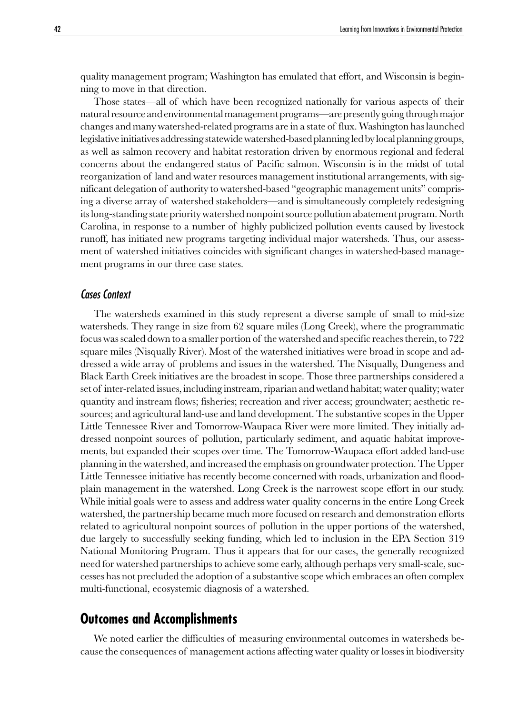quality management program; Washington has emulated that effort, and Wisconsin is beginning to move in that direction.

Those states—all of which have been recognized nationally for various aspects of their natural resource and environmental management programs—are presently going through major changes and many watershed-related programs are in a state of flux. Washington has launched legislative initiatives addressing statewide watershed-based planning led by local planning groups, as well as salmon recovery and habitat restoration driven by enormous regional and federal concerns about the endangered status of Pacific salmon. Wisconsin is in the midst of total reorganization of land and water resources management institutional arrangements, with significant delegation of authority to watershed-based "geographic management units" comprising a diverse array of watershed stakeholders—and is simultaneously completely redesigning its long-standing state priority watershed nonpoint source pollution abatement program. North Carolina, in response to a number of highly publicized pollution events caused by livestock runoff, has initiated new programs targeting individual major watersheds. Thus, our assessment of watershed initiatives coincides with significant changes in watershed-based management programs in our three case states.

#### Cases Context

The watersheds examined in this study represent a diverse sample of small to mid-size watersheds. They range in size from 62 square miles (Long Creek), where the programmatic focus was scaled down to a smaller portion of the watershed and specific reaches therein, to 722 square miles (Nisqually River). Most of the watershed initiatives were broad in scope and addressed a wide array of problems and issues in the watershed. The Nisqually, Dungeness and Black Earth Creek initiatives are the broadest in scope. Those three partnerships considered a set of inter-related issues, including instream, riparian and wetland habitat; water quality; water quantity and instream flows; fisheries; recreation and river access; groundwater; aesthetic resources; and agricultural land-use and land development. The substantive scopes in the Upper Little Tennessee River and Tomorrow-Waupaca River were more limited. They initially addressed nonpoint sources of pollution, particularly sediment, and aquatic habitat improvements, but expanded their scopes over time. The Tomorrow-Waupaca effort added land-use planning in the watershed, and increased the emphasis on groundwater protection. The Upper Little Tennessee initiative has recently become concerned with roads, urbanization and floodplain management in the watershed. Long Creek is the narrowest scope effort in our study. While initial goals were to assess and address water quality concerns in the entire Long Creek watershed, the partnership became much more focused on research and demonstration efforts related to agricultural nonpoint sources of pollution in the upper portions of the watershed, due largely to successfully seeking funding, which led to inclusion in the EPA Section 319 National Monitoring Program. Thus it appears that for our cases, the generally recognized need for watershed partnerships to achieve some early, although perhaps very small-scale, successes has not precluded the adoption of a substantive scope which embraces an often complex multi-functional, ecosystemic diagnosis of a watershed.

### **Outcomes and Accomplishments**

We noted earlier the difficulties of measuring environmental outcomes in watersheds because the consequences of management actions affecting water quality or losses in biodiversity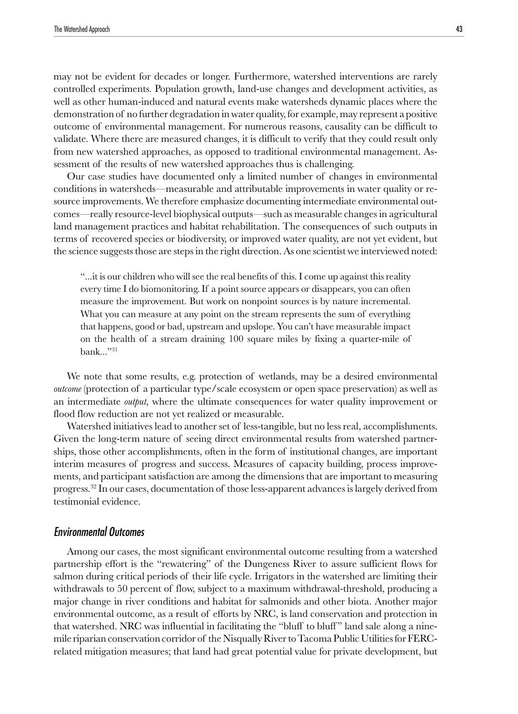may not be evident for decades or longer. Furthermore, watershed interventions are rarely controlled experiments. Population growth, land-use changes and development activities, as well as other human-induced and natural events make watersheds dynamic places where the demonstration of no further degradation in water quality, for example, may represent a positive outcome of environmental management. For numerous reasons, causality can be difficult to validate. Where there are measured changes, it is difficult to verify that they could result only from new watershed approaches, as opposed to traditional environmental management. Assessment of the results of new watershed approaches thus is challenging.

Our case studies have documented only a limited number of changes in environmental conditions in watersheds—measurable and attributable improvements in water quality or resource improvements. We therefore emphasize documenting intermediate environmental outcomes—really resource-level biophysical outputs—such as measurable changes in agricultural land management practices and habitat rehabilitation. The consequences of such outputs in terms of recovered species or biodiversity, or improved water quality, are not yet evident, but the science suggests those are steps in the right direction. As one scientist we interviewed noted:

"...it is our children who will see the real benefits of this. I come up against this reality every time I do biomonitoring. If a point source appears or disappears, you can often measure the improvement. But work on nonpoint sources is by nature incremental. What you can measure at any point on the stream represents the sum of everything that happens, good or bad, upstream and upslope. You can't have measurable impact on the health of a stream draining 100 square miles by fixing a quarter-mile of bank..." $31$ 

We note that some results, e.g. protection of wetlands, may be a desired environmental *outcome* (protection of a particular type/scale ecosystem or open space preservation) as well as an intermediate *output*, where the ultimate consequences for water quality improvement or flood flow reduction are not yet realized or measurable.

Watershed initiatives lead to another set of less-tangible, but no less real, accomplishments. Given the long-term nature of seeing direct environmental results from watershed partnerships, those other accomplishments, often in the form of institutional changes, are important interim measures of progress and success. Measures of capacity building, process improvements, and participant satisfaction are among the dimensions that are important to measuring progress.32 In our cases, documentation of those less-apparent advances is largely derived from testimonial evidence.

#### Environmental Outcomes

Among our cases, the most significant environmental outcome resulting from a watershed partnership effort is the "rewatering" of the Dungeness River to assure sufficient flows for salmon during critical periods of their life cycle. Irrigators in the watershed are limiting their withdrawals to 50 percent of flow, subject to a maximum withdrawal-threshold, producing a major change in river conditions and habitat for salmonids and other biota. Another major environmental outcome, as a result of efforts by NRC, is land conservation and protection in that watershed. NRC was influential in facilitating the "bluff to bluff " land sale along a ninemile riparian conservation corridor of the Nisqually River to Tacoma Public Utilities for FERCrelated mitigation measures; that land had great potential value for private development, but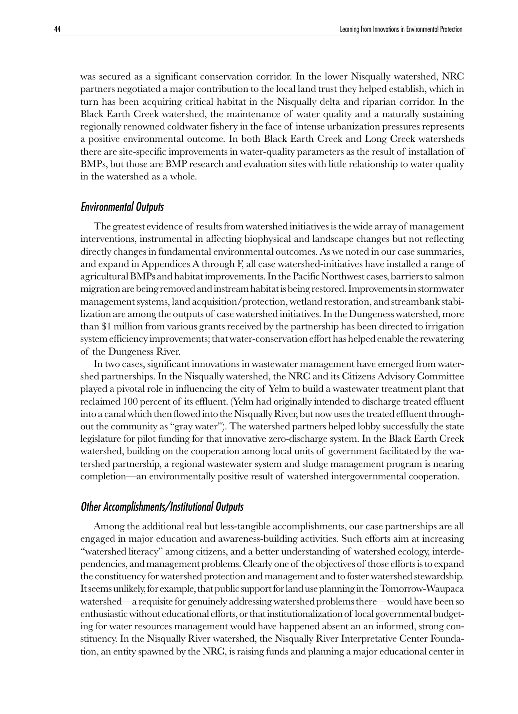was secured as a significant conservation corridor. In the lower Nisqually watershed, NRC partners negotiated a major contribution to the local land trust they helped establish, which in turn has been acquiring critical habitat in the Nisqually delta and riparian corridor. In the Black Earth Creek watershed, the maintenance of water quality and a naturally sustaining regionally renowned coldwater fishery in the face of intense urbanization pressures represents a positive environmental outcome. In both Black Earth Creek and Long Creek watersheds there are site-specific improvements in water-quality parameters as the result of installation of BMPs, but those are BMP research and evaluation sites with little relationship to water quality in the watershed as a whole.

#### Environmental Outputs

The greatest evidence of results from watershed initiatives is the wide array of management interventions, instrumental in affecting biophysical and landscape changes but not reflecting directly changes in fundamental environmental outcomes. As we noted in our case summaries, and expand in Appendices A through F, all case watershed-initiatives have installed a range of agricultural BMPs and habitat improvements. In the Pacific Northwest cases, barriers to salmon migration are being removed and instream habitat is being restored. Improvements in stormwater management systems, land acquisition/protection, wetland restoration, and streambank stabilization are among the outputs of case watershed initiatives. In the Dungeness watershed, more than \$1 million from various grants received by the partnership has been directed to irrigation system efficiency improvements; that water-conservation effort has helped enable the rewatering of the Dungeness River.

In two cases, significant innovations in wastewater management have emerged from watershed partnerships. In the Nisqually watershed, the NRC and its Citizens Advisory Committee played a pivotal role in influencing the city of Yelm to build a wastewater treatment plant that reclaimed 100 percent of its effluent. (Yelm had originally intended to discharge treated effluent into a canal which then flowed into the Nisqually River, but now uses the treated effluent throughout the community as "gray water"). The watershed partners helped lobby successfully the state legislature for pilot funding for that innovative zero-discharge system. In the Black Earth Creek watershed, building on the cooperation among local units of government facilitated by the watershed partnership, a regional wastewater system and sludge management program is nearing completion—an environmentally positive result of watershed intergovernmental cooperation.

#### Other Accomplishments/Institutional Outputs

Among the additional real but less-tangible accomplishments, our case partnerships are all engaged in major education and awareness-building activities. Such efforts aim at increasing "watershed literacy" among citizens, and a better understanding of watershed ecology, interdependencies, and management problems. Clearly one of the objectives of those efforts is to expand the constituency for watershed protection and management and to foster watershed stewardship. It seems unlikely, for example, that public support for land use planning in the Tomorrow-Waupaca watershed—a requisite for genuinely addressing watershed problems there—would have been so enthusiastic without educational efforts, or that institutionalization of local governmental budgeting for water resources management would have happened absent an an informed, strong constituency. In the Nisqually River watershed, the Nisqually River Interpretative Center Foundation, an entity spawned by the NRC, is raising funds and planning a major educational center in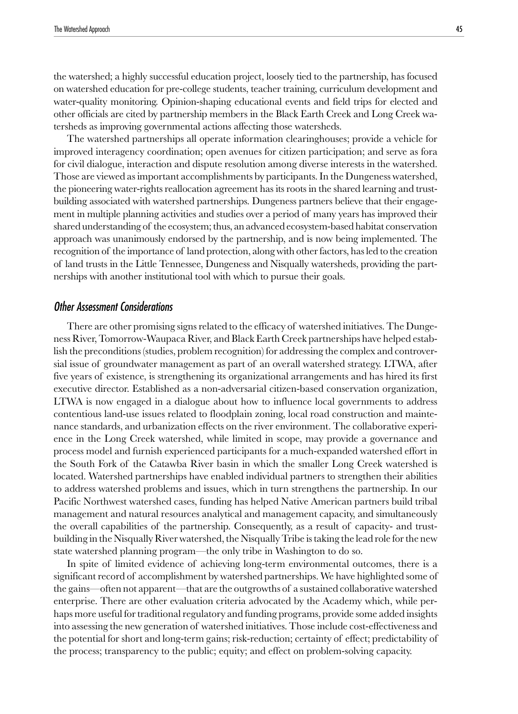the watershed; a highly successful education project, loosely tied to the partnership, has focused on watershed education for pre-college students, teacher training, curriculum development and water-quality monitoring. Opinion-shaping educational events and field trips for elected and other officials are cited by partnership members in the Black Earth Creek and Long Creek watersheds as improving governmental actions affecting those watersheds.

The watershed partnerships all operate information clearinghouses; provide a vehicle for improved interagency coordination; open avenues for citizen participation; and serve as fora for civil dialogue, interaction and dispute resolution among diverse interests in the watershed. Those are viewed as important accomplishments by participants. In the Dungeness watershed, the pioneering water-rights reallocation agreement has its roots in the shared learning and trustbuilding associated with watershed partnerships. Dungeness partners believe that their engagement in multiple planning activities and studies over a period of many years has improved their shared understanding of the ecosystem; thus, an advanced ecosystem-based habitat conservation approach was unanimously endorsed by the partnership, and is now being implemented. The recognition of the importance of land protection, along with other factors, has led to the creation of land trusts in the Little Tennessee, Dungeness and Nisqually watersheds, providing the partnerships with another institutional tool with which to pursue their goals.

#### Other Assessment Considerations

There are other promising signs related to the efficacy of watershed initiatives. The Dungeness River, Tomorrow-Waupaca River, and Black Earth Creek partnerships have helped establish the preconditions (studies, problem recognition) for addressing the complex and controversial issue of groundwater management as part of an overall watershed strategy. LTWA, after five years of existence, is strengthening its organizational arrangements and has hired its first executive director. Established as a non-adversarial citizen-based conservation organization, LTWA is now engaged in a dialogue about how to influence local governments to address contentious land-use issues related to floodplain zoning, local road construction and maintenance standards, and urbanization effects on the river environment. The collaborative experience in the Long Creek watershed, while limited in scope, may provide a governance and process model and furnish experienced participants for a much-expanded watershed effort in the South Fork of the Catawba River basin in which the smaller Long Creek watershed is located. Watershed partnerships have enabled individual partners to strengthen their abilities to address watershed problems and issues, which in turn strengthens the partnership. In our Pacific Northwest watershed cases, funding has helped Native American partners build tribal management and natural resources analytical and management capacity, and simultaneously the overall capabilities of the partnership. Consequently, as a result of capacity- and trustbuilding in the Nisqually River watershed, the Nisqually Tribe is taking the lead role for the new state watershed planning program—the only tribe in Washington to do so.

In spite of limited evidence of achieving long-term environmental outcomes, there is a significant record of accomplishment by watershed partnerships. We have highlighted some of the gains—often not apparent—that are the outgrowths of a sustained collaborative watershed enterprise. There are other evaluation criteria advocated by the Academy which, while perhaps more useful for traditional regulatory and funding programs, provide some added insights into assessing the new generation of watershed initiatives. Those include cost-effectiveness and the potential for short and long-term gains; risk-reduction; certainty of effect; predictability of the process; transparency to the public; equity; and effect on problem-solving capacity.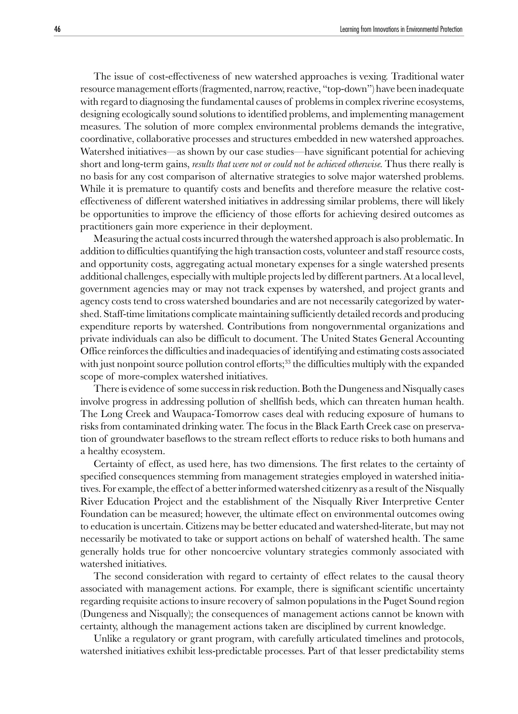The issue of cost-effectiveness of new watershed approaches is vexing. Traditional water resource management efforts (fragmented, narrow, reactive, "top-down") have been inadequate with regard to diagnosing the fundamental causes of problems in complex riverine ecosystems, designing ecologically sound solutions to identified problems, and implementing management measures. The solution of more complex environmental problems demands the integrative, coordinative, collaborative processes and structures embedded in new watershed approaches. Watershed initiatives—as shown by our case studies—have significant potential for achieving short and long-term gains, *results that were not or could not be achieved otherwise.* Thus there really is no basis for any cost comparison of alternative strategies to solve major watershed problems. While it is premature to quantify costs and benefits and therefore measure the relative costeffectiveness of different watershed initiatives in addressing similar problems, there will likely be opportunities to improve the efficiency of those efforts for achieving desired outcomes as practitioners gain more experience in their deployment.

Measuring the actual costs incurred through the watershed approach is also problematic. In addition to difficulties quantifying the high transaction costs, volunteer and staff resource costs, and opportunity costs, aggregating actual monetary expenses for a single watershed presents additional challenges, especially with multiple projects led by different partners. At a local level, government agencies may or may not track expenses by watershed, and project grants and agency costs tend to cross watershed boundaries and are not necessarily categorized by watershed. Staff-time limitations complicate maintaining sufficiently detailed records and producing expenditure reports by watershed. Contributions from nongovernmental organizations and private individuals can also be difficult to document. The United States General Accounting Office reinforces the difficulties and inadequacies of identifying and estimating costs associated with just nonpoint source pollution control efforts;<sup>33</sup> the difficulties multiply with the expanded scope of more-complex watershed initiatives.

There is evidence of some success in risk reduction. Both the Dungeness and Nisqually cases involve progress in addressing pollution of shellfish beds, which can threaten human health. The Long Creek and Waupaca-Tomorrow cases deal with reducing exposure of humans to risks from contaminated drinking water. The focus in the Black Earth Creek case on preservation of groundwater baseflows to the stream reflect efforts to reduce risks to both humans and a healthy ecosystem.

Certainty of effect, as used here, has two dimensions. The first relates to the certainty of specified consequences stemming from management strategies employed in watershed initiatives. For example, the effect of a better informed watershed citizenry as a result of the Nisqually River Education Project and the establishment of the Nisqually River Interpretive Center Foundation can be measured; however, the ultimate effect on environmental outcomes owing to education is uncertain. Citizens may be better educated and watershed-literate, but may not necessarily be motivated to take or support actions on behalf of watershed health. The same generally holds true for other noncoercive voluntary strategies commonly associated with watershed initiatives.

The second consideration with regard to certainty of effect relates to the causal theory associated with management actions. For example, there is significant scientific uncertainty regarding requisite actions to insure recovery of salmon populations in the Puget Sound region (Dungeness and Nisqually); the consequences of management actions cannot be known with certainty, although the management actions taken are disciplined by current knowledge.

Unlike a regulatory or grant program, with carefully articulated timelines and protocols, watershed initiatives exhibit less-predictable processes. Part of that lesser predictability stems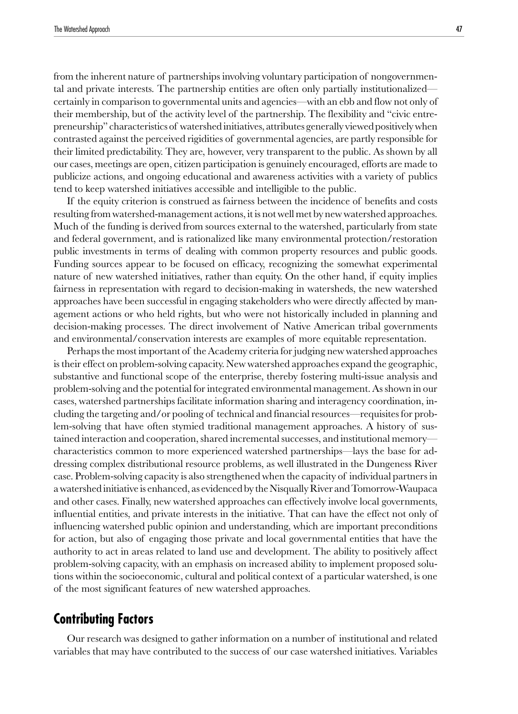from the inherent nature of partnerships involving voluntary participation of nongovernmental and private interests. The partnership entities are often only partially institutionalized certainly in comparison to governmental units and agencies—with an ebb and flow not only of their membership, but of the activity level of the partnership. The flexibility and "civic entrepreneurship" characteristics of watershed initiatives, attributes generally viewed positively when contrasted against the perceived rigidities of governmental agencies, are partly responsible for their limited predictability. They are, however, very transparent to the public. As shown by all our cases, meetings are open, citizen participation is genuinely encouraged, efforts are made to publicize actions, and ongoing educational and awareness activities with a variety of publics tend to keep watershed initiatives accessible and intelligible to the public.

If the equity criterion is construed as fairness between the incidence of benefits and costs resulting from watershed-management actions, it is not well met by new watershed approaches. Much of the funding is derived from sources external to the watershed, particularly from state and federal government, and is rationalized like many environmental protection/restoration public investments in terms of dealing with common property resources and public goods. Funding sources appear to be focused on efficacy, recognizing the somewhat experimental nature of new watershed initiatives, rather than equity. On the other hand, if equity implies fairness in representation with regard to decision-making in watersheds, the new watershed approaches have been successful in engaging stakeholders who were directly affected by management actions or who held rights, but who were not historically included in planning and decision-making processes. The direct involvement of Native American tribal governments and environmental/conservation interests are examples of more equitable representation.

Perhaps the most important of the Academy criteria for judging new watershed approaches is their effect on problem-solving capacity. New watershed approaches expand the geographic, substantive and functional scope of the enterprise, thereby fostering multi-issue analysis and problem-solving and the potential for integrated environmental management. As shown in our cases, watershed partnerships facilitate information sharing and interagency coordination, including the targeting and/or pooling of technical and financial resources—requisites for problem-solving that have often stymied traditional management approaches. A history of sustained interaction and cooperation, shared incremental successes, and institutional memory characteristics common to more experienced watershed partnerships—lays the base for addressing complex distributional resource problems, as well illustrated in the Dungeness River case. Problem-solving capacity is also strengthened when the capacity of individual partners in a watershed initiative is enhanced, as evidenced by the Nisqually River and Tomorrow-Waupaca and other cases. Finally, new watershed approaches can effectively involve local governments, influential entities, and private interests in the initiative. That can have the effect not only of influencing watershed public opinion and understanding, which are important preconditions for action, but also of engaging those private and local governmental entities that have the authority to act in areas related to land use and development. The ability to positively affect problem-solving capacity, with an emphasis on increased ability to implement proposed solutions within the socioeconomic, cultural and political context of a particular watershed, is one of the most significant features of new watershed approaches.

### **Contributing Factors**

Our research was designed to gather information on a number of institutional and related variables that may have contributed to the success of our case watershed initiatives. Variables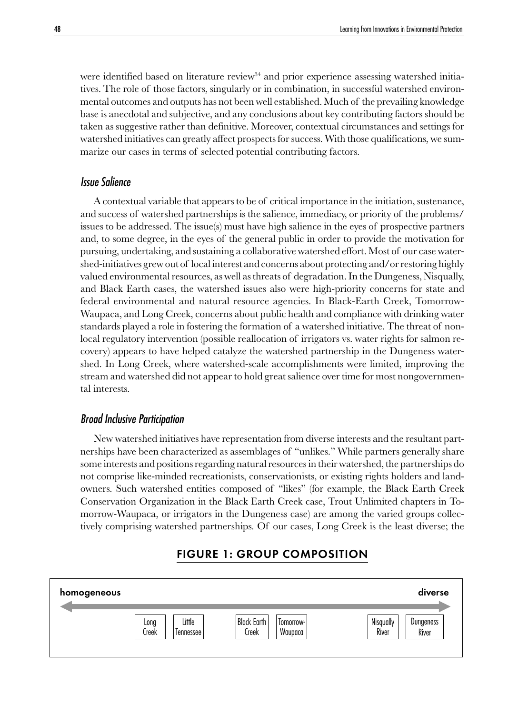were identified based on literature review<sup>34</sup> and prior experience assessing watershed initiatives. The role of those factors, singularly or in combination, in successful watershed environmental outcomes and outputs has not been well established. Much of the prevailing knowledge base is anecdotal and subjective, and any conclusions about key contributing factors should be taken as suggestive rather than definitive. Moreover, contextual circumstances and settings for watershed initiatives can greatly affect prospects for success. With those qualifications, we summarize our cases in terms of selected potential contributing factors.

#### Issue Salience

A contextual variable that appears to be of critical importance in the initiation, sustenance, and success of watershed partnerships is the salience, immediacy, or priority of the problems/ issues to be addressed. The issue(s) must have high salience in the eyes of prospective partners and, to some degree, in the eyes of the general public in order to provide the motivation for pursuing, undertaking, and sustaining a collaborative watershed effort. Most of our case watershed-initiatives grew out of local interest and concerns about protecting and/or restoring highly valued environmental resources, as well as threats of degradation. In the Dungeness, Nisqually, and Black Earth cases, the watershed issues also were high-priority concerns for state and federal environmental and natural resource agencies. In Black-Earth Creek, Tomorrow-Waupaca, and Long Creek, concerns about public health and compliance with drinking water standards played a role in fostering the formation of a watershed initiative. The threat of nonlocal regulatory intervention (possible reallocation of irrigators vs. water rights for salmon recovery) appears to have helped catalyze the watershed partnership in the Dungeness watershed. In Long Creek, where watershed-scale accomplishments were limited, improving the stream and watershed did not appear to hold great salience over time for most nongovernmental interests.

#### Broad Inclusive Participation

New watershed initiatives have representation from diverse interests and the resultant partnerships have been characterized as assemblages of "unlikes." While partners generally share some interests and positions regarding natural resources in their watershed, the partnerships do not comprise like-minded recreationists, conservationists, or existing rights holders and landowners. Such watershed entities composed of "likes" (for example, the Black Earth Creek Conservation Organization in the Black Earth Creek case, Trout Unlimited chapters in Tomorrow-Waupaca, or irrigators in the Dungeness case) are among the varied groups collectively comprising watershed partnerships. Of our cases, Long Creek is the least diverse; the

#### **Tomorrow-**Waupaca Black Earth Creek Little Tennessee Long Creek **Nisqually** River **Dungeness** River homogeneous diverse diverse and the set of the set of the set of the set of the set of the set of the set of t

#### FIGURE 1: GROUP COMPOSITION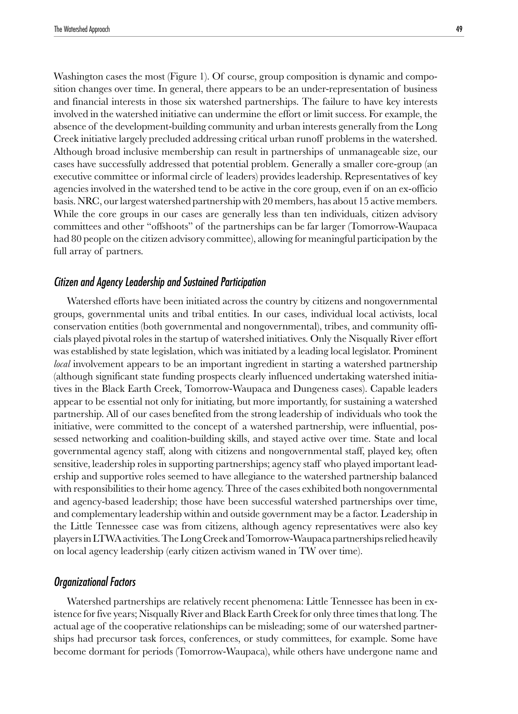Washington cases the most (Figure 1). Of course, group composition is dynamic and composition changes over time. In general, there appears to be an under-representation of business and financial interests in those six watershed partnerships. The failure to have key interests involved in the watershed initiative can undermine the effort or limit success. For example, the absence of the development-building community and urban interests generally from the Long Creek initiative largely precluded addressing critical urban runoff problems in the watershed. Although broad inclusive membership can result in partnerships of unmanageable size, our cases have successfully addressed that potential problem. Generally a smaller core-group (an executive committee or informal circle of leaders) provides leadership. Representatives of key agencies involved in the watershed tend to be active in the core group, even if on an ex-officio basis. NRC, our largest watershed partnership with 20 members, has about 15 active members. While the core groups in our cases are generally less than ten individuals, citizen advisory committees and other "offshoots" of the partnerships can be far larger (Tomorrow-Waupaca had 80 people on the citizen advisory committee), allowing for meaningful participation by the full array of partners.

#### Citizen and Agency Leadership and Sustained Participation

Watershed efforts have been initiated across the country by citizens and nongovernmental groups, governmental units and tribal entities. In our cases, individual local activists, local conservation entities (both governmental and nongovernmental), tribes, and community officials played pivotal roles in the startup of watershed initiatives. Only the Nisqually River effort was established by state legislation, which was initiated by a leading local legislator. Prominent *local* involvement appears to be an important ingredient in starting a watershed partnership (although significant state funding prospects clearly influenced undertaking watershed initiatives in the Black Earth Creek, Tomorrow-Waupaca and Dungeness cases). Capable leaders appear to be essential not only for initiating, but more importantly, for sustaining a watershed partnership. All of our cases benefited from the strong leadership of individuals who took the initiative, were committed to the concept of a watershed partnership, were influential, possessed networking and coalition-building skills, and stayed active over time. State and local governmental agency staff, along with citizens and nongovernmental staff, played key, often sensitive, leadership roles in supporting partnerships; agency staff who played important leadership and supportive roles seemed to have allegiance to the watershed partnership balanced with responsibilities to their home agency. Three of the cases exhibited both nongovernmental and agency-based leadership; those have been successful watershed partnerships over time, and complementary leadership within and outside government may be a factor. Leadership in the Little Tennessee case was from citizens, although agency representatives were also key players in LTWA activities. The Long Creek and Tomorrow-Waupaca partnerships relied heavily on local agency leadership (early citizen activism waned in TW over time).

#### Organizational Factors

Watershed partnerships are relatively recent phenomena: Little Tennessee has been in existence for five years; Nisqually River and Black Earth Creek for only three times that long. The actual age of the cooperative relationships can be misleading; some of our watershed partnerships had precursor task forces, conferences, or study committees, for example. Some have become dormant for periods (Tomorrow-Waupaca), while others have undergone name and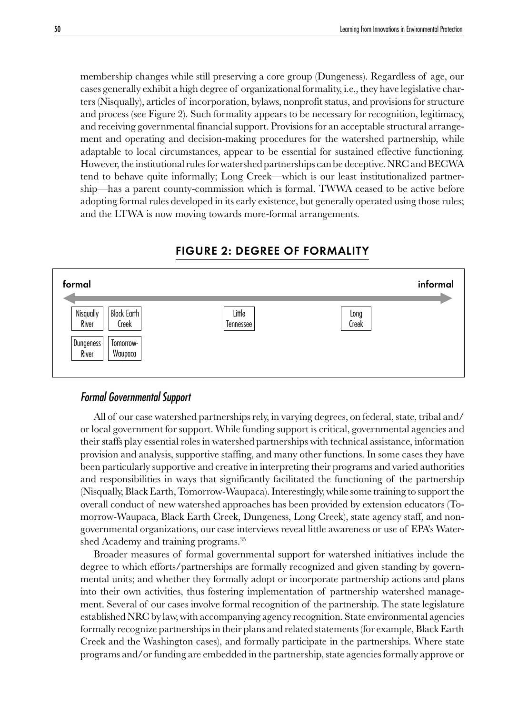membership changes while still preserving a core group (Dungeness). Regardless of age, our cases generally exhibit a high degree of organizational formality, i.e., they have legislative charters (Nisqually), articles of incorporation, bylaws, nonprofit status, and provisions for structure and process (see Figure 2). Such formality appears to be necessary for recognition, legitimacy, and receiving governmental financial support. Provisions for an acceptable structural arrangement and operating and decision-making procedures for the watershed partnership, while adaptable to local circumstances, appear to be essential for sustained effective functioning. However, the institutional rules for watershed partnerships can be deceptive. NRC and BECWA tend to behave quite informally; Long Creek—which is our least institutionalized partnership—has a parent county-commission which is formal. TWWA ceased to be active before adopting formal rules developed in its early existence, but generally operated using those rules; and the LTWA is now moving towards more-formal arrangements.



#### FIGURE 2: DEGREE OF FORMALITY

#### Formal Governmental Support

All of our case watershed partnerships rely, in varying degrees, on federal, state, tribal and/ or local government for support. While funding support is critical, governmental agencies and their staffs play essential roles in watershed partnerships with technical assistance, information provision and analysis, supportive staffing, and many other functions. In some cases they have been particularly supportive and creative in interpreting their programs and varied authorities and responsibilities in ways that significantly facilitated the functioning of the partnership (Nisqually, Black Earth, Tomorrow-Waupaca). Interestingly, while some training to support the overall conduct of new watershed approaches has been provided by extension educators (Tomorrow-Waupaca, Black Earth Creek, Dungeness, Long Creek), state agency staff, and nongovernmental organizations, our case interviews reveal little awareness or use of EPA's Watershed Academy and training programs.<sup>35</sup>

Broader measures of formal governmental support for watershed initiatives include the degree to which efforts/partnerships are formally recognized and given standing by governmental units; and whether they formally adopt or incorporate partnership actions and plans into their own activities, thus fostering implementation of partnership watershed management. Several of our cases involve formal recognition of the partnership. The state legislature established NRC by law, with accompanying agency recognition. State environmental agencies formally recognize partnerships in their plans and related statements (for example, Black Earth Creek and the Washington cases), and formally participate in the partnerships. Where state programs and/or funding are embedded in the partnership, state agencies formally approve or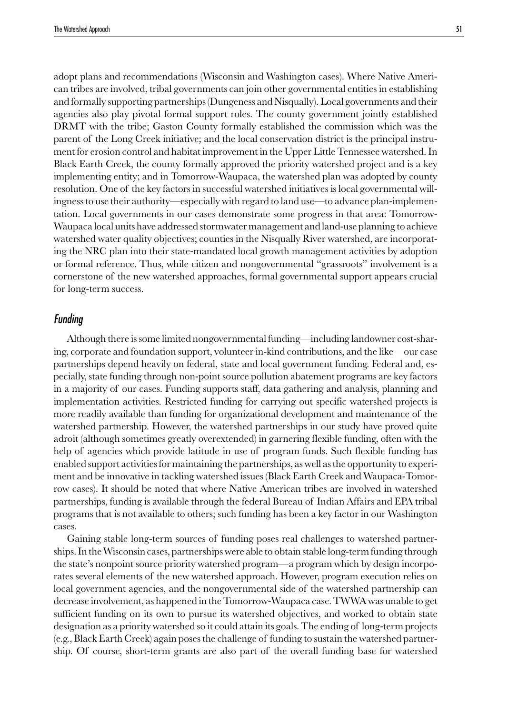adopt plans and recommendations (Wisconsin and Washington cases). Where Native American tribes are involved, tribal governments can join other governmental entities in establishing

and formally supporting partnerships (Dungeness and Nisqually). Local governments and their agencies also play pivotal formal support roles. The county government jointly established DRMT with the tribe; Gaston County formally established the commission which was the parent of the Long Creek initiative; and the local conservation district is the principal instrument for erosion control and habitat improvement in the Upper Little Tennessee watershed. In Black Earth Creek, the county formally approved the priority watershed project and is a key implementing entity; and in Tomorrow-Waupaca, the watershed plan was adopted by county resolution. One of the key factors in successful watershed initiatives is local governmental willingness to use their authority—especially with regard to land use—to advance plan-implementation. Local governments in our cases demonstrate some progress in that area: Tomorrow-Waupaca local units have addressed stormwater management and land-use planning to achieve watershed water quality objectives; counties in the Nisqually River watershed, are incorporating the NRC plan into their state-mandated local growth management activities by adoption or formal reference. Thus, while citizen and nongovernmental "grassroots" involvement is a cornerstone of the new watershed approaches, formal governmental support appears crucial for long-term success.

#### Funding

Although there is some limited nongovernmental funding—including landowner cost-sharing, corporate and foundation support, volunteer in-kind contributions, and the like—our case partnerships depend heavily on federal, state and local government funding. Federal and, especially, state funding through non-point source pollution abatement programs are key factors in a majority of our cases. Funding supports staff, data gathering and analysis, planning and implementation activities. Restricted funding for carrying out specific watershed projects is more readily available than funding for organizational development and maintenance of the watershed partnership. However, the watershed partnerships in our study have proved quite adroit (although sometimes greatly overextended) in garnering flexible funding, often with the help of agencies which provide latitude in use of program funds. Such flexible funding has enabled support activities for maintaining the partnerships, as well as the opportunity to experiment and be innovative in tackling watershed issues (Black Earth Creek and Waupaca-Tomorrow cases). It should be noted that where Native American tribes are involved in watershed partnerships, funding is available through the federal Bureau of Indian Affairs and EPA tribal programs that is not available to others; such funding has been a key factor in our Washington cases.

Gaining stable long-term sources of funding poses real challenges to watershed partnerships. In the Wisconsin cases, partnerships were able to obtain stable long-term funding through the state's nonpoint source priority watershed program—a program which by design incorporates several elements of the new watershed approach. However, program execution relies on local government agencies, and the nongovernmental side of the watershed partnership can decrease involvement, as happened in the Tomorrow-Waupaca case. TWWA was unable to get sufficient funding on its own to pursue its watershed objectives, and worked to obtain state designation as a priority watershed so it could attain its goals. The ending of long-term projects (e.g., Black Earth Creek) again poses the challenge of funding to sustain the watershed partnership. Of course, short-term grants are also part of the overall funding base for watershed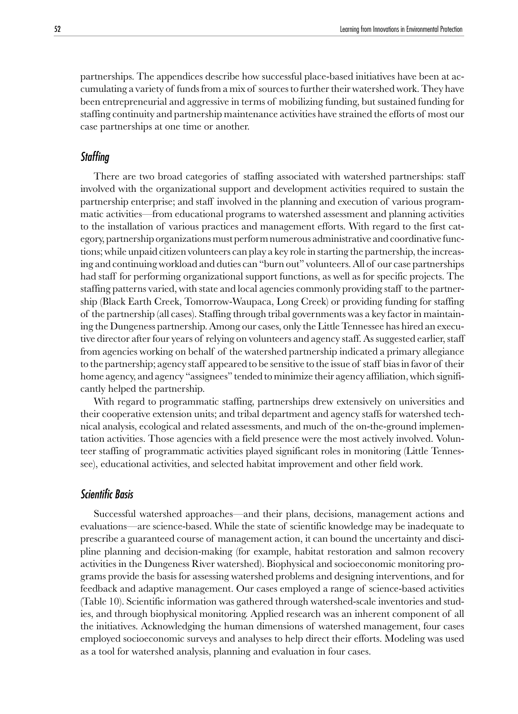partnerships. The appendices describe how successful place-based initiatives have been at accumulating a variety of funds from a mix of sources to further their watershed work. They have been entrepreneurial and aggressive in terms of mobilizing funding, but sustained funding for staffing continuity and partnership maintenance activities have strained the efforts of most our case partnerships at one time or another.

#### **Staffing**

There are two broad categories of staffing associated with watershed partnerships: staff involved with the organizational support and development activities required to sustain the partnership enterprise; and staff involved in the planning and execution of various programmatic activities—from educational programs to watershed assessment and planning activities to the installation of various practices and management efforts. With regard to the first category, partnership organizations must perform numerous administrative and coordinative functions; while unpaid citizen volunteers can play a key role in starting the partnership, the increasing and continuing workload and duties can "burn out" volunteers. All of our case partnerships had staff for performing organizational support functions, as well as for specific projects. The staffing patterns varied, with state and local agencies commonly providing staff to the partnership (Black Earth Creek, Tomorrow-Waupaca, Long Creek) or providing funding for staffing of the partnership (all cases). Staffing through tribal governments was a key factor in maintaining the Dungeness partnership. Among our cases, only the Little Tennessee has hired an executive director after four years of relying on volunteers and agency staff. As suggested earlier, staff from agencies working on behalf of the watershed partnership indicated a primary allegiance to the partnership; agency staff appeared to be sensitive to the issue of staff bias in favor of their home agency, and agency "assignees" tended to minimize their agency affiliation, which significantly helped the partnership.

With regard to programmatic staffing, partnerships drew extensively on universities and their cooperative extension units; and tribal department and agency staffs for watershed technical analysis, ecological and related assessments, and much of the on-the-ground implementation activities. Those agencies with a field presence were the most actively involved. Volunteer staffing of programmatic activities played significant roles in monitoring (Little Tennessee), educational activities, and selected habitat improvement and other field work.

#### Scientific Basis

Successful watershed approaches—and their plans, decisions, management actions and evaluations—are science-based. While the state of scientific knowledge may be inadequate to prescribe a guaranteed course of management action, it can bound the uncertainty and discipline planning and decision-making (for example, habitat restoration and salmon recovery activities in the Dungeness River watershed). Biophysical and socioeconomic monitoring programs provide the basis for assessing watershed problems and designing interventions, and for feedback and adaptive management. Our cases employed a range of science-based activities (Table 10). Scientific information was gathered through watershed-scale inventories and studies, and through biophysical monitoring. Applied research was an inherent component of all the initiatives. Acknowledging the human dimensions of watershed management, four cases employed socioeconomic surveys and analyses to help direct their efforts. Modeling was used as a tool for watershed analysis, planning and evaluation in four cases.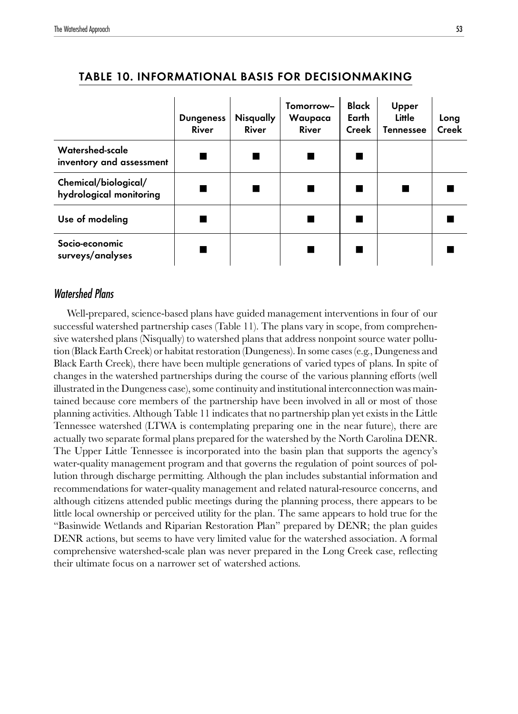|                                                 | <b>Dungeness</b><br>River | Nisqually<br>River | Tomorrow-<br>Waupaca<br>River | Black<br>Earth<br>Creek | Upper<br>Little<br><b>Tennessee</b> | Long<br>Creek |
|-------------------------------------------------|---------------------------|--------------------|-------------------------------|-------------------------|-------------------------------------|---------------|
| Watershed-scale<br>inventory and assessment     |                           |                    |                               |                         |                                     |               |
| Chemical/biological/<br>hydrological monitoring |                           |                    |                               |                         |                                     |               |
| Use of modeling                                 |                           |                    |                               |                         |                                     |               |
| Socio-economic<br>surveys/analyses              |                           |                    |                               |                         |                                     |               |

#### TABLE 10. INFORMATIONAL BASIS FOR DECISIONMAKING

#### Watershed Plans

Well-prepared, science-based plans have guided management interventions in four of our successful watershed partnership cases (Table 11). The plans vary in scope, from comprehensive watershed plans (Nisqually) to watershed plans that address nonpoint source water pollution (Black Earth Creek) or habitat restoration (Dungeness). In some cases (e.g., Dungeness and Black Earth Creek), there have been multiple generations of varied types of plans. In spite of changes in the watershed partnerships during the course of the various planning efforts (well illustrated in the Dungeness case), some continuity and institutional interconnection was maintained because core members of the partnership have been involved in all or most of those planning activities. Although Table 11 indicates that no partnership plan yet exists in the Little Tennessee watershed (LTWA is contemplating preparing one in the near future), there are actually two separate formal plans prepared for the watershed by the North Carolina DENR. The Upper Little Tennessee is incorporated into the basin plan that supports the agency's water-quality management program and that governs the regulation of point sources of pollution through discharge permitting. Although the plan includes substantial information and recommendations for water-quality management and related natural-resource concerns, and although citizens attended public meetings during the planning process, there appears to be little local ownership or perceived utility for the plan. The same appears to hold true for the "Basinwide Wetlands and Riparian Restoration Plan" prepared by DENR; the plan guides DENR actions, but seems to have very limited value for the watershed association. A formal comprehensive watershed-scale plan was never prepared in the Long Creek case, reflecting their ultimate focus on a narrower set of watershed actions.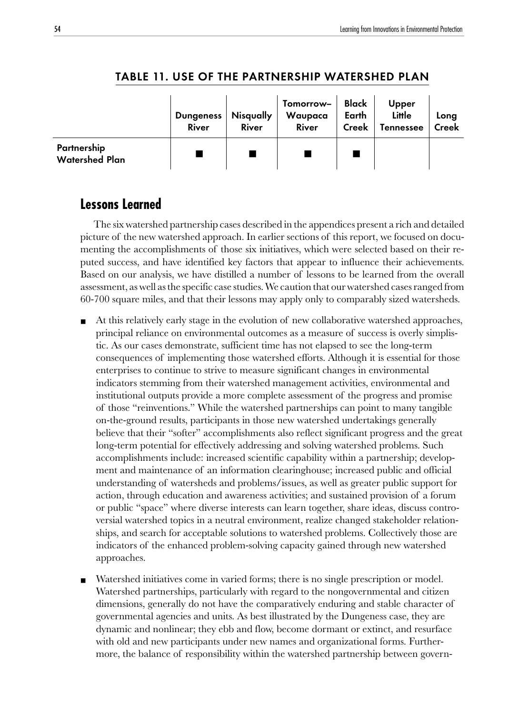|                                      | <b>Dungeness</b><br><b>River</b> | <b>Nisqually</b><br>River | Tomorrow-<br>Waupaca<br>River | Black<br>Earth<br>Creek | Upper<br>Little<br>Tennessee | Long<br>Creek |
|--------------------------------------|----------------------------------|---------------------------|-------------------------------|-------------------------|------------------------------|---------------|
| Partnership<br><b>Watershed Plan</b> |                                  |                           |                               |                         |                              |               |

#### TABLE 11. USE OF THE PARTNERSHIP WATERSHED PLAN

## **Lessons Learned**

The six watershed partnership cases described in the appendices present a rich and detailed picture of the new watershed approach. In earlier sections of this report, we focused on documenting the accomplishments of those six initiatives, which were selected based on their reputed success, and have identified key factors that appear to influence their achievements. Based on our analysis, we have distilled a number of lessons to be learned from the overall assessment, as well as the specific case studies. We caution that our watershed cases ranged from 60-700 square miles, and that their lessons may apply only to comparably sized watersheds.

- At this relatively early stage in the evolution of new collaborative watershed approaches, principal reliance on environmental outcomes as a measure of success is overly simplistic. As our cases demonstrate, sufficient time has not elapsed to see the long-term consequences of implementing those watershed efforts. Although it is essential for those enterprises to continue to strive to measure significant changes in environmental indicators stemming from their watershed management activities, environmental and institutional outputs provide a more complete assessment of the progress and promise of those "reinventions." While the watershed partnerships can point to many tangible on-the-ground results, participants in those new watershed undertakings generally believe that their "softer" accomplishments also reflect significant progress and the great long-term potential for effectively addressing and solving watershed problems. Such accomplishments include: increased scientific capability within a partnership; development and maintenance of an information clearinghouse; increased public and official understanding of watersheds and problems/issues, as well as greater public support for action, through education and awareness activities; and sustained provision of a forum or public "space" where diverse interests can learn together, share ideas, discuss controversial watershed topics in a neutral environment, realize changed stakeholder relationships, and search for acceptable solutions to watershed problems. Collectively those are indicators of the enhanced problem-solving capacity gained through new watershed approaches.
- Watershed initiatives come in varied forms; there is no single prescription or model. Watershed partnerships, particularly with regard to the nongovernmental and citizen dimensions, generally do not have the comparatively enduring and stable character of governmental agencies and units. As best illustrated by the Dungeness case, they are dynamic and nonlinear; they ebb and flow, become dormant or extinct, and resurface with old and new participants under new names and organizational forms. Furthermore, the balance of responsibility within the watershed partnership between govern-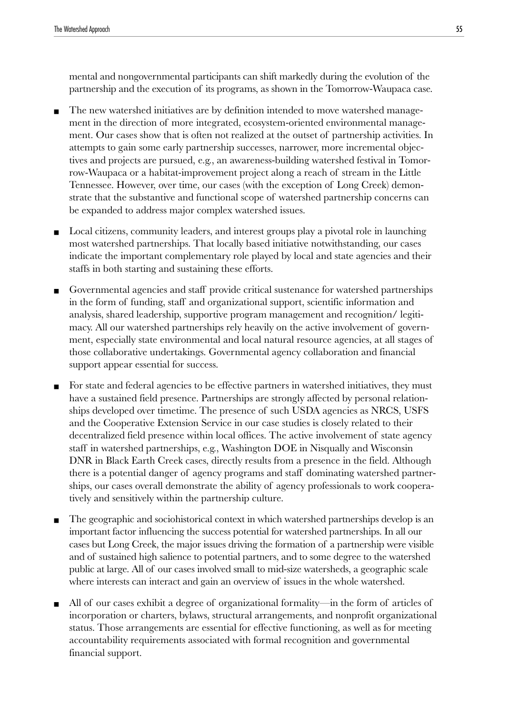mental and nongovernmental participants can shift markedly during the evolution of the partnership and the execution of its programs, as shown in the Tomorrow-Waupaca case.

- The new watershed initiatives are by definition intended to move watershed management in the direction of more integrated, ecosystem-oriented environmental management. Our cases show that is often not realized at the outset of partnership activities. In attempts to gain some early partnership successes, narrower, more incremental objectives and projects are pursued, e.g., an awareness-building watershed festival in Tomorrow-Waupaca or a habitat-improvement project along a reach of stream in the Little Tennessee. However, over time, our cases (with the exception of Long Creek) demonstrate that the substantive and functional scope of watershed partnership concerns can be expanded to address major complex watershed issues.
- Local citizens, community leaders, and interest groups play a pivotal role in launching most watershed partnerships. That locally based initiative notwithstanding, our cases indicate the important complementary role played by local and state agencies and their staffs in both starting and sustaining these efforts.
- Governmental agencies and staff provide critical sustenance for watershed partnerships in the form of funding, staff and organizational support, scientific information and analysis, shared leadership, supportive program management and recognition/ legitimacy. All our watershed partnerships rely heavily on the active involvement of government, especially state environmental and local natural resource agencies, at all stages of those collaborative undertakings. Governmental agency collaboration and financial support appear essential for success.
- For state and federal agencies to be effective partners in watershed initiatives, they must have a sustained field presence. Partnerships are strongly affected by personal relationships developed over timetime. The presence of such USDA agencies as NRCS, USFS and the Cooperative Extension Service in our case studies is closely related to their decentralized field presence within local offices. The active involvement of state agency staff in watershed partnerships, e.g., Washington DOE in Nisqually and Wisconsin DNR in Black Earth Creek cases, directly results from a presence in the field. Although there is a potential danger of agency programs and staff dominating watershed partnerships, our cases overall demonstrate the ability of agency professionals to work cooperatively and sensitively within the partnership culture.
- The geographic and sociohistorical context in which watershed partnerships develop is an important factor influencing the success potential for watershed partnerships. In all our cases but Long Creek, the major issues driving the formation of a partnership were visible and of sustained high salience to potential partners, and to some degree to the watershed public at large. All of our cases involved small to mid-size watersheds, a geographic scale where interests can interact and gain an overview of issues in the whole watershed.
- All of our cases exhibit a degree of organizational formality—in the form of articles of incorporation or charters, bylaws, structural arrangements, and nonprofit organizational status. Those arrangements are essential for effective functioning, as well as for meeting accountability requirements associated with formal recognition and governmental financial support.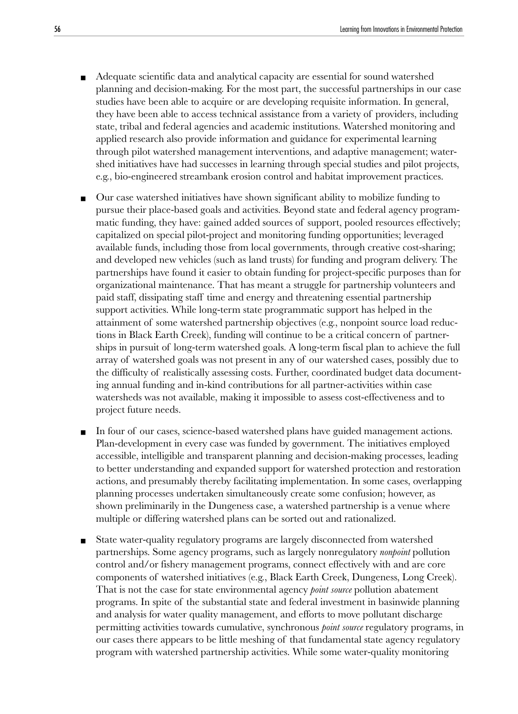- Adequate scientific data and analytical capacity are essential for sound watershed planning and decision-making. For the most part, the successful partnerships in our case studies have been able to acquire or are developing requisite information. In general, they have been able to access technical assistance from a variety of providers, including state, tribal and federal agencies and academic institutions. Watershed monitoring and applied research also provide information and guidance for experimental learning through pilot watershed management interventions, and adaptive management; watershed initiatives have had successes in learning through special studies and pilot projects, e.g., bio-engineered streambank erosion control and habitat improvement practices.
- Our case watershed initiatives have shown significant ability to mobilize funding to pursue their place-based goals and activities. Beyond state and federal agency programmatic funding, they have: gained added sources of support, pooled resources effectively; capitalized on special pilot-project and monitoring funding opportunities; leveraged available funds, including those from local governments, through creative cost-sharing; and developed new vehicles (such as land trusts) for funding and program delivery. The partnerships have found it easier to obtain funding for project-specific purposes than for organizational maintenance. That has meant a struggle for partnership volunteers and paid staff, dissipating staff time and energy and threatening essential partnership support activities. While long-term state programmatic support has helped in the attainment of some watershed partnership objectives (e.g., nonpoint source load reductions in Black Earth Creek), funding will continue to be a critical concern of partnerships in pursuit of long-term watershed goals. A long-term fiscal plan to achieve the full array of watershed goals was not present in any of our watershed cases, possibly due to the difficulty of realistically assessing costs. Further, coordinated budget data documenting annual funding and in-kind contributions for all partner-activities within case watersheds was not available, making it impossible to assess cost-effectiveness and to project future needs.
- In four of our cases, science-based watershed plans have guided management actions. Plan-development in every case was funded by government. The initiatives employed accessible, intelligible and transparent planning and decision-making processes, leading to better understanding and expanded support for watershed protection and restoration actions, and presumably thereby facilitating implementation. In some cases, overlapping planning processes undertaken simultaneously create some confusion; however, as shown preliminarily in the Dungeness case, a watershed partnership is a venue where multiple or differing watershed plans can be sorted out and rationalized.
- State water-quality regulatory programs are largely disconnected from watershed partnerships. Some agency programs, such as largely nonregulatory *nonpoint* pollution control and/or fishery management programs, connect effectively with and are core components of watershed initiatives (e.g., Black Earth Creek, Dungeness, Long Creek). That is not the case for state environmental agency *point source* pollution abatement programs. In spite of the substantial state and federal investment in basinwide planning and analysis for water quality management, and efforts to move pollutant discharge permitting activities towards cumulative, synchronous *point source* regulatory programs, in our cases there appears to be little meshing of that fundamental state agency regulatory program with watershed partnership activities. While some water-quality monitoring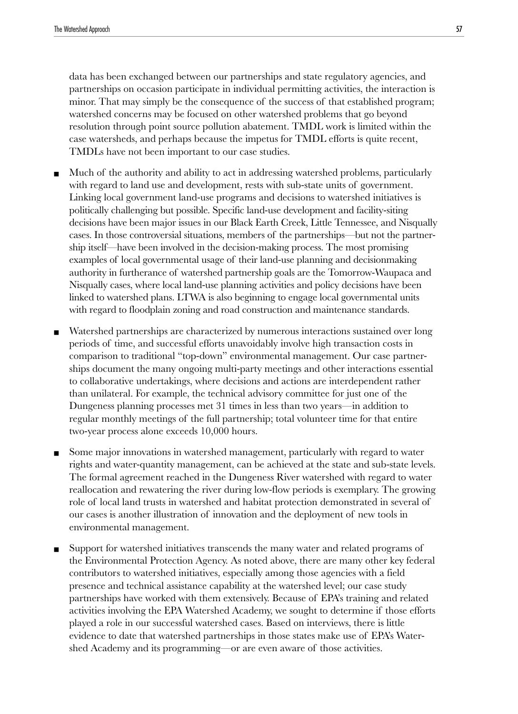data has been exchanged between our partnerships and state regulatory agencies, and partnerships on occasion participate in individual permitting activities, the interaction is minor. That may simply be the consequence of the success of that established program; watershed concerns may be focused on other watershed problems that go beyond resolution through point source pollution abatement. TMDL work is limited within the case watersheds, and perhaps because the impetus for TMDL efforts is quite recent, TMDLs have not been important to our case studies.

- Much of the authority and ability to act in addressing watershed problems, particularly with regard to land use and development, rests with sub-state units of government. Linking local government land-use programs and decisions to watershed initiatives is politically challenging but possible. Specific land-use development and facility-siting decisions have been major issues in our Black Earth Creek, Little Tennessee, and Nisqually cases. In those controversial situations, members of the partnerships—but not the partnership itself—have been involved in the decision-making process. The most promising examples of local governmental usage of their land-use planning and decisionmaking authority in furtherance of watershed partnership goals are the Tomorrow-Waupaca and Nisqually cases, where local land-use planning activities and policy decisions have been linked to watershed plans. LTWA is also beginning to engage local governmental units with regard to floodplain zoning and road construction and maintenance standards.
- Watershed partnerships are characterized by numerous interactions sustained over long periods of time, and successful efforts unavoidably involve high transaction costs in comparison to traditional "top-down" environmental management. Our case partnerships document the many ongoing multi-party meetings and other interactions essential to collaborative undertakings, where decisions and actions are interdependent rather than unilateral. For example, the technical advisory committee for just one of the Dungeness planning processes met 31 times in less than two years—in addition to regular monthly meetings of the full partnership; total volunteer time for that entire two-year process alone exceeds 10,000 hours.
- Some major innovations in watershed management, particularly with regard to water rights and water-quantity management, can be achieved at the state and sub-state levels. The formal agreement reached in the Dungeness River watershed with regard to water reallocation and rewatering the river during low-flow periods is exemplary. The growing role of local land trusts in watershed and habitat protection demonstrated in several of our cases is another illustration of innovation and the deployment of new tools in environmental management.
- Support for watershed initiatives transcends the many water and related programs of the Environmental Protection Agency. As noted above, there are many other key federal contributors to watershed initiatives, especially among those agencies with a field presence and technical assistance capability at the watershed level; our case study partnerships have worked with them extensively. Because of EPA's training and related activities involving the EPA Watershed Academy, we sought to determine if those efforts played a role in our successful watershed cases. Based on interviews, there is little evidence to date that watershed partnerships in those states make use of EPA's Watershed Academy and its programming—or are even aware of those activities.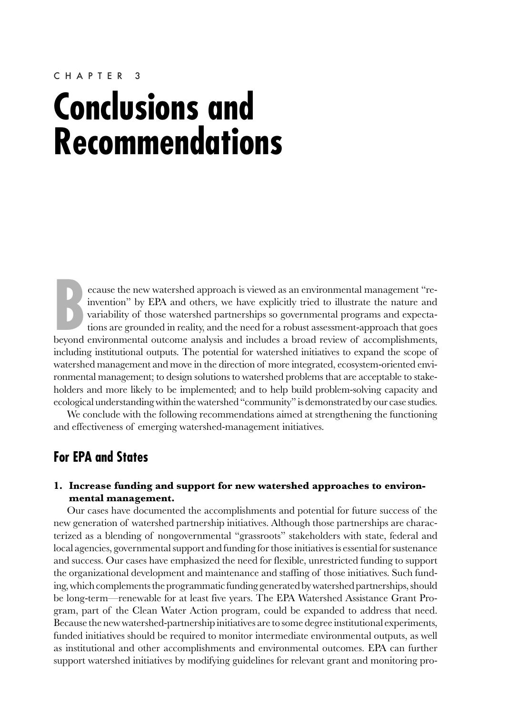#### CHAPTER 3

# **Conclusions and Recommendations**

**BER** and others, we have explicitly tried to illustrate the nature and variability of those watershed partnerships so governmental programs and expectations are grounded in reality, and the need for a robust assessment-ap ecause the new watershed approach is viewed as an environmental management "reinvention" by EPA and others, we have explicitly tried to illustrate the nature and variability of those watershed partnerships so governmental programs and expectations are grounded in reality, and the need for a robust assessment-approach that goes including institutional outputs. The potential for watershed initiatives to expand the scope of watershed management and move in the direction of more integrated, ecosystem-oriented environmental management; to design solutions to watershed problems that are acceptable to stakeholders and more likely to be implemented; and to help build problem-solving capacity and ecological understanding within the watershed "community" is demonstrated by our case studies.

We conclude with the following recommendations aimed at strengthening the functioning and effectiveness of emerging watershed-management initiatives.

## **For EPA and States**

#### **1. Increase funding and support for new watershed approaches to environmental management.**

Our cases have documented the accomplishments and potential for future success of the new generation of watershed partnership initiatives. Although those partnerships are characterized as a blending of nongovernmental "grassroots" stakeholders with state, federal and local agencies, governmental support and funding for those initiatives is essential for sustenance and success. Our cases have emphasized the need for flexible, unrestricted funding to support the organizational development and maintenance and staffing of those initiatives. Such funding, which complements the programmatic funding generated by watershed partnerships, should be long-term—renewable for at least five years. The EPA Watershed Assistance Grant Program, part of the Clean Water Action program, could be expanded to address that need. Because the new watershed-partnership initiatives are to some degree institutional experiments, funded initiatives should be required to monitor intermediate environmental outputs, as well as institutional and other accomplishments and environmental outcomes. EPA can further support watershed initiatives by modifying guidelines for relevant grant and monitoring pro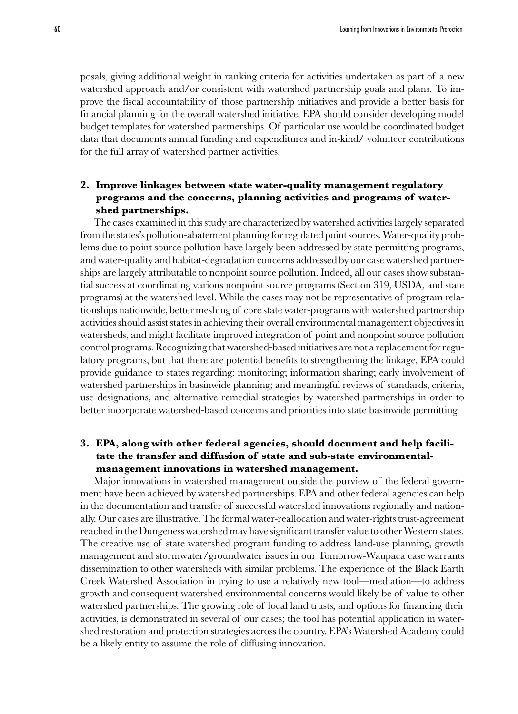posals, giving additional weight in ranking criteria for activities undertaken as part of a new watershed approach and/or consistent with watershed partnership goals and plans. To improve the fiscal accountability of those partnership initiatives and provide a better basis for financial planning for the overall watershed initiative, EPA should consider developing model budget templates for watershed partnerships. Of particular use would be coordinated budget data that documents annual funding and expenditures and in-kind/ volunteer contributions for the full array of watershed partner activities.

#### **2. Improve linkages between state water-quality management regulatory programs and the concerns, planning activities and programs of watershed partnerships.**

The cases examined in this study are characterized by watershed activities largely separated from the states's pollution-abatement planning for regulated point sources. Water-quality problems due to point source pollution have largely been addressed by state permitting programs, and water-quality and habitat-degradation concerns addressed by our case watershed partnerships are largely attributable to nonpoint source pollution. Indeed, all our cases show substantial success at coordinating various nonpoint source programs (Section 319, USDA, and state programs) at the watershed level. While the cases may not be representative of program relationships nationwide, better meshing of core state water-programs with watershed partnership activities should assist states in achieving their overall environmental management objectives in watersheds, and might facilitate improved integration of point and nonpoint source pollution control programs. Recognizing that watershed-based initiatives are not a replacement for regulatory programs, but that there are potential benefits to strengthening the linkage, EPA could provide guidance to states regarding: monitoring; information sharing; early involvement of watershed partnerships in basinwide planning; and meaningful reviews of standards, criteria, use designations, and alternative remedial strategies by watershed partnerships in order to better incorporate watershed-based concerns and priorities into state basinwide permitting.

#### **3. EPA, along with other federal agencies, should document and help facilitate the transfer and diffusion of state and sub-state environmentalmanagement innovations in watershed management.**

Major innovations in watershed management outside the purview of the federal government have been achieved by watershed partnerships. EPA and other federal agencies can help in the documentation and transfer of successful watershed innovations regionally and nationally. Our cases are illustrative. The formal water-reallocation and water-rights trust-agreement reached in the Dungeness watershed may have significant transfer value to other Western states. The creative use of state watershed program funding to address land-use planning, growth management and stormwater/groundwater issues in our Tomorrow-Waupaca case warrants dissemination to other watersheds with similar problems. The experience of the Black Earth Creek Watershed Association in trying to use a relatively new tool—mediation—to address growth and consequent watershed environmental concerns would likely be of value to other watershed partnerships. The growing role of local land trusts, and options for financing their activities, is demonstrated in several of our cases; the tool has potential application in watershed restoration and protection strategies across the country. EPA's Watershed Academy could be a likely entity to assume the role of diffusing innovation.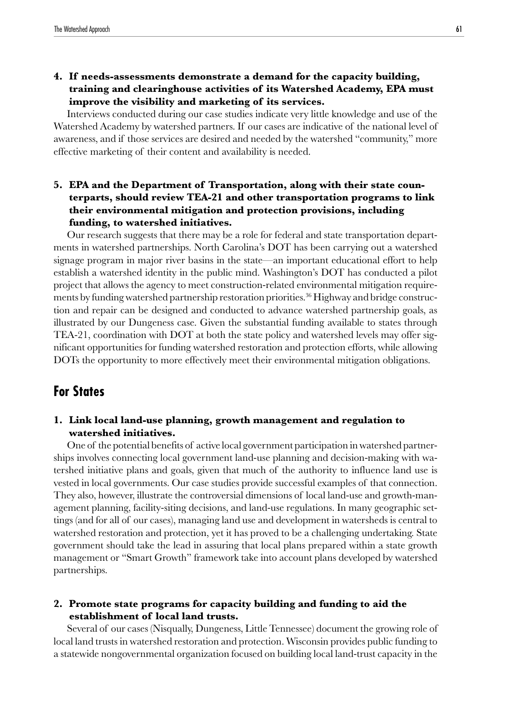**4. If needs-assessments demonstrate a demand for the capacity building, training and clearinghouse activities of its Watershed Academy, EPA must improve the visibility and marketing of its services.**

Interviews conducted during our case studies indicate very little knowledge and use of the Watershed Academy by watershed partners. If our cases are indicative of the national level of awareness, and if those services are desired and needed by the watershed "community," more effective marketing of their content and availability is needed.

**5. EPA and the Department of Transportation, along with their state counterparts, should review TEA-21 and other transportation programs to link their environmental mitigation and protection provisions, including funding, to watershed initiatives.**

Our research suggests that there may be a role for federal and state transportation departments in watershed partnerships. North Carolina's DOT has been carrying out a watershed signage program in major river basins in the state—an important educational effort to help establish a watershed identity in the public mind. Washington's DOT has conducted a pilot project that allows the agency to meet construction-related environmental mitigation requirements by funding watershed partnership restoration priorities.<sup>36</sup> Highway and bridge construction and repair can be designed and conducted to advance watershed partnership goals, as illustrated by our Dungeness case. Given the substantial funding available to states through TEA-21, coordination with DOT at both the state policy and watershed levels may offer significant opportunities for funding watershed restoration and protection efforts, while allowing DOTs the opportunity to more effectively meet their environmental mitigation obligations.

### **For States**

#### **1. Link local land-use planning, growth management and regulation to watershed initiatives.**

One of the potential benefits of active local government participation in watershed partnerships involves connecting local government land-use planning and decision-making with watershed initiative plans and goals, given that much of the authority to influence land use is vested in local governments. Our case studies provide successful examples of that connection. They also, however, illustrate the controversial dimensions of local land-use and growth-management planning, facility-siting decisions, and land-use regulations. In many geographic settings (and for all of our cases), managing land use and development in watersheds is central to watershed restoration and protection, yet it has proved to be a challenging undertaking. State government should take the lead in assuring that local plans prepared within a state growth management or "Smart Growth" framework take into account plans developed by watershed partnerships.

#### **2. Promote state programs for capacity building and funding to aid the establishment of local land trusts.**

Several of our cases (Nisqually, Dungeness, Little Tennessee) document the growing role of local land trusts in watershed restoration and protection. Wisconsin provides public funding to a statewide nongovernmental organization focused on building local land-trust capacity in the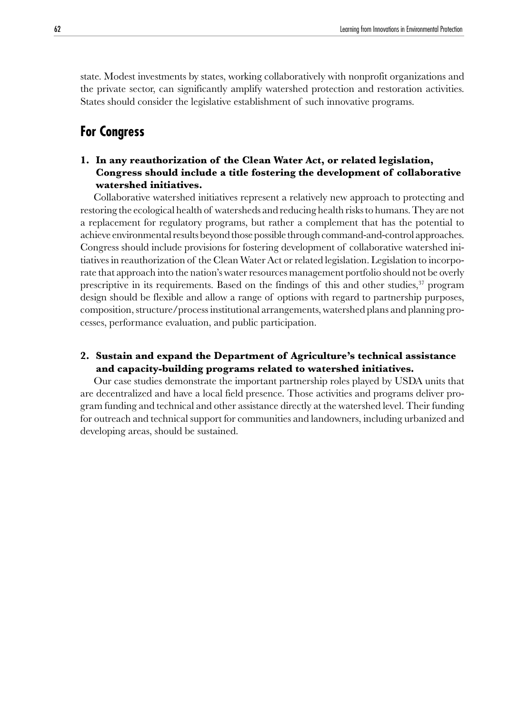state. Modest investments by states, working collaboratively with nonprofit organizations and the private sector, can significantly amplify watershed protection and restoration activities. States should consider the legislative establishment of such innovative programs.

## **For Congress**

#### **1. In any reauthorization of the Clean Water Act, or related legislation, Congress should include a title fostering the development of collaborative watershed initiatives.**

Collaborative watershed initiatives represent a relatively new approach to protecting and restoring the ecological health of watersheds and reducing health risks to humans. They are not a replacement for regulatory programs, but rather a complement that has the potential to achieve environmental results beyond those possible through command-and-control approaches. Congress should include provisions for fostering development of collaborative watershed initiatives in reauthorization of the Clean Water Act or related legislation. Legislation to incorporate that approach into the nation's water resources management portfolio should not be overly prescriptive in its requirements. Based on the findings of this and other studies,<sup>37</sup> program design should be flexible and allow a range of options with regard to partnership purposes, composition, structure/process institutional arrangements, watershed plans and planning processes, performance evaluation, and public participation.

#### **2. Sustain and expand the Department of Agriculture's technical assistance and capacity-building programs related to watershed initiatives.**

Our case studies demonstrate the important partnership roles played by USDA units that are decentralized and have a local field presence. Those activities and programs deliver program funding and technical and other assistance directly at the watershed level. Their funding for outreach and technical support for communities and landowners, including urbanized and developing areas, should be sustained.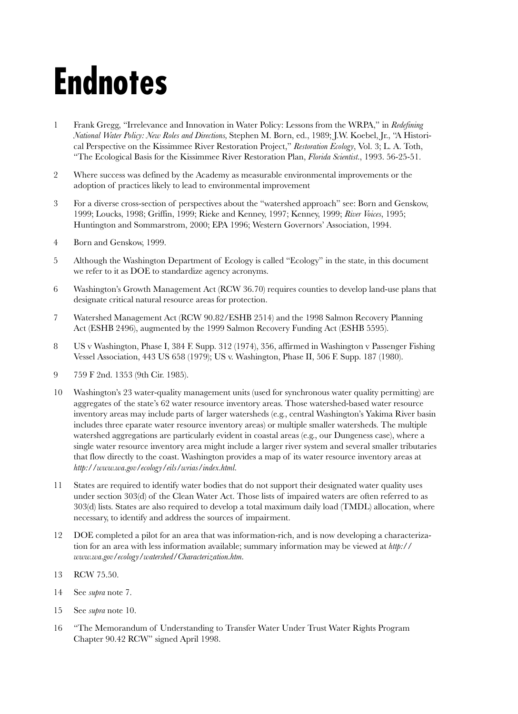# **Endnotes**

- 1 Frank Gregg, "Irrelevance and Innovation in Water Policy: Lessons from the WRPA," in *Redefining National Water Policy: New Roles and Directions,* Stephen M. Born, ed., 1989; J.W. Koebel, Jr., "A Historical Perspective on the Kissimmee River Restoration Project," *Restoration Ecology*, Vol. 3; L. A. Toth, "The Ecological Basis for the Kissimmee River Restoration Plan, *Florida Scientist.*, 1993. 56-25-51.
- 2 Where success was defined by the Academy as measurable environmental improvements or the adoption of practices likely to lead to environmental improvement
- 3 For a diverse cross-section of perspectives about the "watershed approach" see: Born and Genskow, 1999; Loucks, 1998; Griffin, 1999; Rieke and Kenney, 1997; Kenney, 1999; *River Voices*, 1995; Huntington and Sommarstrom, 2000; EPA 1996; Western Governors' Association, 1994.
- 4 Born and Genskow, 1999.
- 5 Although the Washington Department of Ecology is called "Ecology" in the state, in this document we refer to it as DOE to standardize agency acronyms.
- 6 Washington's Growth Management Act (RCW 36.70) requires counties to develop land-use plans that designate critical natural resource areas for protection.
- 7 Watershed Management Act (RCW 90.82/ESHB 2514) and the 1998 Salmon Recovery Planning Act (ESHB 2496), augmented by the 1999 Salmon Recovery Funding Act (ESHB 5595).
- 8 US v Washington, Phase I, 384 F. Supp. 312 (1974), 356, affirmed in Washington v Passenger Fishing Vessel Association, 443 US 658 (1979); US v. Washington, Phase II, 506 F. Supp. 187 (1980).
- 9 759 F 2nd. 1353 (9th Cir. 1985).
- 10 Washington's 23 water-quality management units (used for synchronous water quality permitting) are aggregates of the state's 62 water resource inventory areas. Those watershed-based water resource inventory areas may include parts of larger watersheds (e.g., central Washington's Yakima River basin includes three eparate water resource inventory areas) or multiple smaller watersheds. The multiple watershed aggregations are particularly evident in coastal areas (e.g., our Dungeness case), where a single water resource inventory area might include a larger river system and several smaller tributaries that flow directly to the coast. Washington provides a map of its water resource inventory areas at *http://www.wa.gov/ecology/eils/wrias/index.html.*
- 11 States are required to identify water bodies that do not support their designated water quality uses under section 303(d) of the Clean Water Act. Those lists of impaired waters are often referred to as 303(d) lists. States are also required to develop a total maximum daily load (TMDL) allocation, where necessary, to identify and address the sources of impairment.
- 12 DOE completed a pilot for an area that was information-rich, and is now developing a characterization for an area with less information available; summary information may be viewed at *http:// www.wa.gov/ecology/watershed/Characterization.htm.*
- 13 RCW 75.50.
- 14 See *supra* note 7.
- 15 See *supra* note 10.
- 16 "The Memorandum of Understanding to Transfer Water Under Trust Water Rights Program Chapter 90.42 RCW" signed April 1998.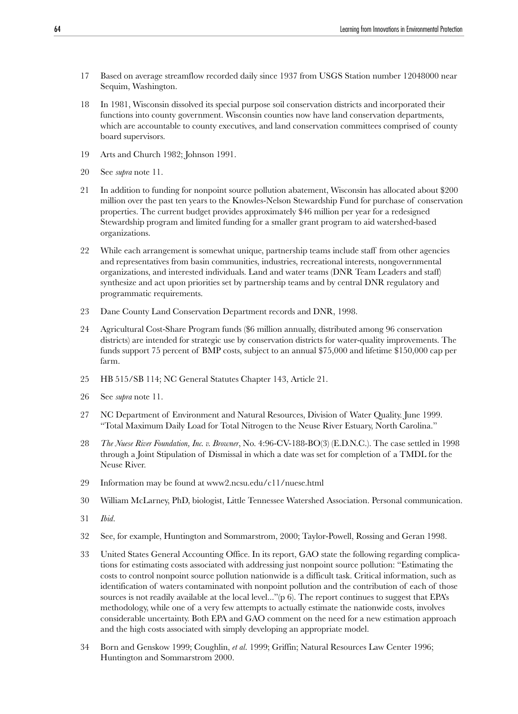- 17 Based on average streamflow recorded daily since 1937 from USGS Station number 12048000 near Sequim, Washington.
- 18 In 1981, Wisconsin dissolved its special purpose soil conservation districts and incorporated their functions into county government. Wisconsin counties now have land conservation departments, which are accountable to county executives, and land conservation committees comprised of county board supervisors.
- 19 Arts and Church 1982; Johnson 1991.
- 20 See *supra* note 11.
- 21 In addition to funding for nonpoint source pollution abatement, Wisconsin has allocated about \$200 million over the past ten years to the Knowles-Nelson Stewardship Fund for purchase of conservation properties. The current budget provides approximately \$46 million per year for a redesigned Stewardship program and limited funding for a smaller grant program to aid watershed-based organizations.
- 22 While each arrangement is somewhat unique, partnership teams include staff from other agencies and representatives from basin communities, industries, recreational interests, nongovernmental organizations, and interested individuals. Land and water teams (DNR Team Leaders and staff) synthesize and act upon priorities set by partnership teams and by central DNR regulatory and programmatic requirements.
- 23 Dane County Land Conservation Department records and DNR, 1998.
- 24 Agricultural Cost-Share Program funds (\$6 million annually, distributed among 96 conservation districts) are intended for strategic use by conservation districts for water-quality improvements. The funds support 75 percent of BMP costs, subject to an annual \$75,000 and lifetime \$150,000 cap per farm.
- 25 HB 515/SB 114; NC General Statutes Chapter 143, Article 21.
- 26 See *supra* note 11.
- 27 NC Department of Environment and Natural Resources, Division of Water Quality. June 1999. "Total Maximum Daily Load for Total Nitrogen to the Neuse River Estuary, North Carolina."
- 28 *The Nuese River Foundation, Inc. v. Browner*, No. 4:96-CV-188-BO(3) (E.D.N.C.). The case settled in 1998 through a Joint Stipulation of Dismissal in which a date was set for completion of a TMDL for the Neuse River.
- 29 Information may be found at www2.ncsu.edu/c11/nuese.html
- 30 William McLarney, PhD, biologist, Little Tennessee Watershed Association. Personal communication.
- 31 *Ibid.*
- 32 See, for example, Huntington and Sommarstrom, 2000; Taylor-Powell, Rossing and Geran 1998.
- 33 United States General Accounting Office. In its report, GAO state the following regarding complications for estimating costs associated with addressing just nonpoint source pollution: "Estimating the costs to control nonpoint source pollution nationwide is a difficult task. Critical information, such as identification of waters contaminated with nonpoint pollution and the contribution of each of those sources is not readily available at the local level..."(p 6). The report continues to suggest that EPA's methodology, while one of a very few attempts to actually estimate the nationwide costs, involves considerable uncertainty. Both EPA and GAO comment on the need for a new estimation approach and the high costs associated with simply developing an appropriate model.
- 34 Born and Genskow 1999; Coughlin, *et al*. 1999; Griffin; Natural Resources Law Center 1996; Huntington and Sommarstrom 2000.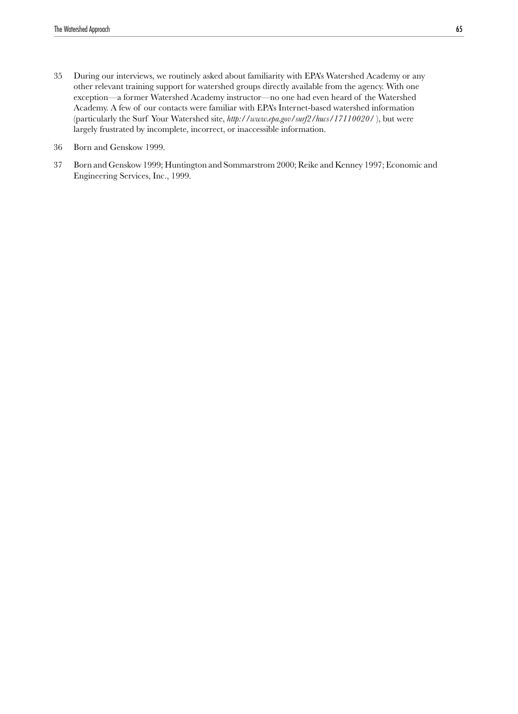- 35 During our interviews, we routinely asked about familiarity with EPA's Watershed Academy or any other relevant training support for watershed groups directly available from the agency. With one exception—a former Watershed Academy instructor—no one had even heard of the Watershed Academy. A few of our contacts were familiar with EPA's Internet-based watershed information (particularly the Surf Your Watershed site, *http://www.epa.gov/surf2/hucs/17110020/* ), but were largely frustrated by incomplete, incorrect, or inaccessible information.
- 36 Born and Genskow 1999.
- 37 Born and Genskow 1999; Huntington and Sommarstrom 2000; Reike and Kenney 1997; Economic and Engineering Services, Inc., 1999.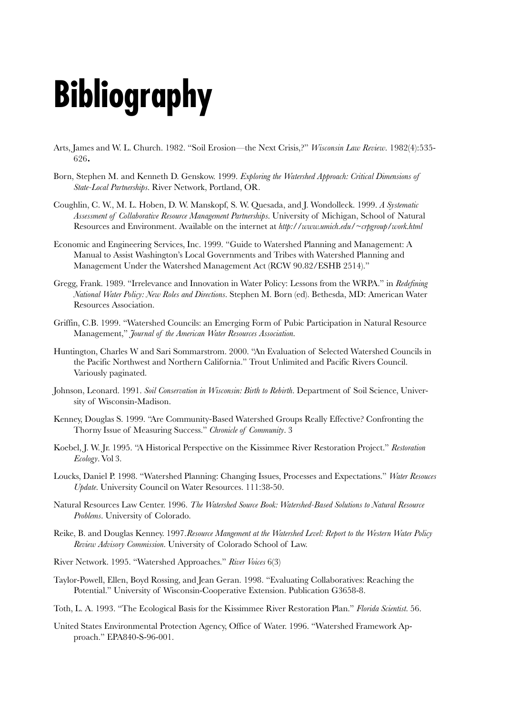# **Bibliography**

- Arts, James and W. L. Church. 1982. "Soil Erosion—the Next Crisis,?" *Wisconsin Law Review*. 1982(4):535- 626**.**
- Born, Stephen M. and Kenneth D. Genskow. 1999. *Exploring the Watershed Approach: Critical Dimensions of State-Local Partnerships*. River Network, Portland, OR*.*
- Coughlin, C. W., M. L. Hoben, D. W. Manskopf, S. W. Quesada, and J. Wondolleck. 1999. *A Systematic Assessment of Collaborative Resource Management Partnerships*. University of Michigan, School of Natural Resources and Environment. Available on the internet at *http://www.umich.edu/~crpgroup/work.html*
- Economic and Engineering Services, Inc. 1999. "Guide to Watershed Planning and Management: A Manual to Assist Washington's Local Governments and Tribes with Watershed Planning and Management Under the Watershed Management Act (RCW 90.82/ESHB 2514)."
- Gregg, Frank. 1989. "Irrelevance and Innovation in Water Policy: Lessons from the WRPA." in *Redefining National Water Policy: New Roles and Directions*. Stephen M. Born (ed). Bethesda, MD: American Water Resources Association.
- Griffin, C.B. 1999. "Watershed Councils: an Emerging Form of Pubic Participation in Natural Resource Management," *Journal of the American Water Resources Association.*
- Huntington, Charles W and Sari Sommarstrom. 2000. "An Evaluation of Selected Watershed Councils in the Pacific Northwest and Northern California." Trout Unlimited and Pacific Rivers Council. Variously paginated.
- Johnson, Leonard. 1991. *Soil Conservation in Wisconsin: Birth to Rebirth*. Department of Soil Science, University of Wisconsin-Madison.
- Kenney, Douglas S. 1999. "Are Community-Based Watershed Groups Really Effective? Confronting the Thorny Issue of Measuring Success." *Chronicle of Community*. 3
- Koebel, J. W. Jr. 1995. "A Historical Perspective on the Kissimmee River Restoration Project." *Restoration Ecology*. Vol 3.
- Loucks, Daniel P. 1998. "Watershed Planning: Changing Issues, Processes and Expectations." *Water Resouces Update*. University Council on Water Resources. 111:38-50.
- Natural Resources Law Center. 1996. *The Watershed Source Book: Watershed-Based Solutions to Natural Resource Problems*. University of Colorado.
- Reike, B. and Douglas Kenney. 1997.*Resource Mangement at the Watershed Level: Report to the Western Water Policy Review Advisory Commission.* University of Colorado School of Law.
- River Network. 1995. "Watershed Approaches." *River Voices* 6(3)
- Taylor-Powell, Ellen, Boyd Rossing, and Jean Geran. 1998. "Evaluating Collaboratives: Reaching the Potential." University of Wisconsin-Cooperative Extension. Publication G3658-8.
- Toth, L. A. 1993. "The Ecological Basis for the Kissimmee River Restoration Plan." *Florida Scientist.* 56.
- United States Environmental Protection Agency, Office of Water. 1996. "Watershed Framework Approach." EPA840-S-96-001.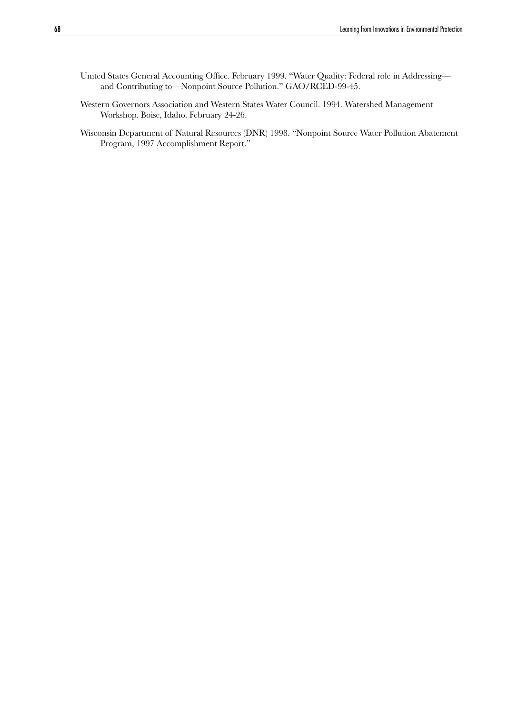- United States General Accounting Office. February 1999. "Water Quality: Federal role in Addressing and Contributing to—Nonpoint Source Pollution." GAO/RCED-99-45.
- Western Governors Association and Western States Water Council. 1994. Watershed Management Workshop. Boise, Idaho. February 24-26.
- Wisconsin Department of Natural Resources (DNR) 1998. "Nonpoint Source Water Pollution Abatement Program, 1997 Accomplishment Report."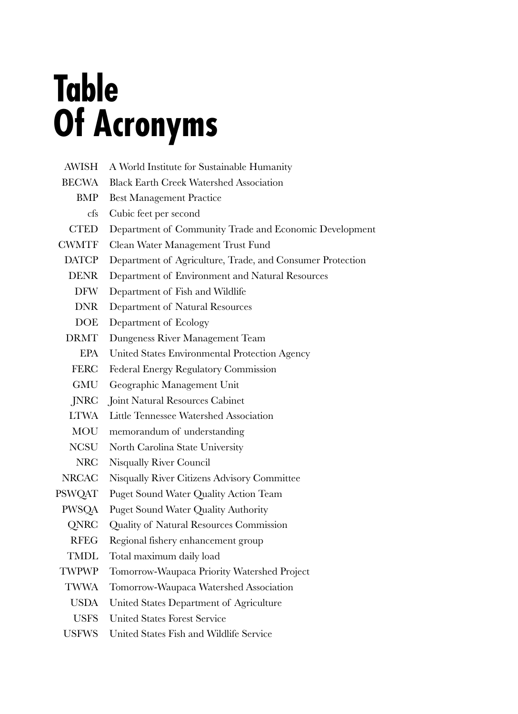# **Table Of Acronyms**

| <b>AWISH</b>  | A World Institute for Sustainable Humanity                |
|---------------|-----------------------------------------------------------|
| <b>BECWA</b>  | <b>Black Earth Creek Watershed Association</b>            |
| BMP           | <b>Best Management Practice</b>                           |
| cfs           | Cubic feet per second                                     |
| <b>CTED</b>   | Department of Community Trade and Economic Development    |
| <b>CWMTF</b>  | Clean Water Management Trust Fund                         |
| <b>DATCP</b>  | Department of Agriculture, Trade, and Consumer Protection |
| <b>DENR</b>   | Department of Environment and Natural Resources           |
| <b>DFW</b>    | Department of Fish and Wildlife                           |
| <b>DNR</b>    | Department of Natural Resources                           |
| <b>DOE</b>    | Department of Ecology                                     |
| <b>DRMT</b>   | Dungeness River Management Team                           |
| <b>EPA</b>    | United States Environmental Protection Agency             |
| <b>FERC</b>   | Federal Energy Regulatory Commission                      |
| GMU           | Geographic Management Unit                                |
| JNRC          | Joint Natural Resources Cabinet                           |
| LTWA          | Little Tennessee Watershed Association                    |
| MOU           | memorandum of understanding                               |
| NCSU          | North Carolina State University                           |
| NRC           | Nisqually River Council                                   |
| NRCAC         | Nisqually River Citizens Advisory Committee               |
| <b>PSWQAT</b> | Puget Sound Water Quality Action Team                     |
| <b>PWSQA</b>  | <b>Puget Sound Water Quality Authority</b>                |
| QNRC          | Quality of Natural Resources Commission                   |
| <b>RFEG</b>   | Regional fishery enhancement group                        |
| <b>TMDL</b>   | Total maximum daily load                                  |
| <b>TWPWP</b>  | Tomorrow-Waupaca Priority Watershed Project               |
| <b>TWWA</b>   | Tomorrow-Waupaca Watershed Association                    |
| USDA          | United States Department of Agriculture                   |
| <b>USFS</b>   | <b>United States Forest Service</b>                       |
| <b>USFWS</b>  | United States Fish and Wildlife Service                   |